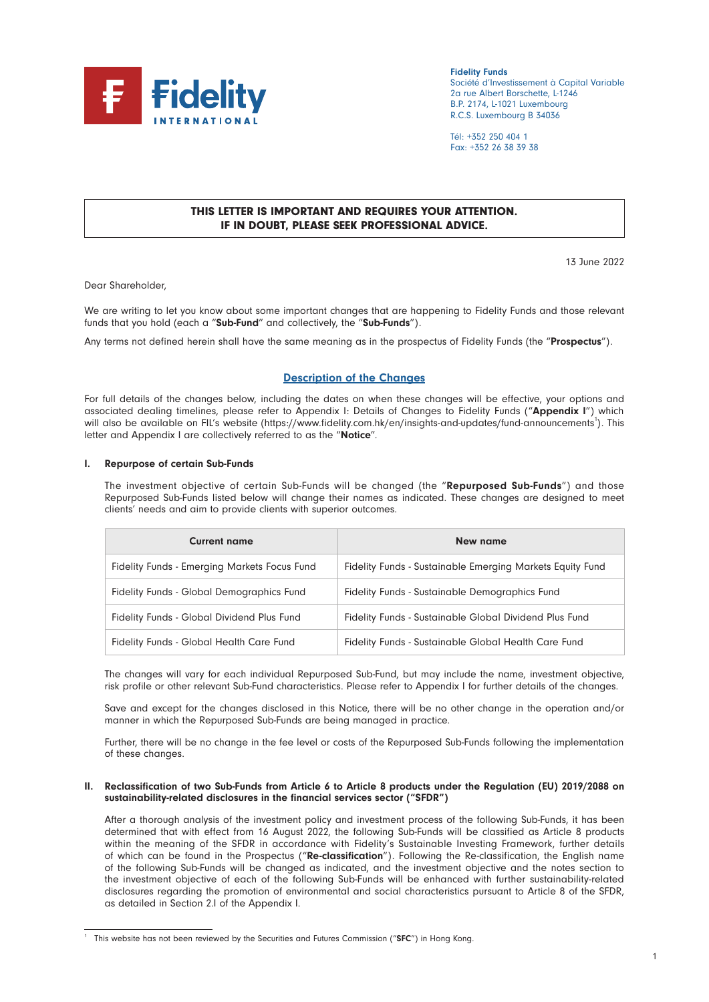

Fidelity Funds Société d'Investissement à Capital Variable 2a rue Albert Borschette, L-1246 B.P. 2174, L-1021 Luxembourg R.C.S. Luxembourg B 34036

Tél: +352 250 404 1 Fax: +352 26 38 39 38

# THIS LETTER IS IMPORTANT AND REQUIRES YOUR ATTENTION. IF IN DOUBT, PLEASE SEEK PROFESSIONAL ADVICE.

13 June 2022

Dear Shareholder,

We are writing to let you know about some important changes that are happening to Fidelity Funds and those relevant funds that you hold (each a "Sub-Fund" and collectively, the "Sub-Funds").

Any terms not defined herein shall have the same meaning as in the prospectus of Fidelity Funds (the "Prospectus").

# Description of the Changes

For full details of the changes below, including the dates on when these changes will be effective, your options and associated dealing timelines, please refer to Appendix I: Details of Changes to Fidelity Funds ("Appendix I") which will also be available on FIL's website (https://www.fidelity.com.hk/en/insights-and-updates/fund-announcements<sup>1</sup>). This letter and Appendix I are collectively referred to as the "Notice".

#### I. Repurpose of certain Sub-Funds

The investment objective of certain Sub-Funds will be changed (the "Repurposed Sub-Funds") and those Repurposed Sub-Funds listed below will change their names as indicated. These changes are designed to meet clients' needs and aim to provide clients with superior outcomes.

| <b>Current name</b>                          | New name                                                  |
|----------------------------------------------|-----------------------------------------------------------|
| Fidelity Funds - Emerging Markets Focus Fund | Fidelity Funds - Sustainable Emerging Markets Equity Fund |
| Fidelity Funds - Global Demographics Fund    | Fidelity Funds - Sustainable Demographics Fund            |
| Fidelity Funds - Global Dividend Plus Fund   | Fidelity Funds - Sustainable Global Dividend Plus Fund    |
| Fidelity Funds - Global Health Care Fund     | Fidelity Funds - Sustainable Global Health Care Fund      |

The changes will vary for each individual Repurposed Sub-Fund, but may include the name, investment objective, risk profile or other relevant Sub-Fund characteristics. Please refer to Appendix I for further details of the changes.

Save and except for the changes disclosed in this Notice, there will be no other change in the operation and/or manner in which the Repurposed Sub-Funds are being managed in practice.

Further, there will be no change in the fee level or costs of the Repurposed Sub-Funds following the implementation of these changes.

#### II. Reclassification of two Sub-Funds from Article 6 to Article 8 products under the Regulation (EU) 2019/2088 on sustainability-related disclosures in the financial services sector ("SFDR")

After a thorough analysis of the investment policy and investment process of the following Sub-Funds, it has been determined that with effect from 16 August 2022, the following Sub-Funds will be classified as Article 8 products within the meaning of the SFDR in accordance with Fidelity's Sustainable Investing Framework, further details of which can be found in the Prospectus ("Re-classification"). Following the Re-classification, the English name of the following Sub-Funds will be changed as indicated, and the investment objective and the notes section to the investment objective of each of the following Sub-Funds will be enhanced with further sustainability-related disclosures regarding the promotion of environmental and social characteristics pursuant to Article 8 of the SFDR, as detailed in Section 2.I of the Appendix I.

This website has not been reviewed by the Securities and Futures Commission ("SFC") in Hong Kong.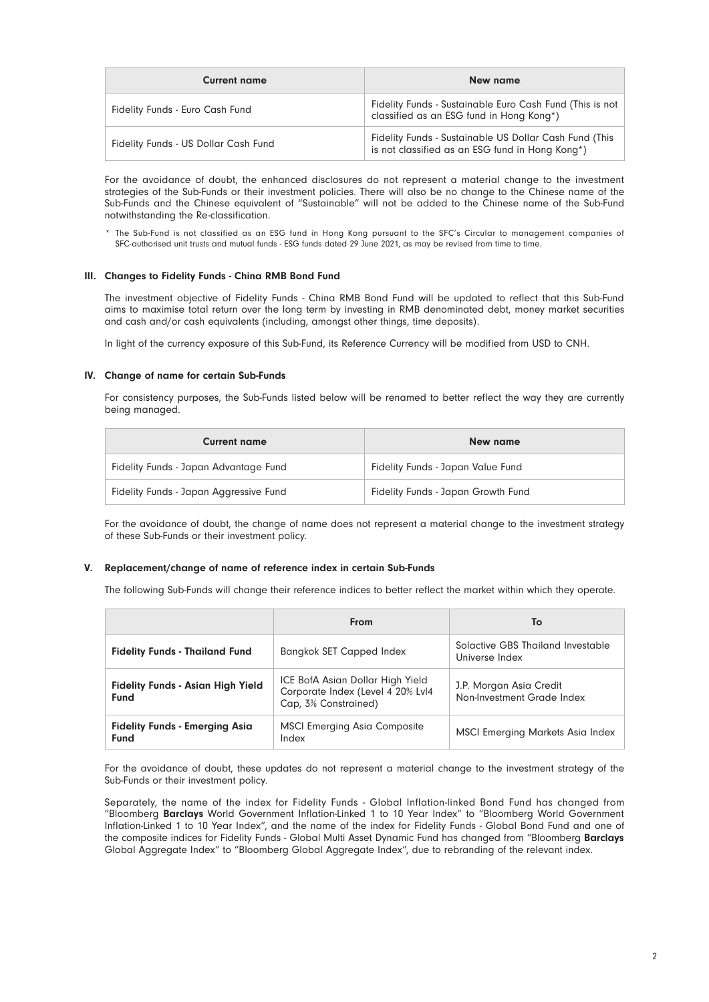| <b>Current name</b>                  | New name                                                                                                  |
|--------------------------------------|-----------------------------------------------------------------------------------------------------------|
| Fidelity Funds - Euro Cash Fund      | Fidelity Funds - Sustainable Euro Cash Fund (This is not<br>classified as an ESG fund in Hong Kong*)      |
| Fidelity Funds - US Dollar Cash Fund | Fidelity Funds - Sustainable US Dollar Cash Fund (This<br>is not classified as an ESG fund in Hong Kong*) |

For the avoidance of doubt, the enhanced disclosures do not represent a material change to the investment strategies of the Sub-Funds or their investment policies. There will also be no change to the Chinese name of the Sub-Funds and the Chinese equivalent of "Sustainable" will not be added to the Chinese name of the Sub-Fund notwithstanding the Re-classification.

\* The Sub-Fund is not classified as an ESG fund in Hong Kong pursuant to the SFC's Circular to management companies of SFC-authorised unit trusts and mutual funds - ESG funds dated 29 June 2021, as may be revised from time to time.

#### III. Changes to Fidelity Funds - China RMB Bond Fund

The investment objective of Fidelity Funds - China RMB Bond Fund will be updated to reflect that this Sub-Fund aims to maximise total return over the long term by investing in RMB denominated debt, money market securities and cash and/or cash equivalents (including, amongst other things, time deposits).

In light of the currency exposure of this Sub-Fund, its Reference Currency will be modified from USD to CNH.

#### IV. Change of name for certain Sub-Funds

For consistency purposes, the Sub-Funds listed below will be renamed to better reflect the way they are currently being managed.

| <b>Current name</b>                    | New name                           |
|----------------------------------------|------------------------------------|
| Fidelity Funds - Japan Advantage Fund  | Fidelity Funds - Japan Value Fund  |
| Fidelity Funds - Japan Aggressive Fund | Fidelity Funds - Japan Growth Fund |

For the avoidance of doubt, the change of name does not represent a material change to the investment strategy of these Sub-Funds or their investment policy.

#### V. Replacement/change of name of reference index in certain Sub-Funds

The following Sub-Funds will change their reference indices to better reflect the market within which they operate.

|                                                         | From                                                                                          | To                                                    |
|---------------------------------------------------------|-----------------------------------------------------------------------------------------------|-------------------------------------------------------|
| <b>Fidelity Funds - Thailand Fund</b>                   | <b>Bangkok SET Capped Index</b>                                                               | Solactive GBS Thailand Investable<br>Universe Index   |
| <b>Fidelity Funds - Asian High Yield</b><br><b>Fund</b> | ICE BofA Asian Dollar High Yield<br>Corporate Index (Level 4 20% Lvl4<br>Cap, 3% Constrained) | J.P. Morgan Asia Credit<br>Non-Investment Grade Index |
| <b>Fidelity Funds - Emerging Asia</b><br><b>Fund</b>    | <b>MSCI Emerging Asia Composite</b><br>Index                                                  | <b>MSCI Emerging Markets Asia Index</b>               |

For the avoidance of doubt, these updates do not represent a material change to the investment strategy of the Sub-Funds or their investment policy.

Separately, the name of the index for Fidelity Funds - Global Inflation-linked Bond Fund has changed from "Bloomberg Barclays World Government Inflation-Linked 1 to 10 Year Index" to "Bloomberg World Government Inflation-Linked 1 to 10 Year Index", and the name of the index for Fidelity Funds - Global Bond Fund and one of the composite indices for Fidelity Funds - Global Multi Asset Dynamic Fund has changed from "Bloomberg Barclays Global Aggregate Index" to "Bloomberg Global Aggregate Index", due to rebranding of the relevant index.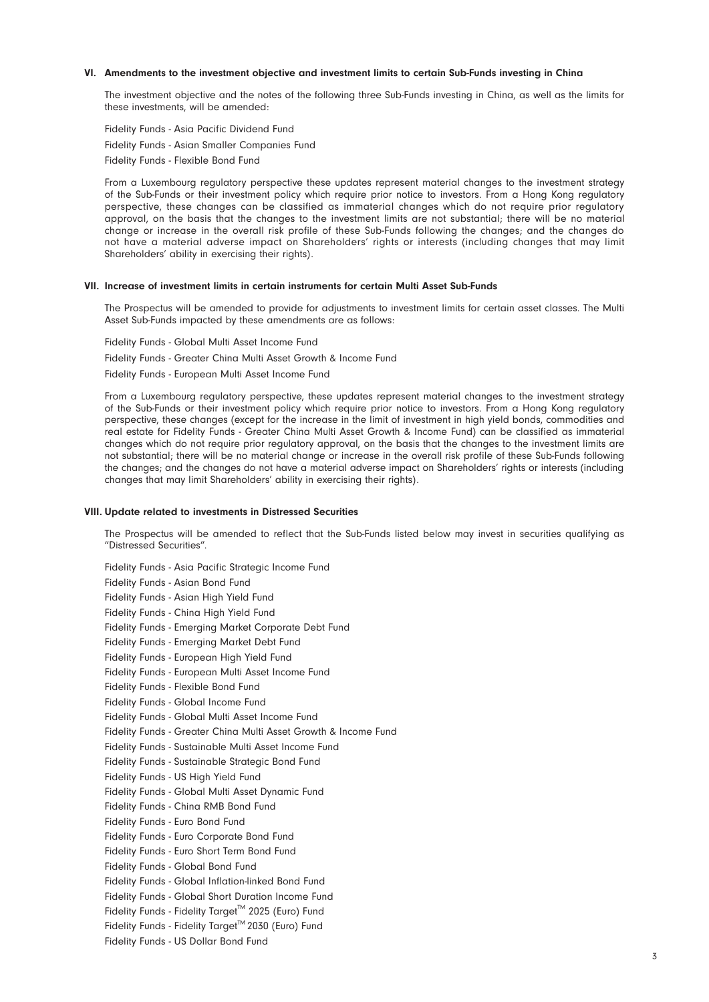#### VI. Amendments to the investment objective and investment limits to certain Sub-Funds investing in China

The investment objective and the notes of the following three Sub-Funds investing in China, as well as the limits for these investments, will be amended:

Fidelity Funds - Asia Pacific Dividend Fund Fidelity Funds - Asian Smaller Companies Fund Fidelity Funds - Flexible Bond Fund

From a Luxembourg regulatory perspective these updates represent material changes to the investment strategy of the Sub-Funds or their investment policy which require prior notice to investors. From a Hong Kong regulatory perspective, these changes can be classified as immaterial changes which do not require prior regulatory approval, on the basis that the changes to the investment limits are not substantial; there will be no material change or increase in the overall risk profile of these Sub-Funds following the changes; and the changes do not have a material adverse impact on Shareholders' rights or interests (including changes that may limit Shareholders' ability in exercising their rights).

#### VII. Increase of investment limits in certain instruments for certain Multi Asset Sub-Funds

The Prospectus will be amended to provide for adjustments to investment limits for certain asset classes. The Multi Asset Sub-Funds impacted by these amendments are as follows:

Fidelity Funds - Global Multi Asset Income Fund Fidelity Funds - Greater China Multi Asset Growth & Income Fund Fidelity Funds - European Multi Asset Income Fund

From a Luxembourg regulatory perspective, these updates represent material changes to the investment strategy of the Sub-Funds or their investment policy which require prior notice to investors. From a Hong Kong regulatory perspective, these changes (except for the increase in the limit of investment in high yield bonds, commodities and real estate for Fidelity Funds - Greater China Multi Asset Growth & Income Fund) can be classified as immaterial changes which do not require prior regulatory approval, on the basis that the changes to the investment limits are not substantial; there will be no material change or increase in the overall risk profile of these Sub-Funds following the changes; and the changes do not have a material adverse impact on Shareholders' rights or interests (including changes that may limit Shareholders' ability in exercising their rights).

#### VIII. Update related to investments in Distressed Securities

The Prospectus will be amended to reflect that the Sub-Funds listed below may invest in securities qualifying as "Distressed Securities".

Fidelity Funds - Asia Pacific Strategic Income Fund Fidelity Funds - Asian Bond Fund Fidelity Funds - Asian High Yield Fund Fidelity Funds - China High Yield Fund Fidelity Funds - Emerging Market Corporate Debt Fund Fidelity Funds - Emerging Market Debt Fund Fidelity Funds - European High Yield Fund Fidelity Funds - European Multi Asset Income Fund Fidelity Funds - Flexible Bond Fund Fidelity Funds - Global Income Fund Fidelity Funds - Global Multi Asset Income Fund Fidelity Funds - Greater China Multi Asset Growth & Income Fund Fidelity Funds - Sustainable Multi Asset Income Fund Fidelity Funds - Sustainable Strategic Bond Fund Fidelity Funds - US High Yield Fund Fidelity Funds - Global Multi Asset Dynamic Fund Fidelity Funds - China RMB Bond Fund Fidelity Funds - Euro Bond Fund Fidelity Funds - Euro Corporate Bond Fund Fidelity Funds - Euro Short Term Bond Fund Fidelity Funds - Global Bond Fund Fidelity Funds - Global Inflation-linked Bond Fund Fidelity Funds - Global Short Duration Income Fund Fidelity Funds - Fidelity Target™ 2025 (Euro) Fund Fidelity Funds - Fidelity Target™ 2030 (Euro) Fund Fidelity Funds - US Dollar Bond Fund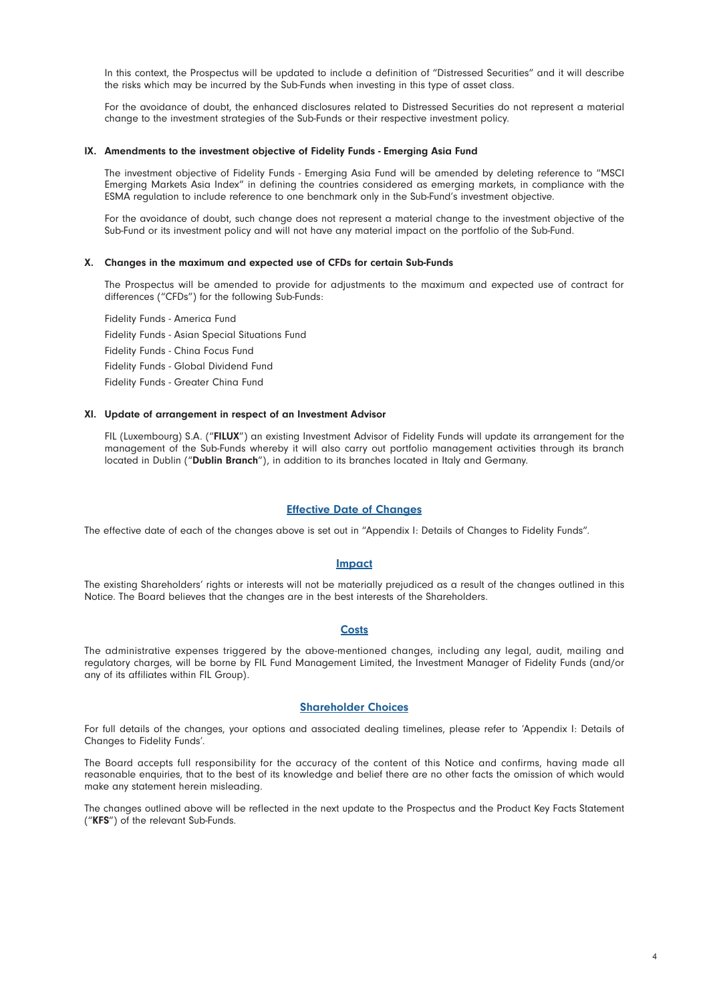In this context, the Prospectus will be updated to include a definition of "Distressed Securities" and it will describe the risks which may be incurred by the Sub-Funds when investing in this type of asset class.

For the avoidance of doubt, the enhanced disclosures related to Distressed Securities do not represent a material change to the investment strategies of the Sub-Funds or their respective investment policy.

#### IX. Amendments to the investment objective of Fidelity Funds - Emerging Asia Fund

The investment objective of Fidelity Funds - Emerging Asia Fund will be amended by deleting reference to "MSCI Emerging Markets Asia Index" in defining the countries considered as emerging markets, in compliance with the ESMA regulation to include reference to one benchmark only in the Sub-Fund's investment objective.

For the avoidance of doubt, such change does not represent a material change to the investment objective of the Sub-Fund or its investment policy and will not have any material impact on the portfolio of the Sub-Fund.

#### X. Changes in the maximum and expected use of CFDs for certain Sub-Funds

The Prospectus will be amended to provide for adjustments to the maximum and expected use of contract for differences ("CFDs") for the following Sub-Funds:

Fidelity Funds - America Fund Fidelity Funds - Asian Special Situations Fund Fidelity Funds - China Focus Fund Fidelity Funds - Global Dividend Fund Fidelity Funds - Greater China Fund

#### XI. Update of arrangement in respect of an Investment Advisor

FIL (Luxembourg) S.A. ("FILUX") an existing Investment Advisor of Fidelity Funds will update its arrangement for the management of the Sub-Funds whereby it will also carry out portfolio management activities through its branch located in Dublin ("Dublin Branch"), in addition to its branches located in Italy and Germany.

#### Effective Date of Changes

The effective date of each of the changes above is set out in "Appendix I: Details of Changes to Fidelity Funds".

#### **Impact**

The existing Shareholders' rights or interests will not be materially prejudiced as a result of the changes outlined in this Notice. The Board believes that the changes are in the best interests of the Shareholders.

#### **Costs**

The administrative expenses triggered by the above-mentioned changes, including any legal, audit, mailing and regulatory charges, will be borne by FIL Fund Management Limited, the Investment Manager of Fidelity Funds (and/or any of its affiliates within FIL Group).

#### Shareholder Choices

For full details of the changes, your options and associated dealing timelines, please refer to 'Appendix I: Details of Changes to Fidelity Funds'.

The Board accepts full responsibility for the accuracy of the content of this Notice and confirms, having made all reasonable enquiries, that to the best of its knowledge and belief there are no other facts the omission of which would make any statement herein misleading.

The changes outlined above will be reflected in the next update to the Prospectus and the Product Key Facts Statement ("KFS") of the relevant Sub-Funds.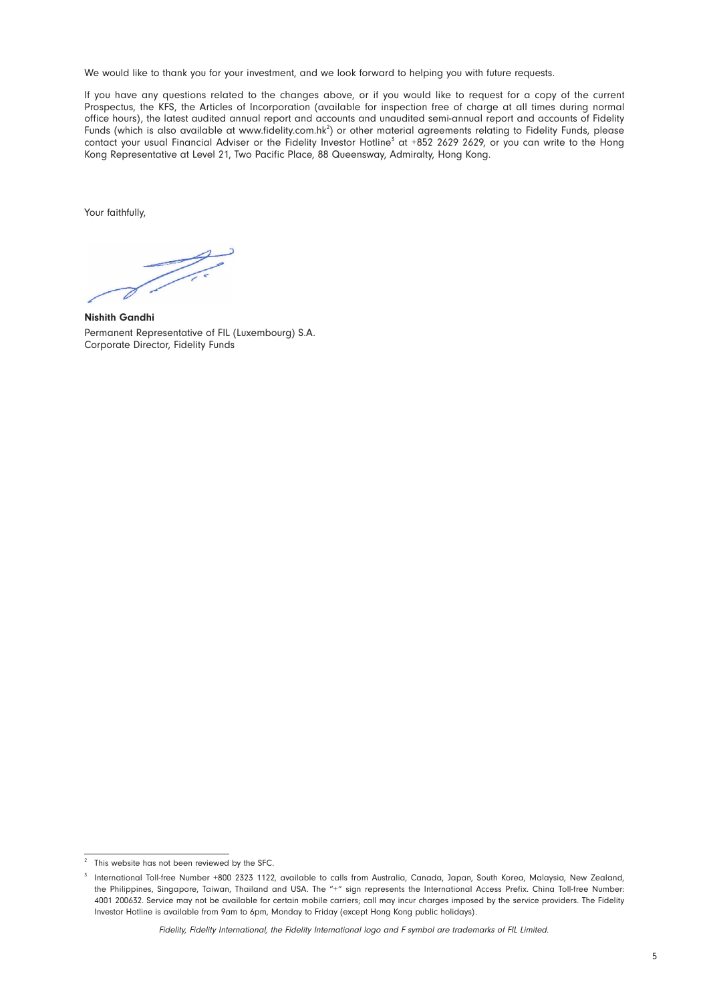We would like to thank you for your investment, and we look forward to helping you with future requests.

If you have any questions related to the changes above, or if you would like to request for a copy of the current Prospectus, the KFS, the Articles of Incorporation (available for inspection free of charge at all times during normal office hours), the latest audited annual report and accounts and unaudited semi-annual report and accounts of Fidelity Funds (which is also available at www.fidelity.com.hk<sup>2</sup>) or other material agreements relating to Fidelity Funds, please contact your usual Financial Adviser or the Fidelity Investor Hotline<sup>3</sup> at +852 2629 2629, or you can write to the Hong Kong Representative at Level 21, Two Pacific Place, 88 Queensway, Admiralty, Hong Kong.

Your faithfully,

Z i

Nishith Gandhi Permanent Representative of FIL (Luxembourg) S.A. Corporate Director, Fidelity Funds

 $2^2$  This website has not been reviewed by the SFC.

<sup>&</sup>lt;sup>3</sup> International Toll-free Number +800 2323 1122, available to calls from Australia, Canada, Japan, South Korea, Malaysia, New Zealand, the Philippines, Singapore, Taiwan, Thailand and USA. The "+" sign represents the International Access Prefix. China Toll-free Number: 4001 200632. Service may not be available for certain mobile carriers; call may incur charges imposed by the service providers. The Fidelity Investor Hotline is available from 9am to 6pm, Monday to Friday (except Hong Kong public holidays).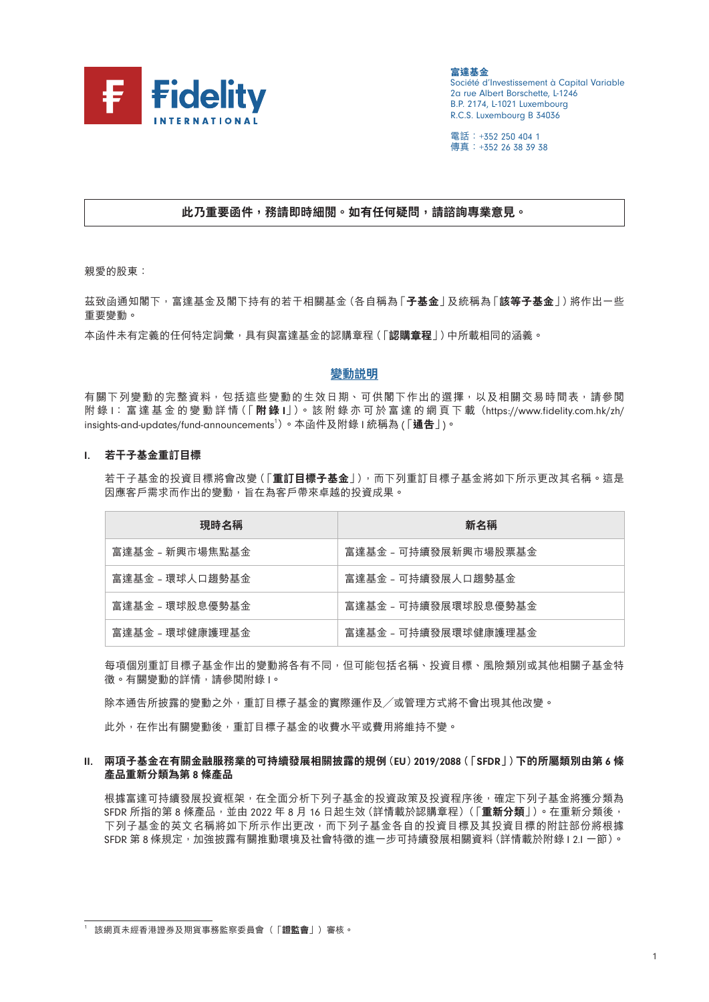

**富達基金** Société d'Investissement à Capital Variable 2a rue Albert Borschette, L-1246 B.P. 2174, L-1021 Luxembourg R.C.S. Luxembourg B 34036

電話:+352 250 404 1 傳真:+352 26 38 39 38

# **此乃重要函件,務請即時細閱。如有任何疑問,請諮詢專業意見。**

親愛的股東:

茲致函通知閣下,富達基金及閣下持有的若干相關基金(各自稱為「**子基金**」及統稱為「**該等子基金**」)將作出一些 重要變動。

本函件未有定義的任何特定詞彙,具有與富達基金的認購章程(「**認購章程**」)中所載相同的涵義。

#### **變動說明**

有關下列變動的完整資料,包括這些變動的生效日期、可供閣下作出的選擇,以及相關交易時間表,請參閲 附 錄 I: 富 達 基 金 的 變 動 詳 情(「 **附 錄** I」)。 該 附 錄 亦 可 於 富 達 的 網 頁 下 載(https://www.fidelity.com.hk/zh/ insights-and-updates/fund-announcements 1 )。本函件及附錄 I 統稱為 (「**通告**」)。

#### I. **若干子基金重訂目標**

若干子基金的投資目標將會改變(「**重訂目標子基金**」),而下列重訂目標子基金將如下所示更改其名稱。這是 因應客戶需求而作出的變動,旨在為客戶帶來卓越的投資成果。

| 現時名稱            | 新名稱                  |
|-----------------|----------------------|
| 富達基金 - 新興市場焦點基金 | 富達基金 - 可持續發展新興市場股票基金 |
| 富達基金 - 環球人口趨勢基金 | 富達基金 - 可持續發展人口趨勢基金   |
| 富達基金 - 環球股息優勢基金 | 富達基金 - 可持續發展環球股息優勢基金 |
| 富達基金 - 環球健康護理基金 | 富達基金 - 可持續發展環球健康護理基金 |

每項個別重訂目標子基金作出的變動將各有不同,但可能包括名稱、投資目標、風險類別或其他相關子基金特 徵。有關變動的詳情,請參閱附錄 I。

除本通告所披露的變動之外,重訂目標子基金的實際運作及/或管理方式將不會出現其他改變。

此外,在作出有關變動後,重訂目標子基金的收費水平或費用將維持不變。

#### II. **兩項子基金在有關金融服務業的可持續發展相關披露的規例(**EU**)**2019/2088**(「**SFDR**」)下的所屬類別由第** 6 **條 產品重新分類為第** 8 **條產品**

根據富達可持續發展投資框架,在全面分析下列子基金的投資政策及投資程序後,確定下列子基金將獲分類為 SFDR 所指的第 8 條產品,並由 2022 年 8 月 16 日起生效 (詳情載於認購章程) (「重**新分**類」)。在重新分類後, 下列子基金的英文名稱將如下所示作出更改,而下列子基金各自的投資目標及其投資目標的附註部份將根據 SFDR 第 8 條規定, 加強披露有關推動環境及社會特徵的進一步可持續發展相關資料 (詳情載於附錄 | 2.| 一節)。

<sup>1</sup> 該網頁未經香港證券及期貨事務監察委員會(「**證監會**」)審核。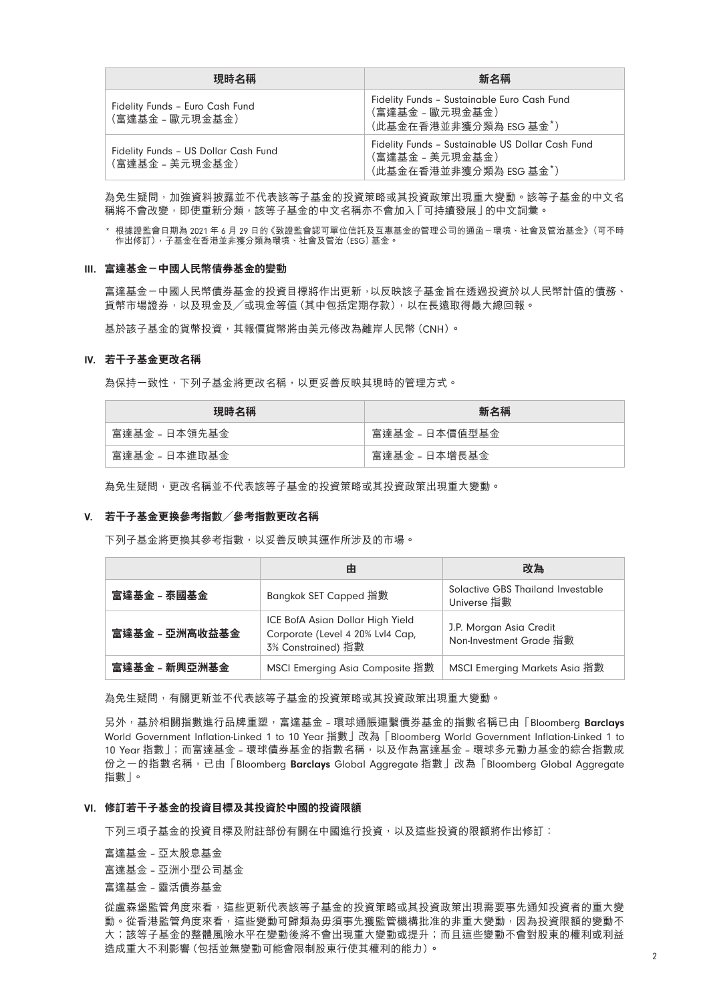| 現時名稱                                                    | 新名稱                                                                                           |
|---------------------------------------------------------|-----------------------------------------------------------------------------------------------|
| Fidelity Funds - Euro Cash Fund<br>(富達基金 - 歐元現金基金)      | Fidelity Funds - Sustainable Euro Cash Fund<br>(富達基金 - 歐元現金基金)<br>(此基金在香港並非獲分類為 ESG 基金*)      |
| Fidelity Funds - US Dollar Cash Fund<br>(富達基金 - 美元現金基金) | Fidelity Funds - Sustainable US Dollar Cash Fund<br>(富達基金 - 美元現金基金)<br>(此基金在香港並非獲分類為 ESG 基金*) |

為免生疑問,加強資料披露並不代表該等子基金的投資策略或其投資政策出現重大變動。該等子基金的中文名 稱將不會改變,即使重新分類,該等子基金的中文名稱亦不會加入「可持續發展」的中文詞彙。

\* 根據證監會日期為 2021 年 6 月 29 日的《致證監會認可單位信託及互惠基金的管理公司的通函-環境、社會及管治基金》(可不時 作出修訂),子基金在香港並非獲分類為環境、社會及管治(ESG)基金。

#### III. **富達基金-中國人民幣債券基金的變動**

富達基金-中國人民幣債券基金的投資目標將作出更新,以反映該子基金旨在透過投資於以人民幣計值的債務、 貨幣市場證券,以及現金及/或現金等值(其中包括定期存款),以在長遠取得最大總回報。

基於該子基金的貨幣投資, 其報價貨幣將由美元修改為離岸人民幣(CNH)。

# IV. **若干子基金更改名稱**

為保持一致性,下列子基金將更改名稱,以更妥善反映其現時的管理方式。

| 現時名稱          | 新名稱            |
|---------------|----------------|
| 富達基金 - 日本領先基金 | 富達基金 - 日本價值型基金 |
| 富達基金 - 日本進取基金 | 富達基金 - 日本增長基金  |

為免生疑問,更改名稱並不代表該等子基金的投資策略或其投資政策出現重大變動。

#### V. **若干子基金更換參考指數/參考指數更改名稱**

下列子基金將更換其參考指數,以妥善反映其運作所涉及的市場。

|                | 由                                                                                                                                                | 改為                                               |  |
|----------------|--------------------------------------------------------------------------------------------------------------------------------------------------|--------------------------------------------------|--|
| 富達基金 – 泰國基金    | Bangkok SET Capped 指數                                                                                                                            | Solactive GBS Thailand Investable<br>Universe 指數 |  |
| 富達基金 - 亞洲高收益基金 | ICE BofA Asian Dollar High Yield<br>J.P. Morgan Asia Credit<br>Corporate (Level 4 20% Lvl4 Cap,<br>Non-Investment Grade 指數<br>3% Constrained) 指數 |                                                  |  |
| 富達基金 – 新興亞洲基金  | MSCI Emerging Asia Composite 指數                                                                                                                  | MSCI Emerging Markets Asia 指數                    |  |

為免生疑問,有關更新並不代表該等子基金的投資策略或其投資政策出現重大變動。

另外,基於相關指數進行品牌重塑,富達基金 - 環球通脹連繫債券基金的指數名稱已由「Bloomberg Barclays World Government Inflation-Linked 1 to 10 Year 指數」改為「Bloomberg World Government Inflation-Linked 1 to 10 Year 指數」;而富達基金 – 環球債券基金的指數名稱,以及作為富達基金 – 環球多元動力基金的綜合指數成 份之一的指數名稱,已由「Bloomberg Barclays Global Aggregate 指數」改為「Bloomberg Global Aggregate 指數」。

#### VI. **修訂若干子基金的投資目標及其投資於中國的投資限額**

下列三項子基金的投資目標及附註部份有關在中國進行投資,以及這些投資的限額將作出修訂:

富達基金 – 亞太股息基金 富達基金 – 亞洲小型公司基金 富達基金 – 靈活債券基金

從盧森堡監管角度來看,這些更新代表該等子基金的投資策略或其投資政策出現需要事先通知投資者的重大變 動。從香港監管角度來看,這些變動可歸類為毋須事先獲監管機構批准的非重大變動,因為投資限額的變動不 大;該等子基金的整體風險水平在變動後將不會出現重大變動或提升;而且這些變動不會對股東的權利或利益 造成重大不利影響(包括並無變動可能會限制股東行使其權利的能力)。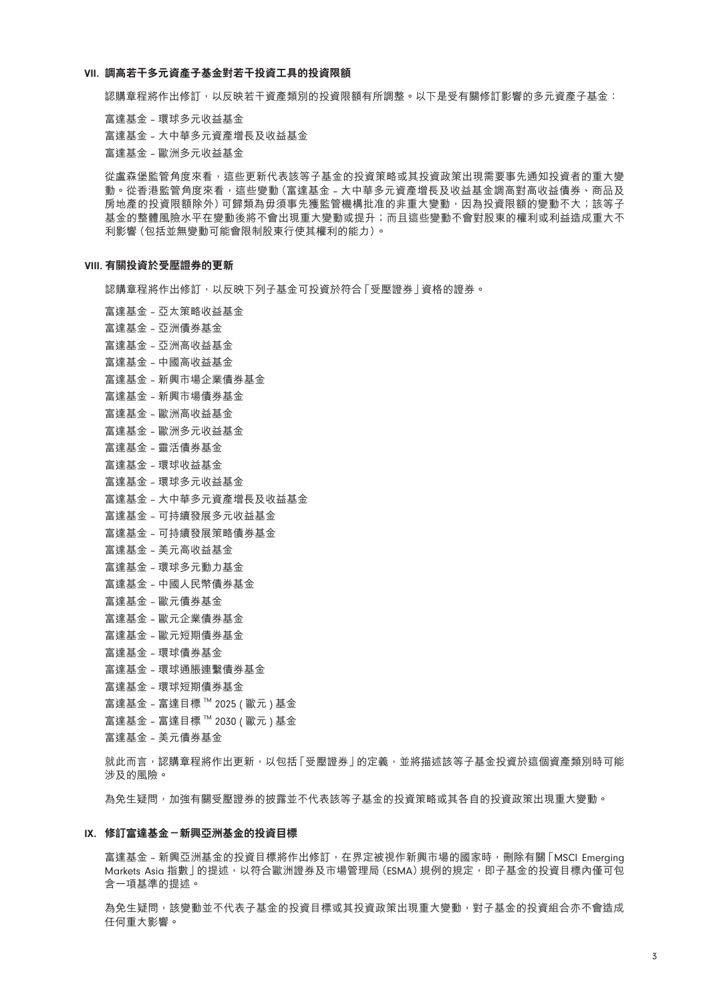#### VII. **調高若干多元資產子基金對若干投資工具的投資限額**

認購章程將作出修訂,以反映若干資產類別的投資限額有所調整。以下是受有關修訂影響的多元資產子基金:

富達基金 – 環球多元收益基金 富達基金 – 大中華多元資產增長及收益基金 富達基金 – 歐洲多元收益基金

從盧森堡監管角度來看,這些更新代表該等子基金的投資策略或其投資政策出現需要事先通知投資者的重大變 動。從香港監管角度來看,這些變動(富達基金 - 大中華多元資產增長及收益基金調高對高收益債券、商品及 房地產的投資限額除外)可歸類為毋須事先獲監管機構批准的非重大變動,因為投資限額的變動不大;該等子 基金的整體風險水平在變動後將不會出現重大變動或提升;而且這些變動不會對股東的權利或利益造成重大不 利影響(包括並無變動可能會限制股東行使其權利的能力)。

### VIII. **有關投資於受壓證券的更新**

認購章程將作出修訂,以反映下列子基金可投資於符合「受壓證券」資格的證券。

- 富達基金 亞太策略收益基金 富達基金 – 亞洲債券基金 富達基金 – 亞洲高收益基金 富達基金 – 中國高收益基金 富達基金 – 新興市場企業債券基金 富達基金 – 新興市場債券基金 富達基金 – 歐洲高收益基金 富達基金 – 歐洲多元收益基金 富達基金 – 靈活債券基金 富達基金 – 環球收益基金 富達基金 – 環球多元收益基金 富達基金 – 大中華多元資產增長及收益基金 富達基金 – 可持續發展多元收益基金 富達基金 – 可持續發展策略債券基金 富達基金 – 美元高收益基金 富達基金 – 環球多元動力基金 富達基金 – 中國人民幣債券基金 富達基金 – 歐元債券基金 富達基金 – 歐元企業債券基金 富達基金 – 歐元短期債券基金 富達基金 – 環球債券基金 富達基金 – 環球通脹連繫債券基金 富達基金 – 環球短期債券基金
- 富達基金 富達目標 ™ 2025 ( 歐元 ) 基金
- 富達基金 富達目標 ™ 2030 ( 歐元 ) 基金

富達基金 – 美元債券基金

就此而言,認購章程將作出更新,以包括「受壓證券」的定義,並將描述該等子基金投資於這個資產類別時可能 涉及的風險。

為免生疑問,加強有關受壓證券的披露並不代表該等子基金的投資策略或其各自的投資政策出現重大變動。

#### IX. **修訂富達基金-新興亞洲基金的投資目標**

富達基金 - 新興亞洲基金的投資目標將作出修訂,在界定被視作新興市場的國家時,刪除有關「MSCI Emerging Markets Asia 指數 | 的提述, 以符合歐洲證券及市場管理局 (ESMA) 規例的規定, 即子基金的投資目標內僅可包 含一項基準的提述。

為免生疑問,該變動並不代表子基金的投資目標或其投資政策出現重大變動,對子基金的投資組合亦不會造成 任何重大影響。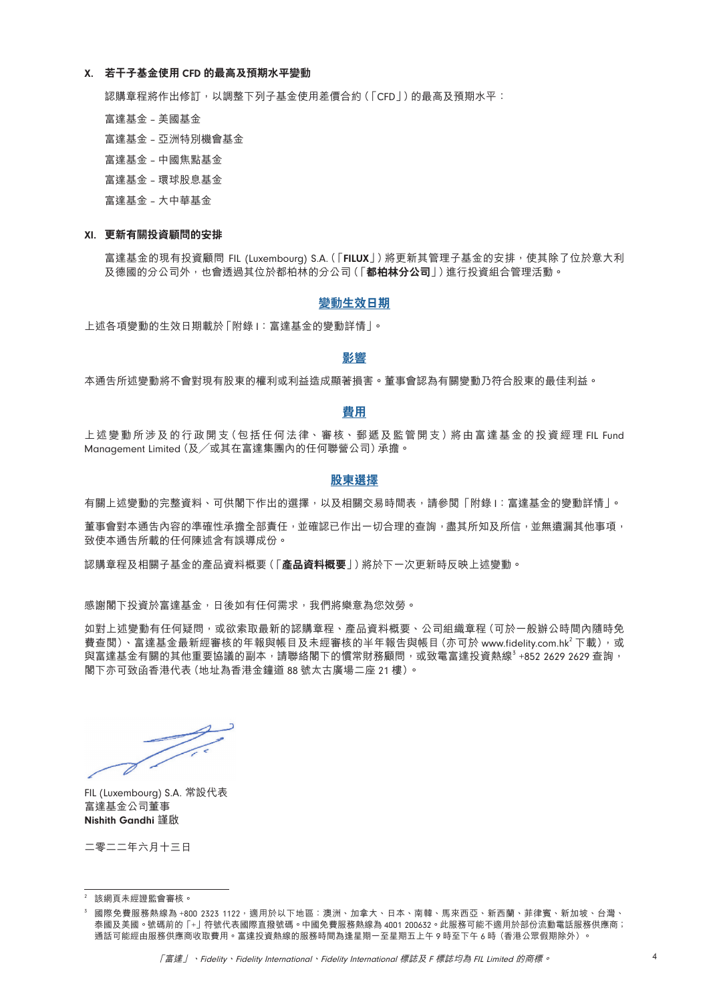#### X. **若干子基金使用** CFD **的最高及預期水平變動**

認購章程將作出修訂,以調整下列子基金使用差價合約(「CFD」)的最高及預期水平:

富達基金 – 美國基金

- 富達基金 亞洲特別機會基金
- 富達基金 中國焦點基金
- 富達基金 環球股息基金

富達基金 – 大中華基金

#### XI. **更新有關投資顧問的安排**

富達基金的現有投資顧問 FIL (Luxembourg) S.A. (「FILUX」)將更新其管理子基金的安排,使其除了位於意大利 及德國的分公司外,也會透過其位於都柏林的分公司(「**都柏林分公司**」)進行投資組合管理活動。

#### **變動生效日期**

上述各項變動的生效日期載於「附錄 I:富達基金的變動詳情」。

# **影響**

本通告所述變動將不會對現有股東的權利或利益造成顯著損害。董事會認為有關變動乃符合股東的最佳利益。

#### **費用**

上述變動所涉及的行政開支(包括任何法律、審核、郵遞及監管開支)將由富達基金的投資經理 FIL Fund Management Limited(及/或其在富達集團內的任何聯營公司)承擔。

#### **股東選擇**

有關上述變動的完整資料、可供閣下作出的選擇,以及相關交易時間表,請參閱「附錄 I:富達基金的變動詳情」。

董事會對本通告內容的準確性承擔全部責任,並確認已作出一切合理的查詢,盡其所知及所信,並無遺漏其他事項, 致使本通告所載的任何陳述含有誤導成份。

認購章程及相關子基金的產品資料概要(「**產品資料概要**」)將於下一次更新時反映上述變動。

感謝閣下投資於富達基金,日後如有任何需求,我們將樂意為您效勞。

如對上述變動有任何疑問,或欲索取最新的認購章程、產品資料概要、公司組織章程(可於一般辦公時間內隨時免 費查閲)、富達基金最新經審核的年報與帳目及未經審核的半年報告與帳目 (亦可於 www.fidelity.com.hk<sup>2</sup> 下載),或 與富達基金有關的其他重要協議的副本,請聯絡閣下的慣常財務顧問,或致電富達投資熱線3+852 2629 2629 查詢, 閣下亦可致函香港代表(地址為香港金鐘道 88 號太古廣場二座 21 樓)。

Z.

FIL (Luxembourg) S.A. 常設代表 富達基金公司董事 Nishith Gandhi 謹啟

二零二二年六月十三日

<sup>2</sup> 該網頁未經證監會審核。

國際免費服務熱線為 +800 2323 1122,適用於以下地區:澳洲、加拿大、日本、南韓、馬來西亞、新西蘭、菲律賓、新加坡、台灣、 泰國及美國。號碼前的「+」符號代表國際直撥號碼。中國免費服務熱線為 4001 200632。此服務可能不適用於部份流動電話服務供應商; 。<br>通話可能經由服務供應商收取費用。富達投資熱線的服務時間為逢星期一至星期五上午 9 時至下午 6 時(香港公眾假期除外)。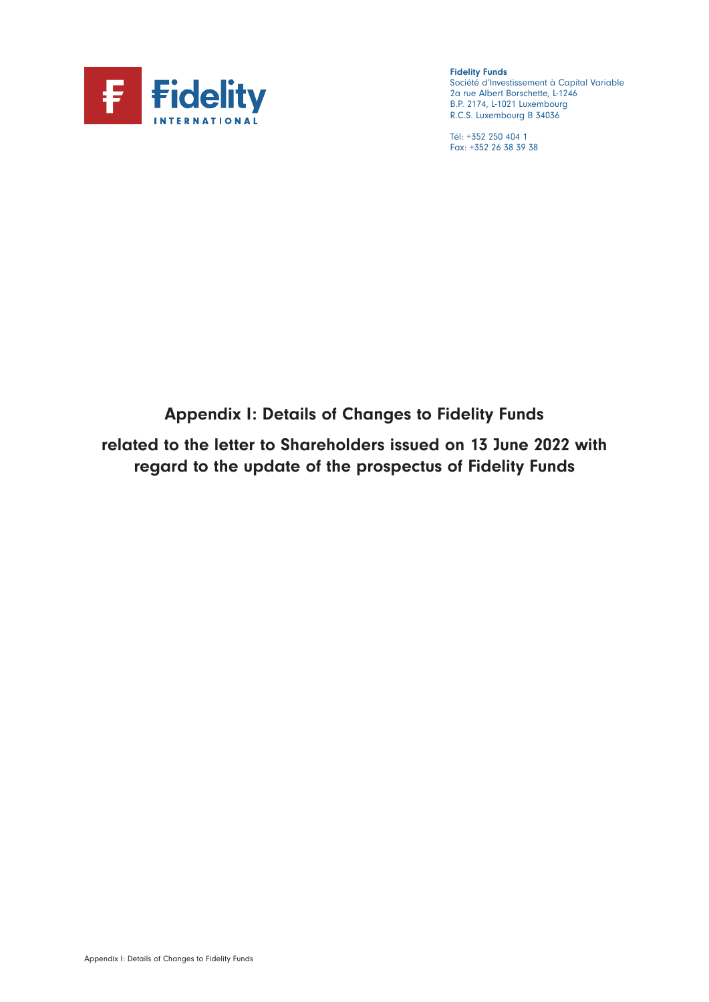

Fidelity Funds Société d'Investissement à Capital Variable 2a rue Albert Borschette, L-1246 B.P. 2174, L-1021 Luxembourg R.C.S. Luxembourg B 34036

Tél: +352 250 404 1 Fax: +352 26 38 39 38

# Appendix I: Details of Changes to Fidelity Funds

related to the letter to Shareholders issued on 13 June 2022 with regard to the update of the prospectus of Fidelity Funds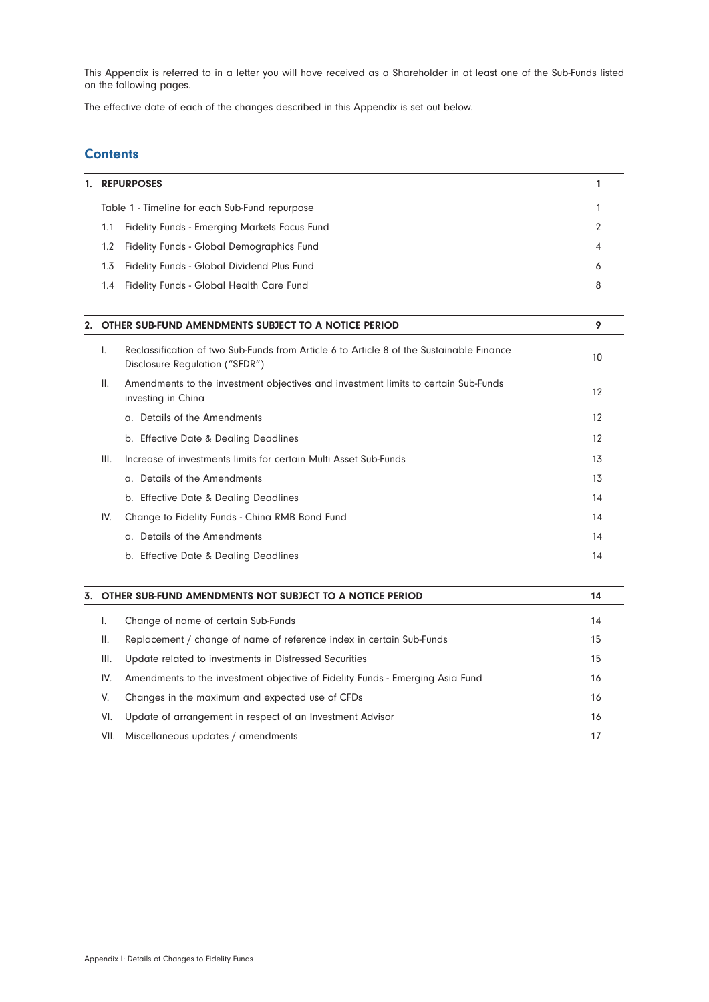This Appendix is referred to in a letter you will have received as a Shareholder in at least one of the Sub-Funds listed on the following pages.

The effective date of each of the changes described in this Appendix is set out below.

# **Contents**

| 1. | <b>REPURPOSES</b>                                          |   |
|----|------------------------------------------------------------|---|
|    | Table 1 - Timeline for each Sub-Fund repurpose             |   |
|    | Fidelity Funds - Emerging Markets Focus Fund<br>1.1        |   |
|    | Fidelity Funds - Global Demographics Fund<br>$1.2^{\circ}$ | 4 |
|    | Fidelity Funds - Global Dividend Plus Fund<br>1.3          | 6 |
|    | Fidelity Funds - Global Health Care Fund<br>1.4            | 8 |
|    |                                                            |   |
|    | 2. OTHER SUB-FUND AMENDMENTS SUBJECT TO A NOTICE PERIOD    |   |

| L.   | Reclassification of two Sub-Funds from Article 6 to Article 8 of the Sustainable Finance<br>Disclosure Requlation ("SFDR") | 10 |
|------|----------------------------------------------------------------------------------------------------------------------------|----|
| Ш.   | Amendments to the investment objectives and investment limits to certain Sub-Funds<br>investing in China                   | 12 |
|      | a. Details of the Amendments                                                                                               | 12 |
|      | b. Effective Date & Dealing Deadlines                                                                                      | 12 |
| III. | Increase of investments limits for certain Multi Asset Sub-Funds                                                           | 13 |
|      | a. Details of the Amendments                                                                                               | 13 |
|      | b. Effective Date & Dealing Deadlines                                                                                      | 14 |
| IV.  | Change to Fidelity Funds - China RMB Bond Fund                                                                             | 14 |
|      | a. Details of the Amendments                                                                                               | 14 |
|      | b. Effective Date & Dealing Deadlines                                                                                      | 14 |

| 3. | OTHER SUB-FUND AMENDMENTS NOT SUBJECT TO A NOTICE PERIOD |                                                                               | 14 |
|----|----------------------------------------------------------|-------------------------------------------------------------------------------|----|
|    |                                                          | Change of name of certain Sub-Funds                                           | 14 |
|    | Ш.                                                       | Replacement / change of name of reference index in certain Sub-Funds          | 15 |
|    | III.                                                     | Update related to investments in Distressed Securities                        | 15 |
|    | IV.                                                      | Amendments to the investment objective of Fidelity Funds - Emerging Asia Fund | 16 |
|    | V.                                                       | Changes in the maximum and expected use of CFDs                               | 16 |
|    | VI.                                                      | Update of arrangement in respect of an Investment Advisor                     | 16 |
|    | VII.                                                     | Miscellaneous updates / amendments                                            |    |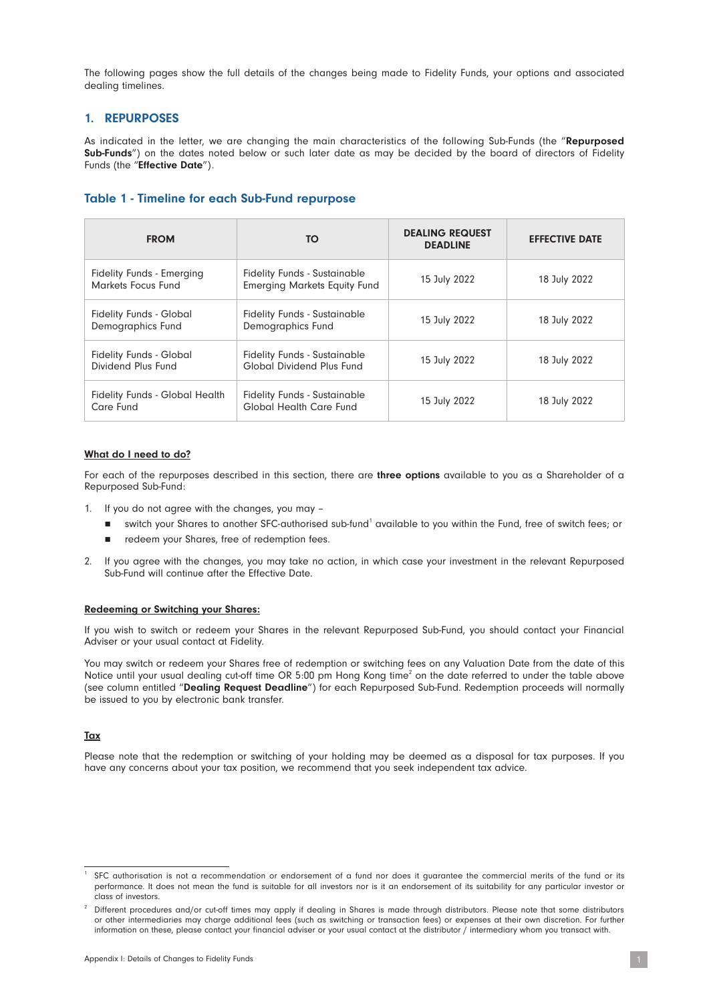The following pages show the full details of the changes being made to Fidelity Funds, your options and associated dealing timelines.

# 1. REPURPOSES

As indicated in the letter, we are changing the main characteristics of the following Sub-Funds (the "Repurposed Sub-Funds") on the dates noted below or such later date as may be decided by the board of directors of Fidelity Funds (the "**Effective Date**").

# Table 1 - Timeline for each Sub-Fund repurpose

| <b>FROM</b><br>TO                                                                                                    |                                                                            | <b>DEALING REQUEST</b><br><b>DEADLINE</b> | <b>EFFECTIVE DATE</b> |
|----------------------------------------------------------------------------------------------------------------------|----------------------------------------------------------------------------|-------------------------------------------|-----------------------|
| <b>Fidelity Funds - Emerging</b><br>Markets Focus Fund                                                               | <b>Fidelity Funds - Sustainable</b><br><b>Emerging Markets Equity Fund</b> | 15 July 2022                              | 18 July 2022          |
| <b>Fidelity Funds - Global</b><br>Demographics Fund                                                                  | <b>Fidelity Funds - Sustainable</b><br><b>Demographics Fund</b>            | 15 July 2022                              | 18 July 2022          |
| <b>Fidelity Funds - Global</b><br>Dividend Plus Fund                                                                 | <b>Fidelity Funds - Sustainable</b><br>Global Dividend Plus Fund           | 15 July 2022                              | 18 July 2022          |
| <b>Fidelity Funds - Global Health</b><br><b>Fidelity Funds - Sustainable</b><br>Global Health Care Fund<br>Care Fund |                                                                            | 15 July 2022                              | 18 July 2022          |

#### What do I need to do?

For each of the repurposes described in this section, there are three options available to you as a Shareholder of a Repurposed Sub-Fund:

- 1. If you do not agree with the changes, you may
	- switch your Shares to another SFC-authorised sub-fund1 available to you within the Fund, free of switch fees; or
	- redeem your Shares, free of redemption fees.
- 2. If you agree with the changes, you may take no action, in which case your investment in the relevant Repurposed Sub-Fund will continue after the Effective Date.

#### Redeeming or Switching your Shares:

If you wish to switch or redeem your Shares in the relevant Repurposed Sub-Fund, you should contact your Financial Adviser or your usual contact at Fidelity.

You may switch or redeem your Shares free of redemption or switching fees on any Valuation Date from the date of this Notice until your usual dealing cut-off time OR 5:00 pm Hong Kong time<sup>2</sup> on the date referred to under the table above (see column entitled "Dealing Request Deadline") for each Repurposed Sub-Fund. Redemption proceeds will normally be issued to you by electronic bank transfer.

#### **Tax**

Please note that the redemption or switching of your holding may be deemed as a disposal for tax purposes. If you have any concerns about your tax position, we recommend that you seek independent tax advice.

SFC authorisation is not a recommendation or endorsement of a fund nor does it guarantee the commercial merits of the fund or its performance. It does not mean the fund is suitable for all investors nor is it an endorsement of its suitability for any particular investor or class of investors.

Different procedures and/or cut-off times may apply if dealing in Shares is made through distributors. Please note that some distributors or other intermediaries may charge additional fees (such as switching or transaction fees) or expenses at their own discretion. For further information on these, please contact your financial adviser or your usual contact at the distributor / intermediary whom you transact with.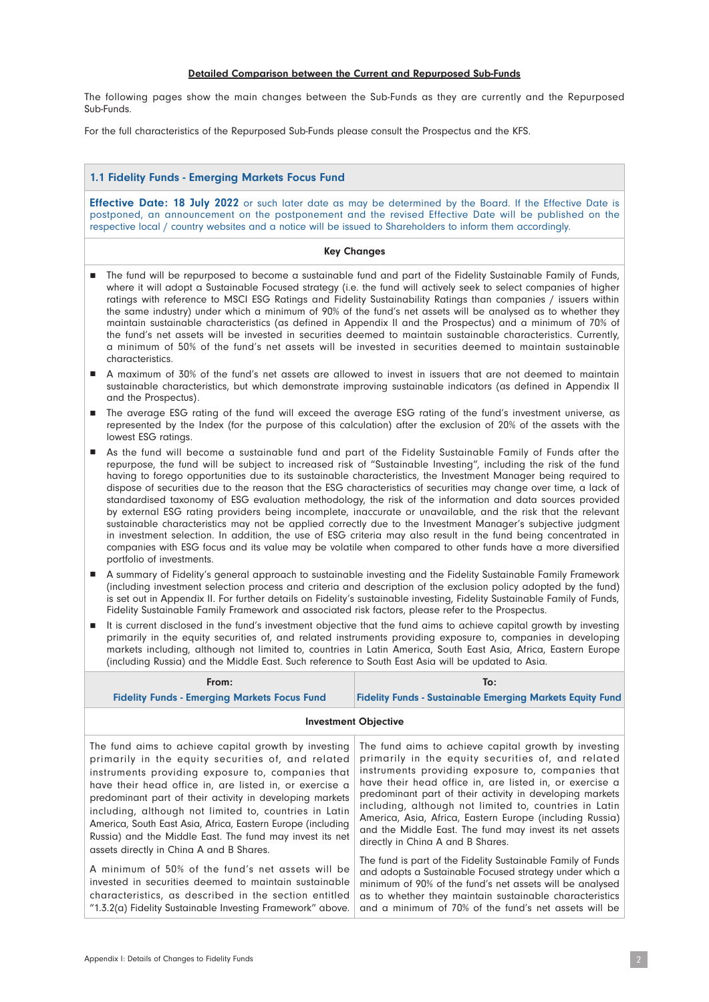#### Detailed Comparison between the Current and Repurposed Sub-Funds

The following pages show the main changes between the Sub-Funds as they are currently and the Repurposed Sub-Funds.

For the full characteristics of the Repurposed Sub-Funds please consult the Prospectus and the KFS.

#### 1.1 Fidelity Funds - Emerging Markets Focus Fund

**Effective Date: 18 July 2022** or such later date as may be determined by the Board. If the Effective Date is postponed, an announcement on the postponement and the revised Effective Date will be published on the respective local / country websites and a notice will be issued to Shareholders to inform them accordingly.

#### Key Changes

- n The fund will be repurposed to become a sustainable fund and part of the Fidelity Sustainable Family of Funds, where it will adopt a Sustainable Focused strategy (i.e. the fund will actively seek to select companies of higher ratings with reference to MSCI ESG Ratings and Fidelity Sustainability Ratings than companies / issuers within the same industry) under which a minimum of 90% of the fund's net assets will be analysed as to whether they maintain sustainable characteristics (as defined in Appendix II and the Prospectus) and a minimum of 70% of the fund's net assets will be invested in securities deemed to maintain sustainable characteristics. Currently, a minimum of 50% of the fund's net assets will be invested in securities deemed to maintain sustainable characteristics.
- n A maximum of 30% of the fund's net assets are allowed to invest in issuers that are not deemed to maintain sustainable characteristics, but which demonstrate improving sustainable indicators (as defined in Appendix II and the Prospectus).
- n The average ESG rating of the fund will exceed the average ESG rating of the fund's investment universe, as represented by the Index (for the purpose of this calculation) after the exclusion of 20% of the assets with the lowest ESG ratings.
- n As the fund will become a sustainable fund and part of the Fidelity Sustainable Family of Funds after the repurpose, the fund will be subject to increased risk of "Sustainable Investing", including the risk of the fund having to forego opportunities due to its sustainable characteristics, the Investment Manager being required to dispose of securities due to the reason that the ESG characteristics of securities may change over time, a lack of standardised taxonomy of ESG evaluation methodology, the risk of the information and data sources provided by external ESG rating providers being incomplete, inaccurate or unavailable, and the risk that the relevant sustainable characteristics may not be applied correctly due to the Investment Manager's subjective judgment in investment selection. In addition, the use of ESG criteria may also result in the fund being concentrated in companies with ESG focus and its value may be volatile when compared to other funds have a more diversified portfolio of investments.
- n A summary of Fidelity's general approach to sustainable investing and the Fidelity Sustainable Family Framework (including investment selection process and criteria and description of the exclusion policy adopted by the fund) is set out in Appendix II. For further details on Fidelity's sustainable investing, Fidelity Sustainable Family of Funds, Fidelity Sustainable Family Framework and associated risk factors, please refer to the Prospectus.
- n It is current disclosed in the fund's investment objective that the fund aims to achieve capital growth by investing primarily in the equity securities of, and related instruments providing exposure to, companies in developing markets including, although not limited to, countries in Latin America, South East Asia, Africa, Eastern Europe (including Russia) and the Middle East. Such reference to South East Asia will be updated to Asia.

| From:<br><b>Fidelity Funds - Emerging Markets Focus Fund</b>                                                                                                                                                                                                                                                                                                                                                                                                                                                                                                                                                                                                                                                                                                 | To:<br><b>Fidelity Funds - Sustainable Emerging Markets Equity Fund</b>                                                                                                                                                                                                                                                                                                                                                                                                                                                                                                                                                                                                                                                                                                                                                 |  |
|--------------------------------------------------------------------------------------------------------------------------------------------------------------------------------------------------------------------------------------------------------------------------------------------------------------------------------------------------------------------------------------------------------------------------------------------------------------------------------------------------------------------------------------------------------------------------------------------------------------------------------------------------------------------------------------------------------------------------------------------------------------|-------------------------------------------------------------------------------------------------------------------------------------------------------------------------------------------------------------------------------------------------------------------------------------------------------------------------------------------------------------------------------------------------------------------------------------------------------------------------------------------------------------------------------------------------------------------------------------------------------------------------------------------------------------------------------------------------------------------------------------------------------------------------------------------------------------------------|--|
| <b>Investment Objective</b>                                                                                                                                                                                                                                                                                                                                                                                                                                                                                                                                                                                                                                                                                                                                  |                                                                                                                                                                                                                                                                                                                                                                                                                                                                                                                                                                                                                                                                                                                                                                                                                         |  |
| The fund aims to achieve capital growth by investing<br>primarily in the equity securities of, and related<br>instruments providing exposure to, companies that<br>have their head office in, are listed in, or exercise a<br>predominant part of their activity in developing markets<br>including, although not limited to, countries in Latin<br>America, South East Asia, Africa, Eastern Europe (including<br>Russia) and the Middle East. The fund may invest its net<br>assets directly in China A and B Shares.<br>A minimum of 50% of the fund's net assets will be<br>invested in securities deemed to maintain sustainable<br>characteristics, as described in the section entitled<br>"1.3.2(a) Fidelity Sustainable Investing Framework" above. | The fund aims to achieve capital growth by investing<br>primarily in the equity securities of, and related<br>instruments providing exposure to, companies that<br>have their head office in, are listed in, or exercise a<br>predominant part of their activity in developing markets<br>including, although not limited to, countries in Latin<br>America, Asia, Africa, Eastern Europe (including Russia)<br>and the Middle East. The fund may invest its net assets<br>directly in China A and B Shares.<br>The fund is part of the Fidelity Sustainable Family of Funds<br>and adopts a Sustainable Focused strategy under which a<br>minimum of 90% of the fund's net assets will be analysed<br>as to whether they maintain sustainable characteristics<br>and a minimum of 70% of the fund's net assets will be |  |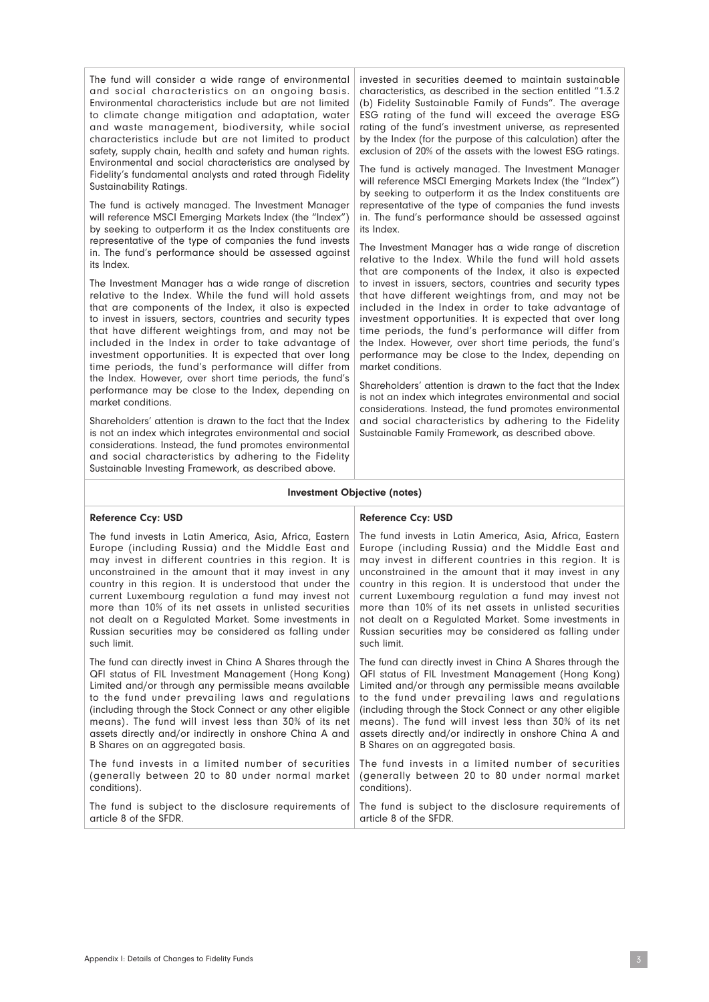The fund will consider a wide range of environmental and social characteristics on an ongoing basis. Environmental characteristics include but are not limited to climate change mitigation and adaptation, water and waste management, biodiversity, while social characteristics include but are not limited to product safety, supply chain, health and safety and human rights. Environmental and social characteristics are analysed by Fidelity's fundamental analysts and rated through Fidelity Sustainability Ratings.

The fund is actively managed. The Investment Manager will reference MSCI Emerging Markets Index (the "Index") by seeking to outperform it as the Index constituents are representative of the type of companies the fund invests in. The fund's performance should be assessed against its Index.

The Investment Manager has a wide range of discretion relative to the Index. While the fund will hold assets that are components of the Index, it also is expected to invest in issuers, sectors, countries and security types that have different weightings from, and may not be included in the Index in order to take advantage of investment opportunities. It is expected that over long time periods, the fund's performance will differ from the Index. However, over short time periods, the fund's performance may be close to the Index, depending on market conditions.

Shareholders' attention is drawn to the fact that the Index is not an index which integrates environmental and social considerations. Instead, the fund promotes environmental and social characteristics by adhering to the Fidelity Sustainable Investing Framework, as described above.

invested in securities deemed to maintain sustainable characteristics, as described in the section entitled "1.3.2 (b) Fidelity Sustainable Family of Funds". The average ESG rating of the fund will exceed the average ESG rating of the fund's investment universe, as represented by the Index (for the purpose of this calculation) after the exclusion of 20% of the assets with the lowest ESG ratings.

The fund is actively managed. The Investment Manager will reference MSCI Emerging Markets Index (the "Index") by seeking to outperform it as the Index constituents are representative of the type of companies the fund invests in. The fund's performance should be assessed against its Index.

The Investment Manager has a wide range of discretion relative to the Index. While the fund will hold assets that are components of the Index, it also is expected to invest in issuers, sectors, countries and security types that have different weightings from, and may not be included in the Index in order to take advantage of investment opportunities. It is expected that over long time periods, the fund's performance will differ from the Index. However, over short time periods, the fund's performance may be close to the Index, depending on market conditions.

Shareholders' attention is drawn to the fact that the Index is not an index which integrates environmental and social considerations. Instead, the fund promotes environmental and social characteristics by adhering to the Fidelity Sustainable Family Framework, as described above.

The fund invests in Latin America, Asia, Africa, Eastern Europe (including Russia) and the Middle East and may invest in different countries in this region. It is unconstrained in the amount that it may invest in any country in this region. It is understood that under the current Luxembourg regulation a fund may invest not more than 10% of its net assets in unlisted securities not dealt on a Regulated Market. Some investments in Russian securities may be considered as falling under

The fund can directly invest in China A Shares through the QFI status of FIL Investment Management (Hong Kong) Limited and/or through any permissible means available to the fund under prevailing laws and regulations (including through the Stock Connect or any other eligible means). The fund will invest less than 30% of its net assets directly and/or indirectly in onshore China A and

The fund invests in a limited number of securities (generally between 20 to 80 under normal market

B Shares on an aggregated basis.

#### Investment Objective (notes)

#### Reference Ccy: USD

#### Reference Ccy: USD

such limit.

conditions).

The fund invests in Latin America, Asia, Africa, Eastern Europe (including Russia) and the Middle East and may invest in different countries in this region. It is unconstrained in the amount that it may invest in any country in this region. It is understood that under the current Luxembourg regulation a fund may invest not more than 10% of its net assets in unlisted securities not dealt on a Regulated Market. Some investments in Russian securities may be considered as falling under such limit.

The fund can directly invest in China A Shares through the QFI status of FIL Investment Management (Hong Kong) Limited and/or through any permissible means available to the fund under prevailing laws and regulations (including through the Stock Connect or any other eligible means). The fund will invest less than 30% of its net assets directly and/or indirectly in onshore China A and B Shares on an aggregated basis.

The fund invests in a limited number of securities (generally between 20 to 80 under normal market conditions).

The fund is subject to the disclosure requirements of article 8 of the SFDR. The fund is subject to the disclosure requirements of article 8 of the SFDR.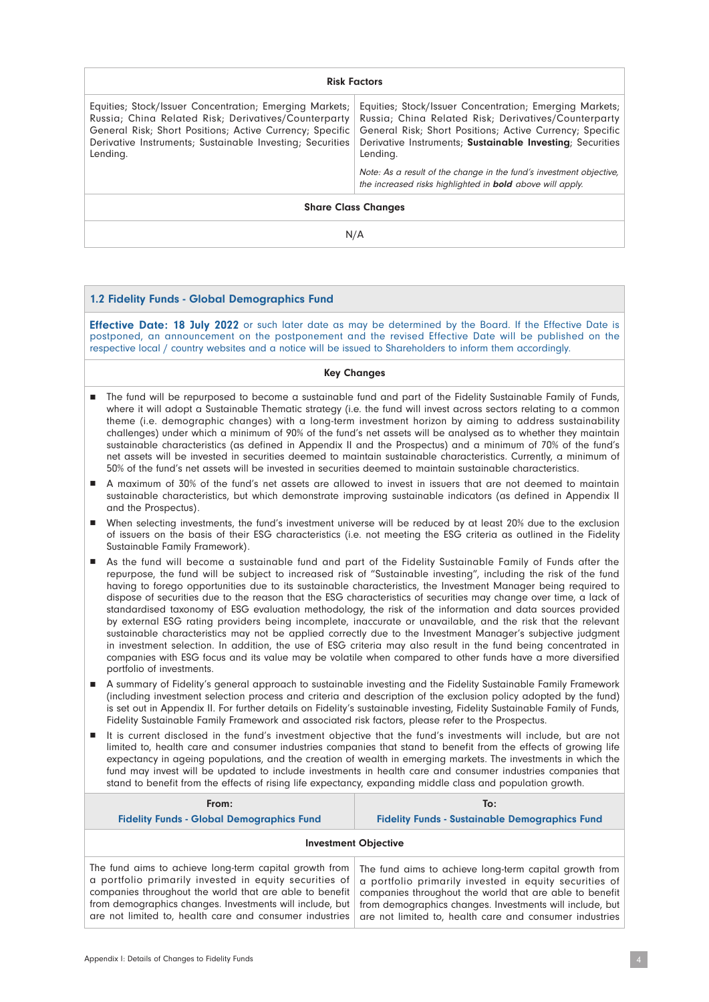| <b>Risk Factors</b>                                                                                                                                                                                                                                  |                                                                                                                                                                                                                                                      |  |
|------------------------------------------------------------------------------------------------------------------------------------------------------------------------------------------------------------------------------------------------------|------------------------------------------------------------------------------------------------------------------------------------------------------------------------------------------------------------------------------------------------------|--|
| Equities; Stock/Issuer Concentration; Emerging Markets;<br>Russia; China Related Risk; Derivatives/Counterparty<br>General Risk; Short Positions; Active Currency; Specific<br>Derivative Instruments; Sustainable Investing; Securities<br>Lending. | Equities; Stock/Issuer Concentration; Emerging Markets;<br>Russia; China Related Risk; Derivatives/Counterparty<br>General Risk; Short Positions; Active Currency; Specific<br>Derivative Instruments; Sustainable Investing; Securities<br>Lending. |  |
|                                                                                                                                                                                                                                                      | Note: As a result of the change in the fund's investment objective,<br>the increased risks highlighted in <b>bold</b> above will apply.                                                                                                              |  |
| <b>Share Class Changes</b>                                                                                                                                                                                                                           |                                                                                                                                                                                                                                                      |  |
| N/A                                                                                                                                                                                                                                                  |                                                                                                                                                                                                                                                      |  |

#### 1.2 Fidelity Funds - Global Demographics Fund

**Effective Date: 18 July 2022** or such later date as may be determined by the Board. If the Effective Date is postponed, an announcement on the postponement and the revised Effective Date will be published on the respective local / country websites and a notice will be issued to Shareholders to inform them accordingly.

#### Key Changes

- n The fund will be repurposed to become a sustainable fund and part of the Fidelity Sustainable Family of Funds, where it will adopt a Sustainable Thematic strategy (i.e. the fund will invest across sectors relating to a common theme (i.e. demographic changes) with a long-term investment horizon by aiming to address sustainability challenges) under which a minimum of 90% of the fund's net assets will be analysed as to whether they maintain sustainable characteristics (as defined in Appendix II and the Prospectus) and a minimum of 70% of the fund's net assets will be invested in securities deemed to maintain sustainable characteristics. Currently, a minimum of 50% of the fund's net assets will be invested in securities deemed to maintain sustainable characteristics.
- n A maximum of 30% of the fund's net assets are allowed to invest in issuers that are not deemed to maintain sustainable characteristics, but which demonstrate improving sustainable indicators (as defined in Appendix II and the Prospectus).
- n When selecting investments, the fund's investment universe will be reduced by at least 20% due to the exclusion of issuers on the basis of their ESG characteristics (i.e. not meeting the ESG criteria as outlined in the Fidelity Sustainable Family Framework).
- n As the fund will become a sustainable fund and part of the Fidelity Sustainable Family of Funds after the repurpose, the fund will be subject to increased risk of "Sustainable investing", including the risk of the fund having to forego opportunities due to its sustainable characteristics, the Investment Manager being required to dispose of securities due to the reason that the ESG characteristics of securities may change over time, a lack of standardised taxonomy of ESG evaluation methodology, the risk of the information and data sources provided by external ESG rating providers being incomplete, inaccurate or unavailable, and the risk that the relevant sustainable characteristics may not be applied correctly due to the Investment Manager's subjective judgment in investment selection. In addition, the use of ESG criteria may also result in the fund being concentrated in companies with ESG focus and its value may be volatile when compared to other funds have a more diversified portfolio of investments.
- n A summary of Fidelity's general approach to sustainable investing and the Fidelity Sustainable Family Framework (including investment selection process and criteria and description of the exclusion policy adopted by the fund) is set out in Appendix II. For further details on Fidelity's sustainable investing, Fidelity Sustainable Family of Funds, Fidelity Sustainable Family Framework and associated risk factors, please refer to the Prospectus.
- n It is current disclosed in the fund's investment objective that the fund's investments will include, but are not limited to, health care and consumer industries companies that stand to benefit from the effects of growing life expectancy in ageing populations, and the creation of wealth in emerging markets. The investments in which the fund may invest will be updated to include investments in health care and consumer industries companies that stand to benefit from the effects of rising life expectancy, expanding middle class and population growth.

| From:                                                    | To:                                                      |  |
|----------------------------------------------------------|----------------------------------------------------------|--|
| <b>Fidelity Funds - Global Demographics Fund</b>         | <b>Fidelity Funds - Sustainable Demographics Fund</b>    |  |
| <b>Investment Objective</b>                              |                                                          |  |
| The fund aims to achieve long-term capital growth from   | The fund aims to achieve long-term capital growth from   |  |
| a portfolio primarily invested in equity securities of   | a portfolio primarily invested in equity securities of   |  |
| companies throughout the world that are able to benefit  | companies throughout the world that are able to benefit  |  |
| from demographics changes. Investments will include, but | from demographics changes. Investments will include, but |  |
| are not limited to, health care and consumer industries  | are not limited to, health care and consumer industries  |  |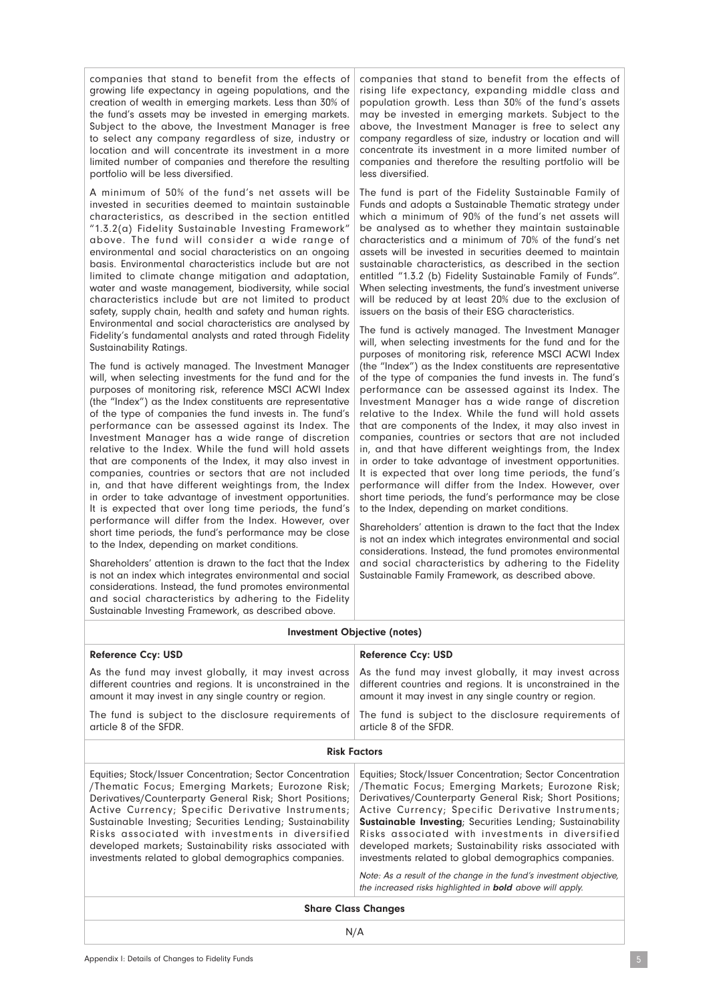companies that stand to benefit from the effects of growing life expectancy in ageing populations, and the creation of wealth in emerging markets. Less than 30% of the fund's assets may be invested in emerging markets. Subject to the above, the Investment Manager is free to select any company regardless of size, industry or location and will concentrate its investment in a more limited number of companies and therefore the resulting portfolio will be less diversified.

A minimum of 50% of the fund's net assets will be invested in securities deemed to maintain sustainable characteristics, as described in the section entitled "1.3.2(a) Fidelity Sustainable Investing Framework" above. The fund will consider a wide range of environmental and social characteristics on an ongoing basis. Environmental characteristics include but are not limited to climate change mitigation and adaptation, water and waste management, biodiversity, while social characteristics include but are not limited to product safety, supply chain, health and safety and human rights. Environmental and social characteristics are analysed by Fidelity's fundamental analysts and rated through Fidelity Sustainability Ratings.

The fund is actively managed. The Investment Manager will, when selecting investments for the fund and for the purposes of monitoring risk, reference MSCI ACWI Index (the "Index") as the Index constituents are representative of the type of companies the fund invests in. The fund's performance can be assessed against its Index. The Investment Manager has a wide range of discretion relative to the Index. While the fund will hold assets that are components of the Index, it may also invest in companies, countries or sectors that are not included in, and that have different weightings from, the Index in order to take advantage of investment opportunities. It is expected that over long time periods, the fund's performance will differ from the Index. However, over short time periods, the fund's performance may be close to the Index, depending on market conditions.

Shareholders' attention is drawn to the fact that the Index is not an index which integrates environmental and social considerations. Instead, the fund promotes environmental and social characteristics by adhering to the Fidelity Sustainable Investing Framework, as described above.

companies that stand to benefit from the effects of rising life expectancy, expanding middle class and population growth. Less than 30% of the fund's assets may be invested in emerging markets. Subject to the above, the Investment Manager is free to select any company regardless of size, industry or location and will concentrate its investment in a more limited number of companies and therefore the resulting portfolio will be less diversified.

The fund is part of the Fidelity Sustainable Family of Funds and adopts a Sustainable Thematic strategy under which a minimum of 90% of the fund's net assets will be analysed as to whether they maintain sustainable characteristics and a minimum of 70% of the fund's net assets will be invested in securities deemed to maintain sustainable characteristics, as described in the section entitled "1.3.2 (b) Fidelity Sustainable Family of Funds". When selecting investments, the fund's investment universe will be reduced by at least 20% due to the exclusion of issuers on the basis of their ESG characteristics.

The fund is actively managed. The Investment Manager will, when selecting investments for the fund and for the purposes of monitoring risk, reference MSCI ACWI Index (the "Index") as the Index constituents are representative of the type of companies the fund invests in. The fund's performance can be assessed against its Index. The Investment Manager has a wide range of discretion relative to the Index. While the fund will hold assets that are components of the Index, it may also invest in companies, countries or sectors that are not included in, and that have different weightings from, the Index in order to take advantage of investment opportunities. It is expected that over long time periods, the fund's performance will differ from the Index. However, over short time periods, the fund's performance may be close to the Index, depending on market conditions.

Shareholders' attention is drawn to the fact that the Index is not an index which integrates environmental and social considerations. Instead, the fund promotes environmental and social characteristics by adhering to the Fidelity Sustainable Family Framework, as described above.

#### Investment Objective (notes)

| <b>Reference Ccy: USD</b>                                                                                                                                                                                                                                                                                                                                                                                                                                            | <b>Reference Ccy: USD</b>                                                                                                                                                                                                                                                                                                                                                                                                                                                                                                                                                                                               |  |
|----------------------------------------------------------------------------------------------------------------------------------------------------------------------------------------------------------------------------------------------------------------------------------------------------------------------------------------------------------------------------------------------------------------------------------------------------------------------|-------------------------------------------------------------------------------------------------------------------------------------------------------------------------------------------------------------------------------------------------------------------------------------------------------------------------------------------------------------------------------------------------------------------------------------------------------------------------------------------------------------------------------------------------------------------------------------------------------------------------|--|
| As the fund may invest globally, it may invest across<br>different countries and regions. It is unconstrained in the<br>amount it may invest in any single country or region.                                                                                                                                                                                                                                                                                        | As the fund may invest globally, it may invest across<br>different countries and regions. It is unconstrained in the<br>amount it may invest in any single country or region.                                                                                                                                                                                                                                                                                                                                                                                                                                           |  |
| The fund is subject to the disclosure requirements of<br>article 8 of the SFDR.                                                                                                                                                                                                                                                                                                                                                                                      | The fund is subject to the disclosure requirements of<br>article 8 of the SFDR.                                                                                                                                                                                                                                                                                                                                                                                                                                                                                                                                         |  |
| <b>Risk Factors</b>                                                                                                                                                                                                                                                                                                                                                                                                                                                  |                                                                                                                                                                                                                                                                                                                                                                                                                                                                                                                                                                                                                         |  |
| Equities; Stock/Issuer Concentration; Sector Concentration<br>/Thematic Focus; Emerging Markets; Eurozone Risk;<br>Derivatives/Counterparty General Risk; Short Positions;<br>Active Currency; Specific Derivative Instruments;<br>Sustainable Investing; Securities Lending; Sustainability<br>Risks associated with investments in diversified<br>developed markets; Sustainability risks associated with<br>investments related to global demographics companies. | Equities; Stock/Issuer Concentration; Sector Concentration<br>/Thematic Focus; Emerging Markets; Eurozone Risk;<br>Derivatives/Counterparty General Risk; Short Positions;<br>Active Currency; Specific Derivative Instruments;<br><b>Sustainable Investing</b> ; Securities Lending; Sustainability<br>Risks associated with investments in diversified<br>developed markets; Sustainability risks associated with<br>investments related to global demographics companies.<br>Note: As a result of the change in the fund's investment objective,<br>the increased risks highlighted in <b>bold</b> above will apply. |  |
| <b>Share Class Changes</b>                                                                                                                                                                                                                                                                                                                                                                                                                                           |                                                                                                                                                                                                                                                                                                                                                                                                                                                                                                                                                                                                                         |  |
| N/A                                                                                                                                                                                                                                                                                                                                                                                                                                                                  |                                                                                                                                                                                                                                                                                                                                                                                                                                                                                                                                                                                                                         |  |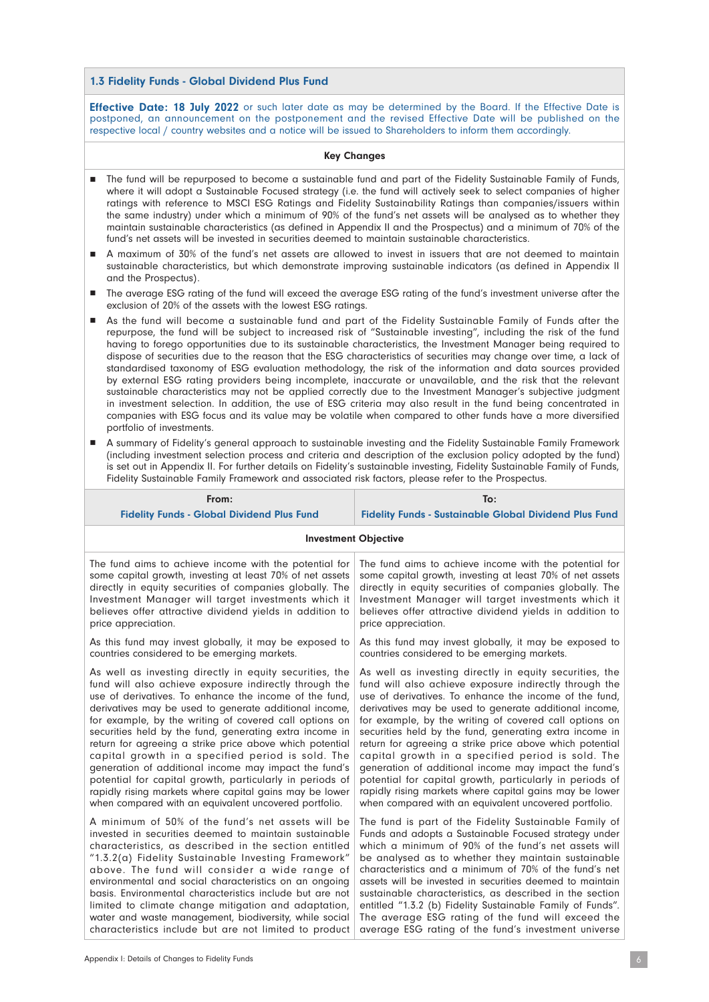#### 1.3 Fidelity Funds - Global Dividend Plus Fund

From:

**Effective Date: 18 July 2022** or such later date as may be determined by the Board. If the Effective Date is postponed, an announcement on the postponement and the revised Effective Date will be published on the respective local / country websites and a notice will be issued to Shareholders to inform them accordingly.

#### Key Changes

- n The fund will be repurposed to become a sustainable fund and part of the Fidelity Sustainable Family of Funds, where it will adopt a Sustainable Focused strategy (i.e. the fund will actively seek to select companies of higher ratings with reference to MSCI ESG Ratings and Fidelity Sustainability Ratings than companies/issuers within the same industry) under which a minimum of 90% of the fund's net assets will be analysed as to whether they maintain sustainable characteristics (as defined in Appendix II and the Prospectus) and a minimum of 70% of the fund's net assets will be invested in securities deemed to maintain sustainable characteristics.
- n A maximum of 30% of the fund's net assets are allowed to invest in issuers that are not deemed to maintain sustainable characteristics, but which demonstrate improving sustainable indicators (as defined in Appendix II and the Prospectus).
- n The average ESG rating of the fund will exceed the average ESG rating of the fund's investment universe after the exclusion of 20% of the assets with the lowest ESG ratings.
- As the fund will become a sustainable fund and part of the Fidelity Sustainable Family of Funds after the repurpose, the fund will be subject to increased risk of "Sustainable investing", including the risk of the fund having to forego opportunities due to its sustainable characteristics, the Investment Manager being required to dispose of securities due to the reason that the ESG characteristics of securities may change over time, a lack of standardised taxonomy of ESG evaluation methodology, the risk of the information and data sources provided by external ESG rating providers being incomplete, inaccurate or unavailable, and the risk that the relevant sustainable characteristics may not be applied correctly due to the Investment Manager's subjective judgment in investment selection. In addition, the use of ESG criteria may also result in the fund being concentrated in companies with ESG focus and its value may be volatile when compared to other funds have a more diversified portfolio of investments.
- n A summary of Fidelity's general approach to sustainable investing and the Fidelity Sustainable Family Framework (including investment selection process and criteria and description of the exclusion policy adopted by the fund) is set out in Appendix II. For further details on Fidelity's sustainable investing, Fidelity Sustainable Family of Funds, Fidelity Sustainable Family Framework and associated risk factors, please refer to the Prospectus.

To:

| гічін.                                                    |                                                               |  |
|-----------------------------------------------------------|---------------------------------------------------------------|--|
| <b>Fidelity Funds - Global Dividend Plus Fund</b>         | <b>Fidelity Funds - Sustainable Global Dividend Plus Fund</b> |  |
| <b>Investment Objective</b>                               |                                                               |  |
| The fund aims to achieve income with the potential for    | The fund aims to achieve income with the potential for        |  |
| some capital growth, investing at least 70% of net assets | some capital growth, investing at least 70% of net assets     |  |
| directly in equity securities of companies globally. The  | directly in equity securities of companies globally. The      |  |
| Investment Manager will target investments which it       | Investment Manager will target investments which it           |  |
| believes offer attractive dividend yields in addition to  | believes offer attractive dividend yields in addition to      |  |
| price appreciation.                                       | price appreciation.                                           |  |
| As this fund may invest globally, it may be exposed to    | As this fund may invest globally, it may be exposed to        |  |
| countries considered to be emerging markets.              | countries considered to be emerging markets.                  |  |
| As well as investing directly in equity securities, the   | As well as investing directly in equity securities, the       |  |
| fund will also achieve exposure indirectly through the    | fund will also achieve exposure indirectly through the        |  |
| use of derivatives. To enhance the income of the fund,    | use of derivatives. To enhance the income of the fund,        |  |
| derivatives may be used to generate additional income,    | derivatives may be used to generate additional income,        |  |
| for example, by the writing of covered call options on    | for example, by the writing of covered call options on        |  |
| securities held by the fund, generating extra income in   | securities held by the fund, generating extra income in       |  |
| return for agreeing a strike price above which potential  | return for agreeing a strike price above which potential      |  |
| capital growth in a specified period is sold. The         | capital growth in a specified period is sold. The             |  |
| generation of additional income may impact the fund's     | generation of additional income may impact the fund's         |  |
| potential for capital growth, particularly in periods of  | potential for capital growth, particularly in periods of      |  |
| rapidly rising markets where capital gains may be lower   | rapidly rising markets where capital gains may be lower       |  |
| when compared with an equivalent uncovered portfolio.     | when compared with an equivalent uncovered portfolio.         |  |
| A minimum of 50% of the fund's net assets will be         | The fund is part of the Fidelity Sustainable Family of        |  |
| invested in securities deemed to maintain sustainable     | Funds and adopts a Sustainable Focused strategy under         |  |
| characteristics, as described in the section entitled     | which a minimum of 90% of the fund's net assets will          |  |
| "1.3.2(a) Fidelity Sustainable Investing Framework"       | be analysed as to whether they maintain sustainable           |  |
| above. The fund will consider a wide range of             | characteristics and a minimum of 70% of the fund's net        |  |
| environmental and social characteristics on an ongoing    | assets will be invested in securities deemed to maintain      |  |
| basis. Environmental characteristics include but are not  | sustainable characteristics, as described in the section      |  |
| limited to climate change mitigation and adaptation,      | entitled "1.3.2 (b) Fidelity Sustainable Family of Funds".    |  |
| water and waste management, biodiversity, while social    | The average ESG rating of the fund will exceed the            |  |
| characteristics include but are not limited to product    | average ESG rating of the fund's investment universe          |  |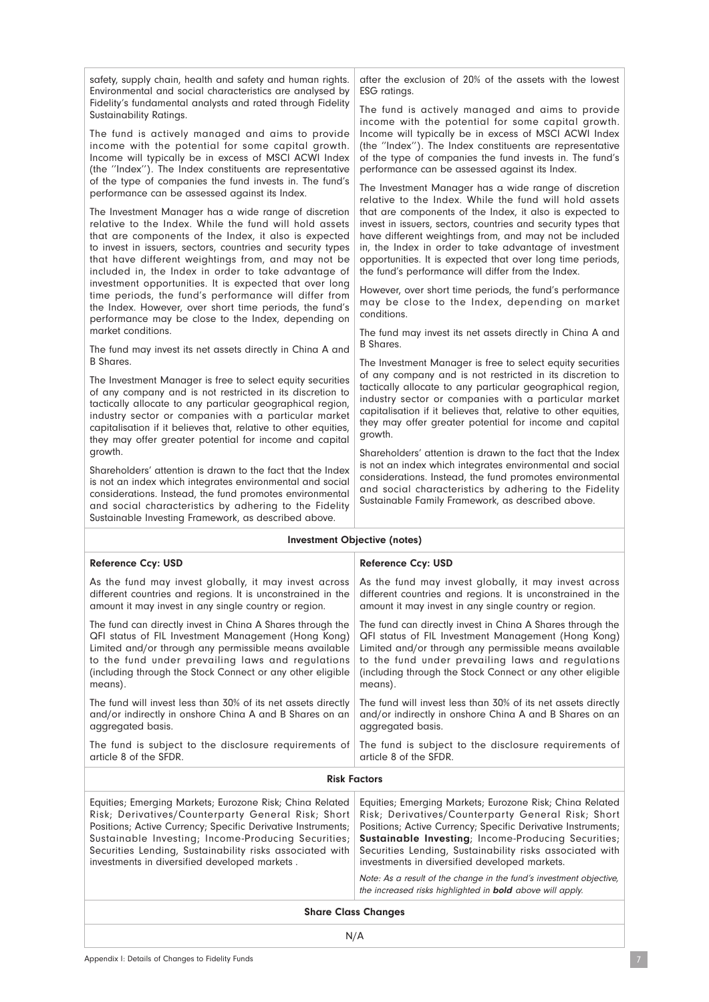safety, supply chain, health and safety and human rights. Environmental and social characteristics are analysed by Fidelity's fundamental analysts and rated through Fidelity Sustainability Ratings. The fund is actively managed and aims to provide income with the potential for some capital growth. Income will typically be in excess of MSCI ACWI Index (the ''Index''). The Index constituents are representative of the type of companies the fund invests in. The fund's performance can be assessed against its Index. The Investment Manager has a wide range of discretion relative to the Index. While the fund will hold assets that are components of the Index, it also is expected to invest in issuers, sectors, countries and security types that have different weightings from, and may not be included in, the Index in order to take advantage of investment opportunities. It is expected that over long time periods, the fund's performance will differ from the Index. However, over short time periods, the fund's performance may be close to the Index, depending on market conditions. The fund may invest its net assets directly in China A and B Shares. The Investment Manager is free to select equity securities of any company and is not restricted in its discretion to tactically allocate to any particular geographical region, industry sector or companies with a particular market capitalisation if it believes that, relative to other equities, they may offer greater potential for income and capital growth. Shareholders' attention is drawn to the fact that the Index is not an index which integrates environmental and social considerations. Instead, the fund promotes environmental and social characteristics by adhering to the Fidelity Sustainable Investing Framework, as described above. after the exclusion of 20% of the assets with the lowest ESG ratings. The fund is actively managed and aims to provide income with the potential for some capital growth. Income will typically be in excess of MSCI ACWI Index (the ''Index''). The Index constituents are representative of the type of companies the fund invests in. The fund's performance can be assessed against its Index. The Investment Manager has a wide range of discretion relative to the Index. While the fund will hold assets that are components of the Index, it also is expected to invest in issuers, sectors, countries and security types that have different weightings from, and may not be included in, the Index in order to take advantage of investment opportunities. It is expected that over long time periods, the fund's performance will differ from the Index. However, over short time periods, the fund's performance may be close to the Index, depending on market conditions. The fund may invest its net assets directly in China A and B Shares. The Investment Manager is free to select equity securities of any company and is not restricted in its discretion to tactically allocate to any particular geographical region, industry sector or companies with a particular market capitalisation if it believes that, relative to other equities, they may offer greater potential for income and capital growth. Shareholders' attention is drawn to the fact that the Index is not an index which integrates environmental and social considerations. Instead, the fund promotes environmental and social characteristics by adhering to the Fidelity Sustainable Family Framework, as described above. Investment Objective (notes) Reference Ccy: USD As the fund may invest globally, it may invest across different countries and regions. It is unconstrained in the amount it may invest in any single country or region. The fund can directly invest in China A Shares through the QFI status of FIL Investment Management (Hong Kong) Limited and/or through any permissible means available Reference Ccy: USD As the fund may invest globally, it may invest across different countries and regions. It is unconstrained in the amount it may invest in any single country or region. The fund can directly invest in China A Shares through the QFI status of FIL Investment Management (Hong Kong) Limited and/or through any permissible means available

to the fund under prevailing laws and regulations (including through the Stock Connect or any other eligible The fund will invest less than 30% of its net assets directly to the fund under prevailing laws and regulations (including through the Stock Connect or any other eligible means). The fund will invest less than 30% of its net assets directly

aggregated basis. The fund is subject to the disclosure requirements of article 8 of the SFDR. aggregated basis. The fund is subject to the disclosure requirements of article 8 of the SFDR.

and/or indirectly in onshore China A and B Shares on an

#### Risk Factors

and/or indirectly in onshore China A and B Shares on an

| Equities; Emerging Markets; Eurozone Risk; China Related<br>Risk: Derivatives/Counterparty General Risk: Short<br>Positions; Active Currency; Specific Derivative Instruments;<br>Sustainable Investing; Income-Producing Securities;<br>Securities Lending, Sustainability risks associated with<br>investments in diversified developed markets. | Equities; Emerging Markets; Eurozone Risk; China Related<br>Risk; Derivatives/Counterparty General Risk; Short<br>Positions; Active Currency; Specific Derivative Instruments;<br><b>Sustainable Investing</b> ; Income-Producing Securities;<br>Securities Lending, Sustainability risks associated with<br>investments in diversified developed markets.<br>Note: As a result of the change in the fund's investment objective,<br>the increased risks highlighted in <b>bold</b> above will apply. |
|----------------------------------------------------------------------------------------------------------------------------------------------------------------------------------------------------------------------------------------------------------------------------------------------------------------------------------------------------|-------------------------------------------------------------------------------------------------------------------------------------------------------------------------------------------------------------------------------------------------------------------------------------------------------------------------------------------------------------------------------------------------------------------------------------------------------------------------------------------------------|
|                                                                                                                                                                                                                                                                                                                                                    |                                                                                                                                                                                                                                                                                                                                                                                                                                                                                                       |

Share Class Changes

means).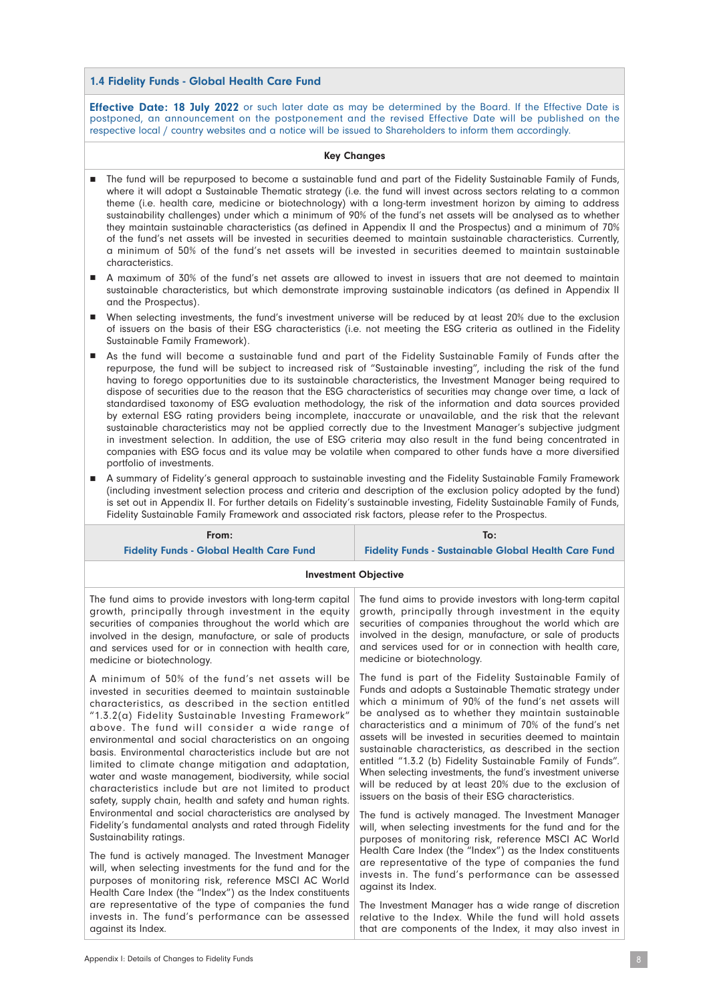### 1.4 Fidelity Funds - Global Health Care Fund

**Effective Date: 18 July 2022** or such later date as may be determined by the Board. If the Effective Date is postponed, an announcement on the postponement and the revised Effective Date will be published on the respective local / country websites and a notice will be issued to Shareholders to inform them accordingly.

# Key Changes

- n The fund will be repurposed to become a sustainable fund and part of the Fidelity Sustainable Family of Funds, where it will adopt a Sustainable Thematic strategy (i.e. the fund will invest across sectors relating to a common theme (i.e. health care, medicine or biotechnology) with a long-term investment horizon by aiming to address sustainability challenges) under which a minimum of 90% of the fund's net assets will be analysed as to whether they maintain sustainable characteristics (as defined in Appendix II and the Prospectus) and a minimum of 70% of the fund's net assets will be invested in securities deemed to maintain sustainable characteristics. Currently, a minimum of 50% of the fund's net assets will be invested in securities deemed to maintain sustainable characteristics.
- n A maximum of 30% of the fund's net assets are allowed to invest in issuers that are not deemed to maintain sustainable characteristics, but which demonstrate improving sustainable indicators (as defined in Appendix II and the Prospectus).
- n When selecting investments, the fund's investment universe will be reduced by at least 20% due to the exclusion of issuers on the basis of their ESG characteristics (i.e. not meeting the ESG criteria as outlined in the Fidelity Sustainable Family Framework).
- n As the fund will become a sustainable fund and part of the Fidelity Sustainable Family of Funds after the repurpose, the fund will be subject to increased risk of "Sustainable investing", including the risk of the fund having to forego opportunities due to its sustainable characteristics, the Investment Manager being required to dispose of securities due to the reason that the ESG characteristics of securities may change over time, a lack of standardised taxonomy of ESG evaluation methodology, the risk of the information and data sources provided by external ESG rating providers being incomplete, inaccurate or unavailable, and the risk that the relevant sustainable characteristics may not be applied correctly due to the Investment Manager's subjective judgment in investment selection. In addition, the use of ESG criteria may also result in the fund being concentrated in companies with ESG focus and its value may be volatile when compared to other funds have a more diversified portfolio of investments.
- n A summary of Fidelity's general approach to sustainable investing and the Fidelity Sustainable Family Framework (including investment selection process and criteria and description of the exclusion policy adopted by the fund) is set out in Appendix II. For further details on Fidelity's sustainable investing, Fidelity Sustainable Family of Funds, Fidelity Sustainable Family Framework and associated risk factors, please refer to the Prospectus.

| From:                                                      | To:                                                         |  |
|------------------------------------------------------------|-------------------------------------------------------------|--|
| <b>Fidelity Funds - Global Health Care Fund</b>            | <b>Fidelity Funds - Sustainable Global Health Care Fund</b> |  |
| <b>Investment Objective</b>                                |                                                             |  |
| The fund aims to provide investors with long-term capital  | The fund aims to provide investors with long-term capital   |  |
| growth, principally through investment in the equity       | growth, principally through investment in the equity        |  |
| securities of companies throughout the world which are     | securities of companies throughout the world which are      |  |
| involved in the design, manufacture, or sale of products   | involved in the design, manufacture, or sale of products    |  |
| and services used for or in connection with health care,   | and services used for or in connection with health care,    |  |
| medicine or biotechnology.                                 | medicine or biotechnology.                                  |  |
| A minimum of 50% of the fund's net assets will be          | The fund is part of the Fidelity Sustainable Family of      |  |
| invested in securities deemed to maintain sustainable      | Funds and adopts a Sustainable Thematic strategy under      |  |
| characteristics, as described in the section entitled      | which a minimum of 90% of the fund's net assets will        |  |
| "1.3.2(a) Fidelity Sustainable Investing Framework"        | be analysed as to whether they maintain sustainable         |  |
| above. The fund will consider a wide range of              | characteristics and a minimum of 70% of the fund's net      |  |
| environmental and social characteristics on an ongoing     | assets will be invested in securities deemed to maintain    |  |
| basis. Environmental characteristics include but are not   | sustainable characteristics, as described in the section    |  |
| limited to climate change mitigation and adaptation,       | entitled "1.3.2 (b) Fidelity Sustainable Family of Funds".  |  |
| water and waste management, biodiversity, while social     | When selecting investments, the fund's investment universe  |  |
| characteristics include but are not limited to product     | will be reduced by at least 20% due to the exclusion of     |  |
| safety, supply chain, health and safety and human rights.  | issuers on the basis of their ESG characteristics.          |  |
| Environmental and social characteristics are analysed by   | The fund is actively managed. The Investment Manager        |  |
| Fidelity's fundamental analysts and rated through Fidelity | will, when selecting investments for the fund and for the   |  |
| Sustainability ratings.                                    | purposes of monitoring risk, reference MSCI AC World        |  |
| The fund is actively managed. The Investment Manager       | Health Care Index (the "Index") as the Index constituents   |  |
| will, when selecting investments for the fund and for the  | are representative of the type of companies the fund        |  |
| purposes of monitoring risk, reference MSCI AC World       | invests in. The fund's performance can be assessed          |  |
| Health Care Index (the "Index") as the Index constituents  | against its Index.                                          |  |
| are representative of the type of companies the fund       | The Investment Manager has a wide range of discretion       |  |
| invests in. The fund's performance can be assessed         | relative to the Index. While the fund will hold assets      |  |
| against its Index.                                         | that are components of the Index, it may also invest in     |  |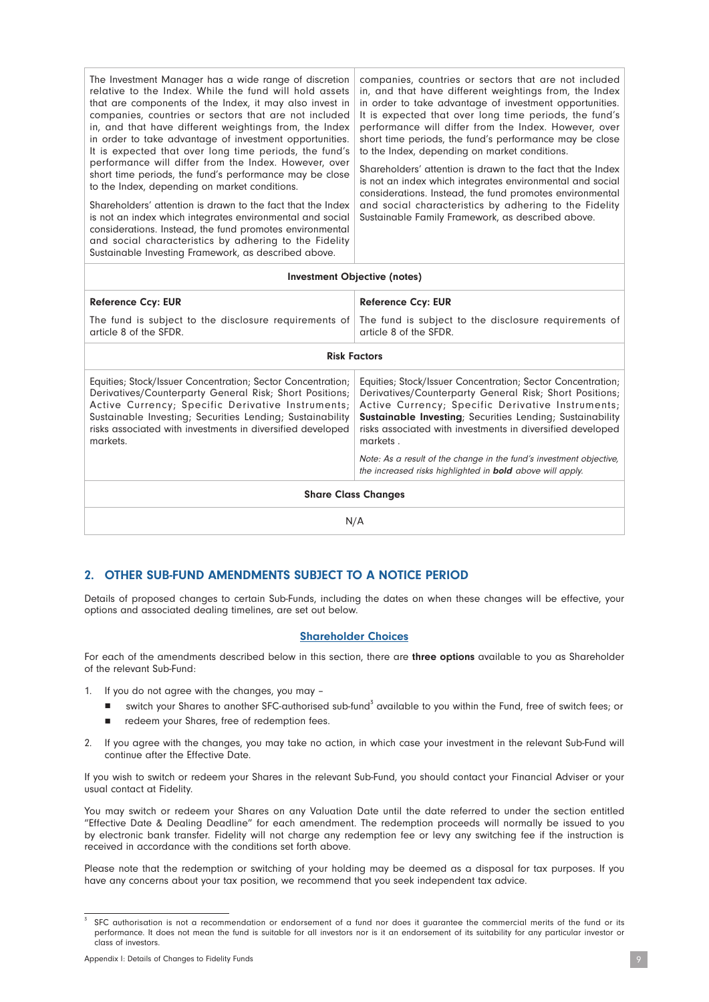| The Investment Manager has a wide range of discretion<br>relative to the Index. While the fund will hold assets<br>that are components of the Index, it may also invest in<br>companies, countries or sectors that are not included<br>in, and that have different weightings from, the Index<br>in order to take advantage of investment opportunities.<br>It is expected that over long time periods, the fund's<br>performance will differ from the Index. However, over<br>short time periods, the fund's performance may be close<br>to the Index, depending on market conditions.<br>Shareholders' attention is drawn to the fact that the Index<br>is not an index which integrates environmental and social<br>considerations. Instead, the fund promotes environmental<br>and social characteristics by adhering to the Fidelity<br>Sustainable Investing Framework, as described above. | companies, countries or sectors that are not included<br>in, and that have different weightings from, the Index<br>in order to take advantage of investment opportunities.<br>It is expected that over long time periods, the fund's<br>performance will differ from the Index. However, over<br>short time periods, the fund's performance may be close<br>to the Index, depending on market conditions.<br>Shareholders' attention is drawn to the fact that the Index<br>is not an index which integrates environmental and social<br>considerations. Instead, the fund promotes environmental<br>and social characteristics by adhering to the Fidelity<br>Sustainable Family Framework, as described above. |  |  |
|---------------------------------------------------------------------------------------------------------------------------------------------------------------------------------------------------------------------------------------------------------------------------------------------------------------------------------------------------------------------------------------------------------------------------------------------------------------------------------------------------------------------------------------------------------------------------------------------------------------------------------------------------------------------------------------------------------------------------------------------------------------------------------------------------------------------------------------------------------------------------------------------------|------------------------------------------------------------------------------------------------------------------------------------------------------------------------------------------------------------------------------------------------------------------------------------------------------------------------------------------------------------------------------------------------------------------------------------------------------------------------------------------------------------------------------------------------------------------------------------------------------------------------------------------------------------------------------------------------------------------|--|--|
| Investment Objective (notes)                                                                                                                                                                                                                                                                                                                                                                                                                                                                                                                                                                                                                                                                                                                                                                                                                                                                      |                                                                                                                                                                                                                                                                                                                                                                                                                                                                                                                                                                                                                                                                                                                  |  |  |
| <b>Reference Ccy: EUR</b>                                                                                                                                                                                                                                                                                                                                                                                                                                                                                                                                                                                                                                                                                                                                                                                                                                                                         | <b>Reference Ccy: EUR</b>                                                                                                                                                                                                                                                                                                                                                                                                                                                                                                                                                                                                                                                                                        |  |  |
| The fund is subject to the disclosure requirements of<br>article 8 of the SFDR.                                                                                                                                                                                                                                                                                                                                                                                                                                                                                                                                                                                                                                                                                                                                                                                                                   | The fund is subject to the disclosure requirements of<br>article 8 of the SFDR.                                                                                                                                                                                                                                                                                                                                                                                                                                                                                                                                                                                                                                  |  |  |
| <b>Risk Factors</b>                                                                                                                                                                                                                                                                                                                                                                                                                                                                                                                                                                                                                                                                                                                                                                                                                                                                               |                                                                                                                                                                                                                                                                                                                                                                                                                                                                                                                                                                                                                                                                                                                  |  |  |
| Equities; Stock/Issuer Concentration; Sector Concentration;<br>Derivatives/Counterparty General Risk; Short Positions;<br>Active Currency; Specific Derivative Instruments;<br>Sustainable Investing; Securities Lending; Sustainability<br>risks associated with investments in diversified developed<br>markets.                                                                                                                                                                                                                                                                                                                                                                                                                                                                                                                                                                                | Equities; Stock/Issuer Concentration; Sector Concentration;<br>Derivatives/Counterparty General Risk; Short Positions;<br>Active Currency; Specific Derivative Instruments;<br>Sustainable Investing; Securities Lending; Sustainability<br>risks associated with investments in diversified developed<br>markets.                                                                                                                                                                                                                                                                                                                                                                                               |  |  |
|                                                                                                                                                                                                                                                                                                                                                                                                                                                                                                                                                                                                                                                                                                                                                                                                                                                                                                   | Note: As a result of the change in the fund's investment objective,<br>the increased risks highlighted in <b>bold</b> above will apply.                                                                                                                                                                                                                                                                                                                                                                                                                                                                                                                                                                          |  |  |
| <b>Share Class Changes</b>                                                                                                                                                                                                                                                                                                                                                                                                                                                                                                                                                                                                                                                                                                                                                                                                                                                                        |                                                                                                                                                                                                                                                                                                                                                                                                                                                                                                                                                                                                                                                                                                                  |  |  |
| N/A                                                                                                                                                                                                                                                                                                                                                                                                                                                                                                                                                                                                                                                                                                                                                                                                                                                                                               |                                                                                                                                                                                                                                                                                                                                                                                                                                                                                                                                                                                                                                                                                                                  |  |  |

# 2. OTHER SUB-FUND AMENDMENTS SUBJECT TO A NOTICE PERIOD

Details of proposed changes to certain Sub-Funds, including the dates on when these changes will be effective, your options and associated dealing timelines, are set out below.

#### Shareholder Choices

For each of the amendments described below in this section, there are three options available to you as Shareholder of the relevant Sub-Fund:

1. If you do not agree with the changes, you may –

- switch your Shares to another SFC-authorised sub-fund<sup>3</sup> available to you within the Fund, free of switch fees; or
- redeem your Shares, free of redemption fees.
- 2. If you agree with the changes, you may take no action, in which case your investment in the relevant Sub-Fund will continue after the Effective Date.

If you wish to switch or redeem your Shares in the relevant Sub-Fund, you should contact your Financial Adviser or your usual contact at Fidelity.

You may switch or redeem your Shares on any Valuation Date until the date referred to under the section entitled "Effective Date & Dealing Deadline" for each amendment. The redemption proceeds will normally be issued to you by electronic bank transfer. Fidelity will not charge any redemption fee or levy any switching fee if the instruction is received in accordance with the conditions set forth above.

Please note that the redemption or switching of your holding may be deemed as a disposal for tax purposes. If you have any concerns about your tax position, we recommend that you seek independent tax advice.

<sup>&</sup>lt;sup>3</sup> SFC authorisation is not a recommendation or endorsement of a fund nor does it guarantee the commercial merits of the fund or its performance. It does not mean the fund is suitable for all investors nor is it an endorsement of its suitability for any particular investor or class of investors.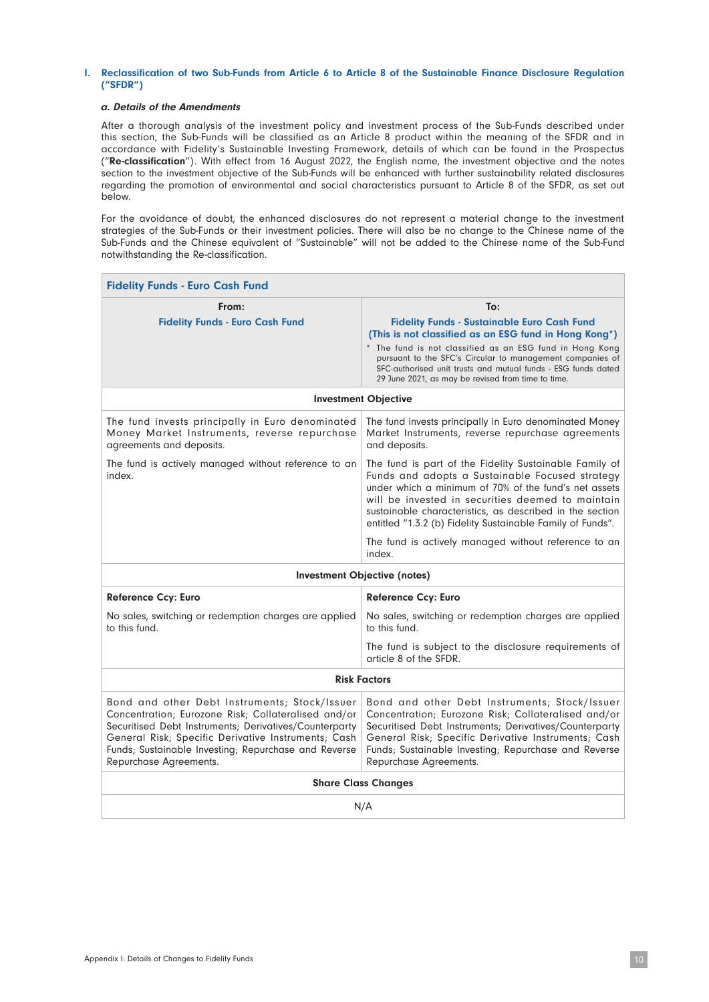#### I. Reclassification of two Sub-Funds from Article 6 to Article 8 of the Sustainable Finance Disclosure Regulation ("SFDR")

#### a. Details of the Amendments

After a thorough analysis of the investment policy and investment process of the Sub-Funds described under this section, the Sub-Funds will be classified as an Article 8 product within the meaning of the SFDR and in accordance with Fidelity's Sustainable Investing Framework, details of which can be found in the Prospectus ("Re-classification"). With effect from 16 August 2022, the English name, the investment objective and the notes section to the investment objective of the Sub-Funds will be enhanced with further sustainability related disclosures regarding the promotion of environmental and social characteristics pursuant to Article 8 of the SFDR, as set out below.

For the avoidance of doubt, the enhanced disclosures do not represent a material change to the investment strategies of the Sub-Funds or their investment policies. There will also be no change to the Chinese name of the Sub-Funds and the Chinese equivalent of "Sustainable" will not be added to the Chinese name of the Sub-Fund notwithstanding the Re-classification.

| <b>Fidelity Funds - Euro Cash Fund</b>                                                                                                                                                                                                                                                                  |                                                                                                                                                                                                                                                                                                                                                   |  |  |
|---------------------------------------------------------------------------------------------------------------------------------------------------------------------------------------------------------------------------------------------------------------------------------------------------------|---------------------------------------------------------------------------------------------------------------------------------------------------------------------------------------------------------------------------------------------------------------------------------------------------------------------------------------------------|--|--|
| From:                                                                                                                                                                                                                                                                                                   | To:                                                                                                                                                                                                                                                                                                                                               |  |  |
| <b>Fidelity Funds - Euro Cash Fund</b>                                                                                                                                                                                                                                                                  | <b>Fidelity Funds - Sustainable Euro Cash Fund</b><br>(This is not classified as an ESG fund in Hong Kong*)                                                                                                                                                                                                                                       |  |  |
|                                                                                                                                                                                                                                                                                                         | * The fund is not classified as an ESG fund in Hong Kong<br>pursuant to the SFC's Circular to management companies of<br>SFC-authorised unit trusts and mutual funds - ESG funds dated<br>29 June 2021, as may be revised from time to time.                                                                                                      |  |  |
|                                                                                                                                                                                                                                                                                                         | <b>Investment Objective</b>                                                                                                                                                                                                                                                                                                                       |  |  |
| The fund invests principally in Euro denominated<br>Money Market Instruments, reverse repurchase<br>agreements and deposits.                                                                                                                                                                            | The fund invests principally in Euro denominated Money<br>Market Instruments, reverse repurchase agreements<br>and deposits.                                                                                                                                                                                                                      |  |  |
| The fund is actively managed without reference to an<br>index.                                                                                                                                                                                                                                          | The fund is part of the Fidelity Sustainable Family of<br>Funds and adopts a Sustainable Focused strategy<br>under which a minimum of 70% of the fund's net assets<br>will be invested in securities deemed to maintain<br>sustainable characteristics, as described in the section<br>entitled "1.3.2 (b) Fidelity Sustainable Family of Funds". |  |  |
|                                                                                                                                                                                                                                                                                                         | The fund is actively managed without reference to an<br>index.                                                                                                                                                                                                                                                                                    |  |  |
| <b>Investment Objective (notes)</b>                                                                                                                                                                                                                                                                     |                                                                                                                                                                                                                                                                                                                                                   |  |  |
| <b>Reference Ccy: Euro</b>                                                                                                                                                                                                                                                                              | <b>Reference Ccy: Euro</b>                                                                                                                                                                                                                                                                                                                        |  |  |
| No sales, switching or redemption charges are applied<br>to this fund.                                                                                                                                                                                                                                  | No sales, switching or redemption charges are applied<br>to this fund.                                                                                                                                                                                                                                                                            |  |  |
|                                                                                                                                                                                                                                                                                                         | The fund is subject to the disclosure requirements of<br>article 8 of the SFDR.                                                                                                                                                                                                                                                                   |  |  |
| <b>Risk Factors</b>                                                                                                                                                                                                                                                                                     |                                                                                                                                                                                                                                                                                                                                                   |  |  |
| Bond and other Debt Instruments; Stock/Issuer<br>Concentration; Eurozone Risk; Collateralised and/or<br>Securitised Debt Instruments; Derivatives/Counterparty<br>General Risk; Specific Derivative Instruments; Cash<br>Funds; Sustainable Investing; Repurchase and Reverse<br>Repurchase Agreements. | Bond and other Debt Instruments; Stock/Issuer<br>Concentration; Eurozone Risk; Collateralised and/or<br>Securitised Debt Instruments; Derivatives/Counterparty<br>General Risk; Specific Derivative Instruments; Cash<br>Funds; Sustainable Investing; Repurchase and Reverse<br>Repurchase Agreements.                                           |  |  |
| <b>Share Class Changes</b>                                                                                                                                                                                                                                                                              |                                                                                                                                                                                                                                                                                                                                                   |  |  |
| N/A                                                                                                                                                                                                                                                                                                     |                                                                                                                                                                                                                                                                                                                                                   |  |  |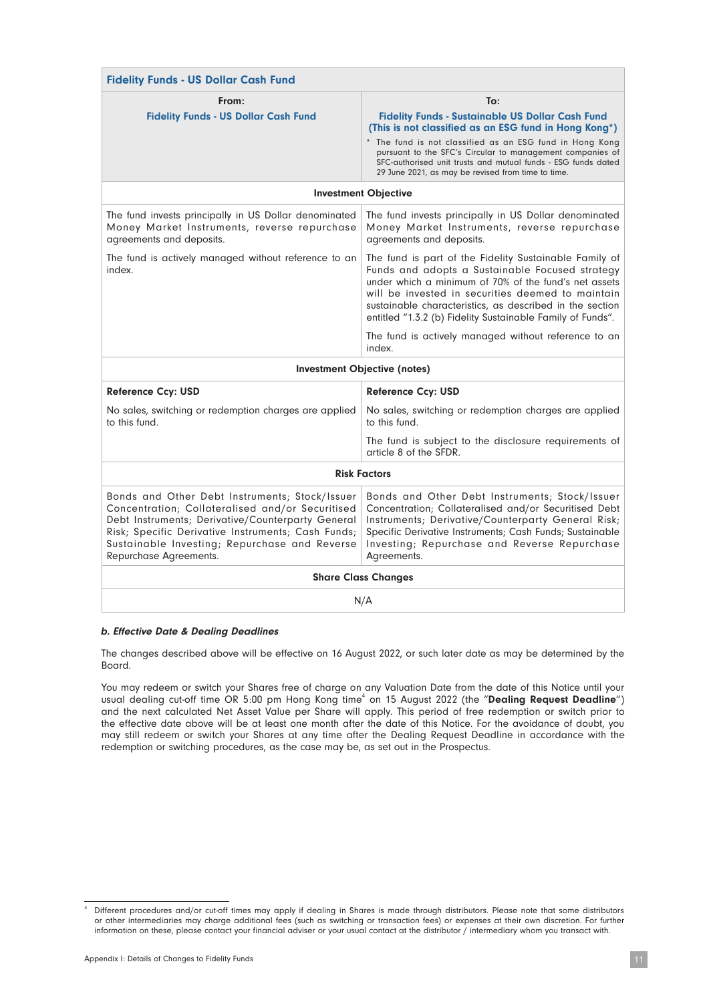| <b>Fidelity Funds - US Dollar Cash Fund</b>                                                                                                                                                                                                                                              |                                                                                                                                                                                                                                                                                                                                                                         |  |  |
|------------------------------------------------------------------------------------------------------------------------------------------------------------------------------------------------------------------------------------------------------------------------------------------|-------------------------------------------------------------------------------------------------------------------------------------------------------------------------------------------------------------------------------------------------------------------------------------------------------------------------------------------------------------------------|--|--|
| From:<br><b>Fidelity Funds - US Dollar Cash Fund</b>                                                                                                                                                                                                                                     | To:<br><b>Fidelity Funds - Sustainable US Dollar Cash Fund</b><br>(This is not classified as an ESG fund in Hong Kong*)<br>* The fund is not classified as an ESG fund in Hong Kong<br>pursuant to the SFC's Circular to management companies of<br>SFC-authorised unit trusts and mutual funds - ESG funds dated<br>29 June 2021, as may be revised from time to time. |  |  |
|                                                                                                                                                                                                                                                                                          | <b>Investment Objective</b>                                                                                                                                                                                                                                                                                                                                             |  |  |
| The fund invests principally in US Dollar denominated<br>Money Market Instruments, reverse repurchase<br>agreements and deposits.                                                                                                                                                        | The fund invests principally in US Dollar denominated<br>Money Market Instruments, reverse repurchase<br>agreements and deposits.                                                                                                                                                                                                                                       |  |  |
| The fund is actively managed without reference to an<br>index.                                                                                                                                                                                                                           | The fund is part of the Fidelity Sustainable Family of<br>Funds and adopts a Sustainable Focused strategy<br>under which a minimum of 70% of the fund's net assets<br>will be invested in securities deemed to maintain<br>sustainable characteristics, as described in the section<br>entitled "1.3.2 (b) Fidelity Sustainable Family of Funds".                       |  |  |
|                                                                                                                                                                                                                                                                                          | The fund is actively managed without reference to an<br>index.                                                                                                                                                                                                                                                                                                          |  |  |
| Investment Objective (notes)                                                                                                                                                                                                                                                             |                                                                                                                                                                                                                                                                                                                                                                         |  |  |
| <b>Reference Ccy: USD</b>                                                                                                                                                                                                                                                                | <b>Reference Ccy: USD</b>                                                                                                                                                                                                                                                                                                                                               |  |  |
| No sales, switching or redemption charges are applied<br>to this fund.                                                                                                                                                                                                                   | No sales, switching or redemption charges are applied<br>to this fund.                                                                                                                                                                                                                                                                                                  |  |  |
|                                                                                                                                                                                                                                                                                          | The fund is subject to the disclosure requirements of<br>article 8 of the SFDR.                                                                                                                                                                                                                                                                                         |  |  |
| <b>Risk Factors</b>                                                                                                                                                                                                                                                                      |                                                                                                                                                                                                                                                                                                                                                                         |  |  |
| Bonds and Other Debt Instruments; Stock/Issuer<br>Concentration; Collateralised and/or Securitised<br>Debt Instruments; Derivative/Counterparty General<br>Risk; Specific Derivative Instruments; Cash Funds;<br>Sustainable Investing; Repurchase and Reverse<br>Repurchase Agreements. | Bonds and Other Debt Instruments; Stock/Issuer<br>Concentration; Collateralised and/or Securitised Debt<br>Instruments; Derivative/Counterparty General Risk;<br>Specific Derivative Instruments; Cash Funds; Sustainable<br>Investing; Repurchase and Reverse Repurchase<br>Agreements.                                                                                |  |  |
| <b>Share Class Changes</b>                                                                                                                                                                                                                                                               |                                                                                                                                                                                                                                                                                                                                                                         |  |  |
| N/A                                                                                                                                                                                                                                                                                      |                                                                                                                                                                                                                                                                                                                                                                         |  |  |

#### b. Effective Date & Dealing Deadlines

The changes described above will be effective on 16 August 2022, or such later date as may be determined by the Board.

You may redeem or switch your Shares free of charge on any Valuation Date from the date of this Notice until your usual dealing cut-off time OR 5:00 pm Hong Kong time<sup>4</sup> on 15 August 2022 (the "Dealing Request Deadline") and the next calculated Net Asset Value per Share will apply. This period of free redemption or switch prior to the effective date above will be at least one month after the date of this Notice. For the avoidance of doubt, you may still redeem or switch your Shares at any time after the Dealing Request Deadline in accordance with the redemption or switching procedures, as the case may be, as set out in the Prospectus.

Different procedures and/or cut-off times may apply if dealing in Shares is made through distributors. Please note that some distributors or other intermediaries may charge additional fees (such as switching or transaction fees) or expenses at their own discretion. For further information on these, please contact your financial adviser or your usual contact at the distributor / intermediary whom you transact with.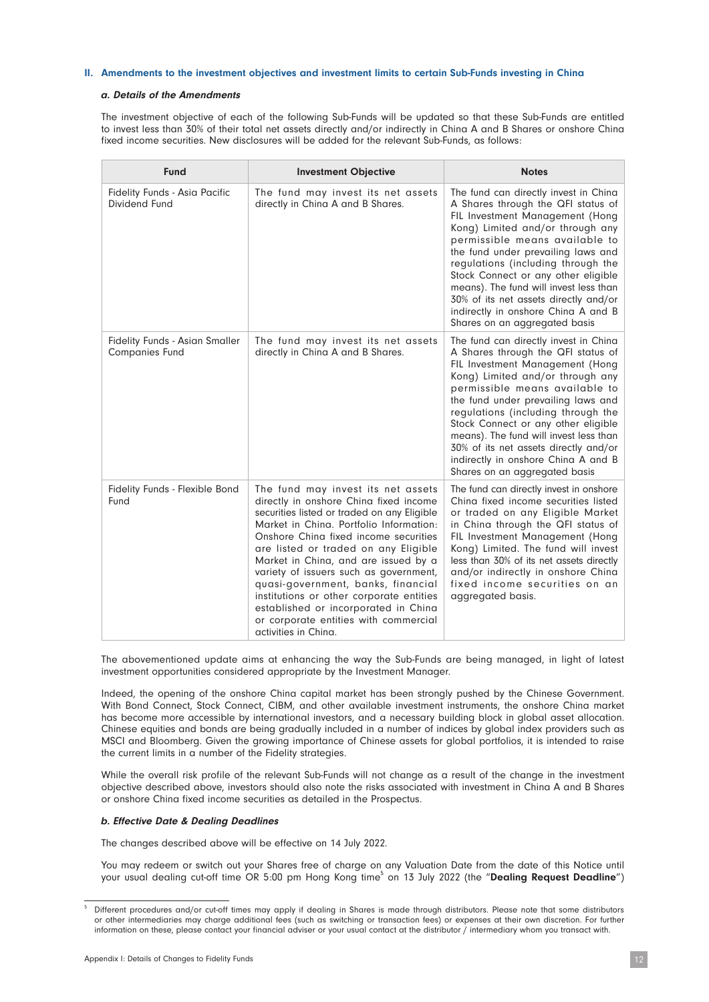#### II. Amendments to the investment objectives and investment limits to certain Sub-Funds investing in China

#### a. Details of the Amendments

The investment objective of each of the following Sub-Funds will be updated so that these Sub-Funds are entitled to invest less than 30% of their total net assets directly and/or indirectly in China A and B Shares or onshore China fixed income securities. New disclosures will be added for the relevant Sub-Funds, as follows:

| <b>Fund</b>                                                    | <b>Investment Objective</b>                                                                                                                                                                                                                                                                                                                                                                                                                                                                                                          | <b>Notes</b>                                                                                                                                                                                                                                                                                                                                                                                                                                                       |
|----------------------------------------------------------------|--------------------------------------------------------------------------------------------------------------------------------------------------------------------------------------------------------------------------------------------------------------------------------------------------------------------------------------------------------------------------------------------------------------------------------------------------------------------------------------------------------------------------------------|--------------------------------------------------------------------------------------------------------------------------------------------------------------------------------------------------------------------------------------------------------------------------------------------------------------------------------------------------------------------------------------------------------------------------------------------------------------------|
| <b>Fidelity Funds - Asia Pacific</b><br>Dividend Fund          | The fund may invest its net assets<br>directly in China A and B Shares.                                                                                                                                                                                                                                                                                                                                                                                                                                                              | The fund can directly invest in China<br>A Shares through the QFI status of<br>FIL Investment Management (Hong<br>Kong) Limited and/or through any<br>permissible means available to<br>the fund under prevailing laws and<br>regulations (including through the<br>Stock Connect or any other eligible<br>means). The fund will invest less than<br>30% of its net assets directly and/or<br>indirectly in onshore China A and B<br>Shares on an aggregated basis |
| <b>Fidelity Funds - Asian Smaller</b><br><b>Companies Fund</b> | The fund may invest its net assets<br>directly in China A and B Shares.                                                                                                                                                                                                                                                                                                                                                                                                                                                              | The fund can directly invest in China<br>A Shares through the QFI status of<br>FIL Investment Management (Hong<br>Kong) Limited and/or through any<br>permissible means available to<br>the fund under prevailing laws and<br>regulations (including through the<br>Stock Connect or any other eligible<br>means). The fund will invest less than<br>30% of its net assets directly and/or<br>indirectly in onshore China A and B<br>Shares on an aggregated basis |
| Fidelity Funds - Flexible Bond<br>Fund                         | The fund may invest its net assets<br>directly in onshore China fixed income<br>securities listed or traded on any Eligible<br>Market in China. Portfolio Information:<br>Onshore Ching fixed income securities<br>are listed or traded on any Eligible<br>Market in China, and are issued by a<br>variety of issuers such as government,<br>quasi-government, banks, financial<br>institutions or other corporate entities<br>established or incorporated in China<br>or corporate entities with commercial<br>activities in China. | The fund can directly invest in onshore<br>China fixed income securities listed<br>or traded on any Eligible Market<br>in China through the QFI status of<br>FIL Investment Management (Hong<br>Kong) Limited. The fund will invest<br>less than 30% of its net assets directly<br>and/or indirectly in onshore China<br>fixed income securities on an<br>aggregated basis.                                                                                        |

The abovementioned update aims at enhancing the way the Sub-Funds are being managed, in light of latest investment opportunities considered appropriate by the Investment Manager.

Indeed, the opening of the onshore China capital market has been strongly pushed by the Chinese Government. With Bond Connect, Stock Connect, CIBM, and other available investment instruments, the onshore China market has become more accessible by international investors, and a necessary building block in global asset allocation. Chinese equities and bonds are being gradually included in a number of indices by global index providers such as MSCI and Bloomberg. Given the growing importance of Chinese assets for global portfolios, it is intended to raise the current limits in a number of the Fidelity strategies.

While the overall risk profile of the relevant Sub-Funds will not change as a result of the change in the investment objective described above, investors should also note the risks associated with investment in China A and B Shares or onshore China fixed income securities as detailed in the Prospectus.

#### b. Effective Date & Dealing Deadlines

The changes described above will be effective on 14 July 2022.

You may redeem or switch out your Shares free of charge on any Valuation Date from the date of this Notice until your usual dealing cut-off time OR 5:00 pm Hong Kong time<sup>5</sup> on 13 July 2022 (the "**Dealing Request Deadline**")

<sup>5</sup> Different procedures and/or cut-off times may apply if dealing in Shares is made through distributors. Please note that some distributors or other intermediaries may charge additional fees (such as switching or transaction fees) or expenses at their own discretion. For further information on these, please contact your financial adviser or your usual contact at the distributor / intermediary whom you transact with.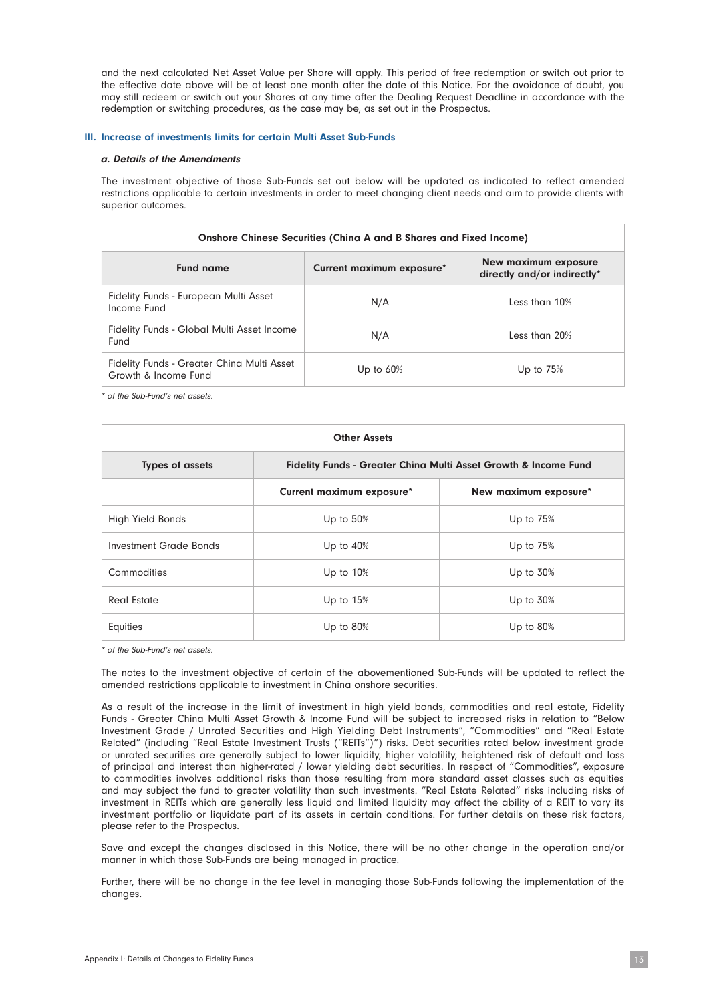and the next calculated Net Asset Value per Share will apply. This period of free redemption or switch out prior to the effective date above will be at least one month after the date of this Notice. For the avoidance of doubt, you may still redeem or switch out your Shares at any time after the Dealing Request Deadline in accordance with the redemption or switching procedures, as the case may be, as set out in the Prospectus.

#### III. Increase of investments limits for certain Multi Asset Sub-Funds

#### a. Details of the Amendments

The investment objective of those Sub-Funds set out below will be updated as indicated to reflect amended restrictions applicable to certain investments in order to meet changing client needs and aim to provide clients with superior outcomes.

| Onshore Chinese Securities (China A and B Shares and Fixed Income) |                           |                                                     |
|--------------------------------------------------------------------|---------------------------|-----------------------------------------------------|
| <b>Fund name</b>                                                   | Current maximum exposure* | New maximum exposure<br>directly and/or indirectly* |
| Fidelity Funds - European Multi Asset<br>Income Fund               | N/A                       | Less than 10%                                       |
| Fidelity Funds - Global Multi Asset Income<br>Fund                 | N/A                       | Less than 20%                                       |
| Fidelity Funds - Greater China Multi Asset<br>Growth & Income Fund | Up to $60\%$              | Up to $75%$                                         |

\* of the Sub-Fund's net assets.

| <b>Other Assets</b>                                                                                  |                           |                       |  |
|------------------------------------------------------------------------------------------------------|---------------------------|-----------------------|--|
| <b>Types of assets</b><br><b>Fidelity Funds - Greater China Multi Asset Growth &amp; Income Fund</b> |                           |                       |  |
|                                                                                                      | Current maximum exposure* | New maximum exposure* |  |
| High Yield Bonds                                                                                     | Up to $50%$               | Up to $75%$           |  |
| Investment Grade Bonds                                                                               | Up to $40%$               | Up to $75%$           |  |
| Commodities                                                                                          | Up to $10%$               | Up to $30%$           |  |
| Real Estate                                                                                          | Up to $15%$               | Up to $30%$           |  |
| Equities                                                                                             | Up to $80%$               | Up to $80%$           |  |

\* of the Sub-Fund's net assets.

The notes to the investment objective of certain of the abovementioned Sub-Funds will be updated to reflect the amended restrictions applicable to investment in China onshore securities.

As a result of the increase in the limit of investment in high yield bonds, commodities and real estate, Fidelity Funds - Greater China Multi Asset Growth & Income Fund will be subject to increased risks in relation to "Below Investment Grade / Unrated Securities and High Yielding Debt Instruments", "Commodities" and "Real Estate Related" (including "Real Estate Investment Trusts ("REITs")") risks. Debt securities rated below investment grade or unrated securities are generally subject to lower liquidity, higher volatility, heightened risk of default and loss of principal and interest than higher-rated / lower yielding debt securities. In respect of "Commodities", exposure to commodities involves additional risks than those resulting from more standard asset classes such as equities and may subject the fund to greater volatility than such investments. "Real Estate Related" risks including risks of investment in REITs which are generally less liquid and limited liquidity may affect the ability of a REIT to vary its investment portfolio or liquidate part of its assets in certain conditions. For further details on these risk factors, please refer to the Prospectus.

Save and except the changes disclosed in this Notice, there will be no other change in the operation and/or manner in which those Sub-Funds are being managed in practice.

Further, there will be no change in the fee level in managing those Sub-Funds following the implementation of the changes.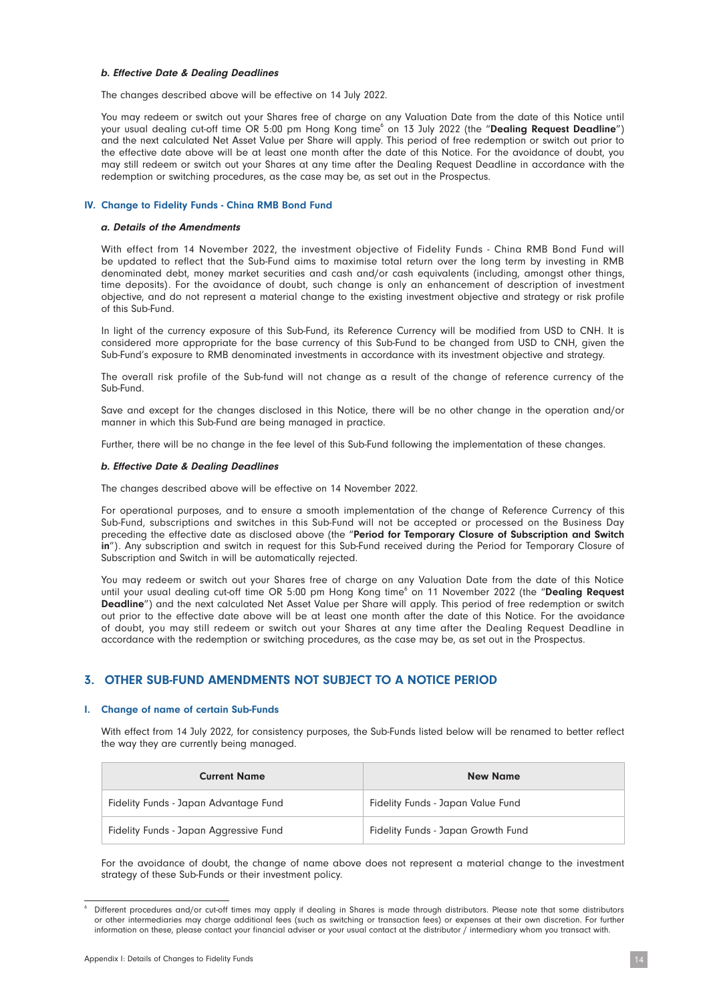#### b. Effective Date & Dealing Deadlines

The changes described above will be effective on 14 July 2022.

You may redeem or switch out your Shares free of charge on any Valuation Date from the date of this Notice until your usual dealing cut-off time OR 5:00 pm Hong Kong time<sup>6</sup> on 13 July 2022 (the "**Dealing Request Deadline**") and the next calculated Net Asset Value per Share will apply. This period of free redemption or switch out prior to the effective date above will be at least one month after the date of this Notice. For the avoidance of doubt, you may still redeem or switch out your Shares at any time after the Dealing Request Deadline in accordance with the redemption or switching procedures, as the case may be, as set out in the Prospectus.

#### IV. Change to Fidelity Funds - China RMB Bond Fund

#### a. Details of the Amendments

With effect from 14 November 2022, the investment objective of Fidelity Funds - China RMB Bond Fund will be updated to reflect that the Sub-Fund aims to maximise total return over the long term by investing in RMB denominated debt, money market securities and cash and/or cash equivalents (including, amongst other things, time deposits). For the avoidance of doubt, such change is only an enhancement of description of investment objective, and do not represent a material change to the existing investment objective and strategy or risk profile of this Sub-Fund.

In light of the currency exposure of this Sub-Fund, its Reference Currency will be modified from USD to CNH. It is considered more appropriate for the base currency of this Sub-Fund to be changed from USD to CNH, given the Sub-Fund's exposure to RMB denominated investments in accordance with its investment objective and strategy.

The overall risk profile of the Sub-fund will not change as a result of the change of reference currency of the Sub-Fund.

Save and except for the changes disclosed in this Notice, there will be no other change in the operation and/or manner in which this Sub-Fund are being managed in practice.

Further, there will be no change in the fee level of this Sub-Fund following the implementation of these changes.

#### b. Effective Date & Dealing Deadlines

The changes described above will be effective on 14 November 2022.

For operational purposes, and to ensure a smooth implementation of the change of Reference Currency of this Sub-Fund, subscriptions and switches in this Sub-Fund will not be accepted or processed on the Business Day preceding the effective date as disclosed above (the "Period for Temporary Closure of Subscription and Switch in"). Any subscription and switch in request for this Sub-Fund received during the Period for Temporary Closure of Subscription and Switch in will be automatically rejected.

You may redeem or switch out your Shares free of charge on any Valuation Date from the date of this Notice until your usual dealing cut-off time OR 5:00 pm Hong Kong time<sup>6</sup> on 11 November 2022 (the "Dealing Request Deadline") and the next calculated Net Asset Value per Share will apply. This period of free redemption or switch out prior to the effective date above will be at least one month after the date of this Notice. For the avoidance of doubt, you may still redeem or switch out your Shares at any time after the Dealing Request Deadline in accordance with the redemption or switching procedures, as the case may be, as set out in the Prospectus.

#### 3. OTHER SUB-FUND AMENDMENTS NOT SUBJECT TO A NOTICE PERIOD

#### I. Change of name of certain Sub-Funds

With effect from 14 July 2022, for consistency purposes, the Sub-Funds listed below will be renamed to better reflect the way they are currently being managed.

| <b>Current Name</b>                    | <b>New Name</b>                    |
|----------------------------------------|------------------------------------|
| Fidelity Funds - Japan Advantage Fund  | Fidelity Funds - Japan Value Fund  |
| Fidelity Funds - Japan Aggressive Fund | Fidelity Funds - Japan Growth Fund |

For the avoidance of doubt, the change of name above does not represent a material change to the investment strategy of these Sub-Funds or their investment policy.

Different procedures and/or cut-off times may apply if dealing in Shares is made through distributors. Please note that some distributors or other intermediaries may charge additional fees (such as switching or transaction fees) or expenses at their own discretion. For further information on these, please contact your financial adviser or your usual contact at the distributor / intermediary whom you transact with.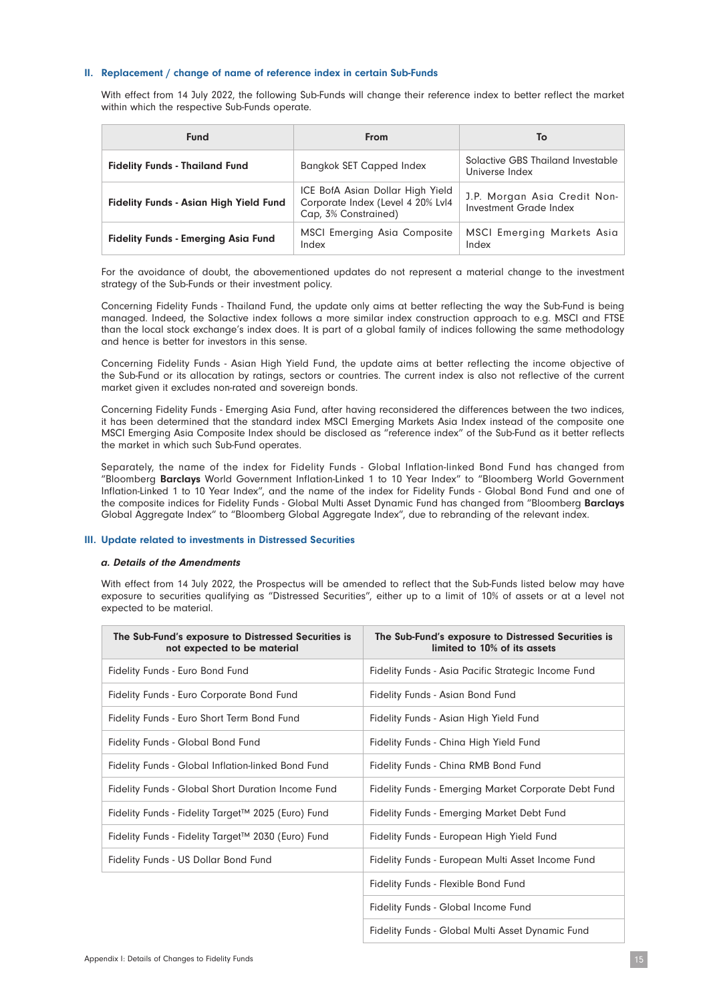#### II. Replacement / change of name of reference index in certain Sub-Funds

With effect from 14 July 2022, the following Sub-Funds will change their reference index to better reflect the market within which the respective Sub-Funds operate.

| <b>Fund</b>                                   | <b>From</b>                                                                                   | To                                                     |
|-----------------------------------------------|-----------------------------------------------------------------------------------------------|--------------------------------------------------------|
| <b>Fidelity Funds - Thailand Fund</b>         | <b>Bangkok SET Capped Index</b>                                                               | Solactive GBS Thailand Investable<br>Universe Index    |
| <b>Fidelity Funds - Asian High Yield Fund</b> | ICE BofA Asian Dollar High Yield<br>Corporate Index (Level 4 20% Lvl4<br>Cap, 3% Constrained) | J.P. Morgan Asia Credit Non-<br>Investment Grade Index |
| <b>Fidelity Funds - Emerging Asia Fund</b>    | <b>MSCI Emerging Asia Composite</b><br>Index                                                  | MSCI Emerging Markets Asia<br>Index                    |

For the avoidance of doubt, the abovementioned updates do not represent a material change to the investment strategy of the Sub-Funds or their investment policy.

Concerning Fidelity Funds - Thailand Fund, the update only aims at better reflecting the way the Sub-Fund is being managed. Indeed, the Solactive index follows a more similar index construction approach to e.g. MSCI and FTSE than the local stock exchange's index does. It is part of a global family of indices following the same methodology and hence is better for investors in this sense.

Concerning Fidelity Funds - Asian High Yield Fund, the update aims at better reflecting the income objective of the Sub-Fund or its allocation by ratings, sectors or countries. The current index is also not reflective of the current market given it excludes non-rated and sovereign bonds.

Concerning Fidelity Funds - Emerging Asia Fund, after having reconsidered the differences between the two indices, it has been determined that the standard index MSCI Emerging Markets Asia Index instead of the composite one MSCI Emerging Asia Composite Index should be disclosed as "reference index" of the Sub-Fund as it better reflects the market in which such Sub-Fund operates.

Separately, the name of the index for Fidelity Funds - Global Inflation-linked Bond Fund has changed from "Bloomberg Barclays World Government Inflation-Linked 1 to 10 Year Index" to "Bloomberg World Government Inflation-Linked 1 to 10 Year Index", and the name of the index for Fidelity Funds - Global Bond Fund and one of the composite indices for Fidelity Funds - Global Multi Asset Dynamic Fund has changed from "Bloomberg Barclays Global Aggregate Index" to "Bloomberg Global Aggregate Index", due to rebranding of the relevant index.

#### III. Update related to investments in Distressed Securities

#### a. Details of the Amendments

With effect from 14 July 2022, the Prospectus will be amended to reflect that the Sub-Funds listed below may have exposure to securities qualifying as "Distressed Securities", either up to a limit of 10% of assets or at a level not expected to be material.

| The Sub-Fund's exposure to Distressed Securities is<br>not expected to be material | The Sub-Fund's exposure to Distressed Securities is<br>limited to 10% of its assets |
|------------------------------------------------------------------------------------|-------------------------------------------------------------------------------------|
| Fidelity Funds - Euro Bond Fund                                                    | Fidelity Funds - Asia Pacific Strategic Income Fund                                 |
| Fidelity Funds - Euro Corporate Bond Fund                                          | Fidelity Funds - Asian Bond Fund                                                    |
| Fidelity Funds - Euro Short Term Bond Fund                                         | Fidelity Funds - Asian High Yield Fund                                              |
| Fidelity Funds - Global Bond Fund                                                  | Fidelity Funds - China High Yield Fund                                              |
| Fidelity Funds - Global Inflation-linked Bond Fund                                 | Fidelity Funds - China RMB Bond Fund                                                |
| Fidelity Funds - Global Short Duration Income Fund                                 | Fidelity Funds - Emerging Market Corporate Debt Fund                                |
| Fidelity Funds - Fidelity Target™ 2025 (Euro) Fund                                 | Fidelity Funds - Emerging Market Debt Fund                                          |
| Fidelity Funds - Fidelity Target™ 2030 (Euro) Fund                                 | Fidelity Funds - European High Yield Fund                                           |
| Fidelity Funds - US Dollar Bond Fund                                               | Fidelity Funds - European Multi Asset Income Fund                                   |
|                                                                                    | Fidelity Funds - Flexible Bond Fund                                                 |
|                                                                                    | Fidelity Funds - Global Income Fund                                                 |
|                                                                                    | Fidelity Funds - Global Multi Asset Dynamic Fund                                    |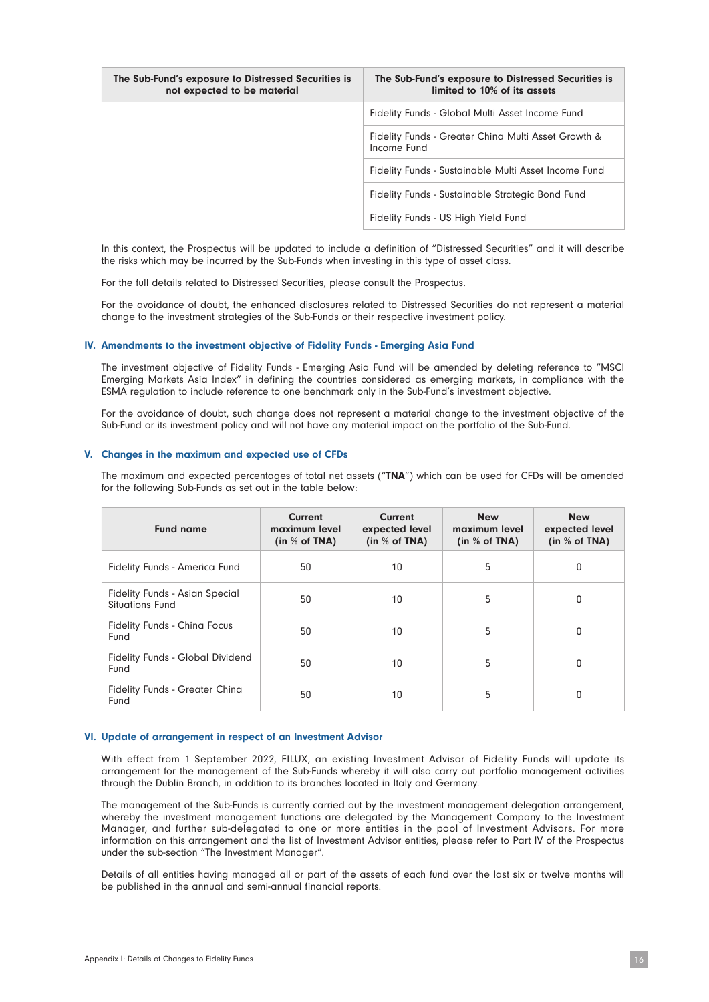| The Sub-Fund's exposure to Distressed Securities is<br>not expected to be material | The Sub-Fund's exposure to Distressed Securities is<br>limited to 10% of its assets |
|------------------------------------------------------------------------------------|-------------------------------------------------------------------------------------|
|                                                                                    | Fidelity Funds - Global Multi Asset Income Fund                                     |
|                                                                                    | Fidelity Funds - Greater China Multi Asset Growth &<br>Income Fund                  |
|                                                                                    | Fidelity Funds - Sustainable Multi Asset Income Fund                                |
|                                                                                    | Fidelity Funds - Sustainable Strategic Bond Fund                                    |
|                                                                                    | Fidelity Funds - US High Yield Fund                                                 |

In this context, the Prospectus will be updated to include a definition of "Distressed Securities" and it will describe the risks which may be incurred by the Sub-Funds when investing in this type of asset class.

For the full details related to Distressed Securities, please consult the Prospectus.

For the avoidance of doubt, the enhanced disclosures related to Distressed Securities do not represent a material change to the investment strategies of the Sub-Funds or their respective investment policy.

#### IV. Amendments to the investment objective of Fidelity Funds - Emerging Asia Fund

The investment objective of Fidelity Funds - Emerging Asia Fund will be amended by deleting reference to "MSCI Emerging Markets Asia Index" in defining the countries considered as emerging markets, in compliance with the ESMA regulation to include reference to one benchmark only in the Sub-Fund's investment objective.

For the avoidance of doubt, such change does not represent a material change to the investment objective of the Sub-Fund or its investment policy and will not have any material impact on the portfolio of the Sub-Fund.

#### V. Changes in the maximum and expected use of CFDs

The maximum and expected percentages of total net assets ("TNA") which can be used for CFDs will be amended for the following Sub-Funds as set out in the table below:

| <b>Fund name</b>                                                | Current<br>maximum level<br>(in $%$ of TNA) | <b>Current</b><br>expected level<br>(in $%$ of TNA) | <b>New</b><br>maximum level<br>(in $%$ of TNA) | <b>New</b><br>expected level<br>(in $%$ of TNA) |
|-----------------------------------------------------------------|---------------------------------------------|-----------------------------------------------------|------------------------------------------------|-------------------------------------------------|
| Fidelity Funds - America Fund                                   | 50                                          | 10                                                  | 5                                              | 0                                               |
| <b>Fidelity Funds - Asian Special</b><br><b>Situations Fund</b> | 50                                          | 10                                                  | 5                                              | 0                                               |
| <b>Fidelity Funds - China Focus</b><br>Fund                     | 50                                          | 10                                                  | 5                                              | 0                                               |
| <b>Fidelity Funds - Global Dividend</b><br>Fund                 | 50                                          | 10                                                  | 5                                              | 0                                               |
| Fidelity Funds - Greater China<br>Fund                          | 50                                          | 10                                                  | 5                                              | 0                                               |

#### VI. Update of arrangement in respect of an Investment Advisor

With effect from 1 September 2022, FILUX, an existing Investment Advisor of Fidelity Funds will update its arrangement for the management of the Sub-Funds whereby it will also carry out portfolio management activities through the Dublin Branch, in addition to its branches located in Italy and Germany.

The management of the Sub-Funds is currently carried out by the investment management delegation arrangement, whereby the investment management functions are delegated by the Management Company to the Investment Manager, and further sub-delegated to one or more entities in the pool of Investment Advisors. For more information on this arrangement and the list of Investment Advisor entities, please refer to Part IV of the Prospectus under the sub-section "The Investment Manager".

Details of all entities having managed all or part of the assets of each fund over the last six or twelve months will be published in the annual and semi-annual financial reports.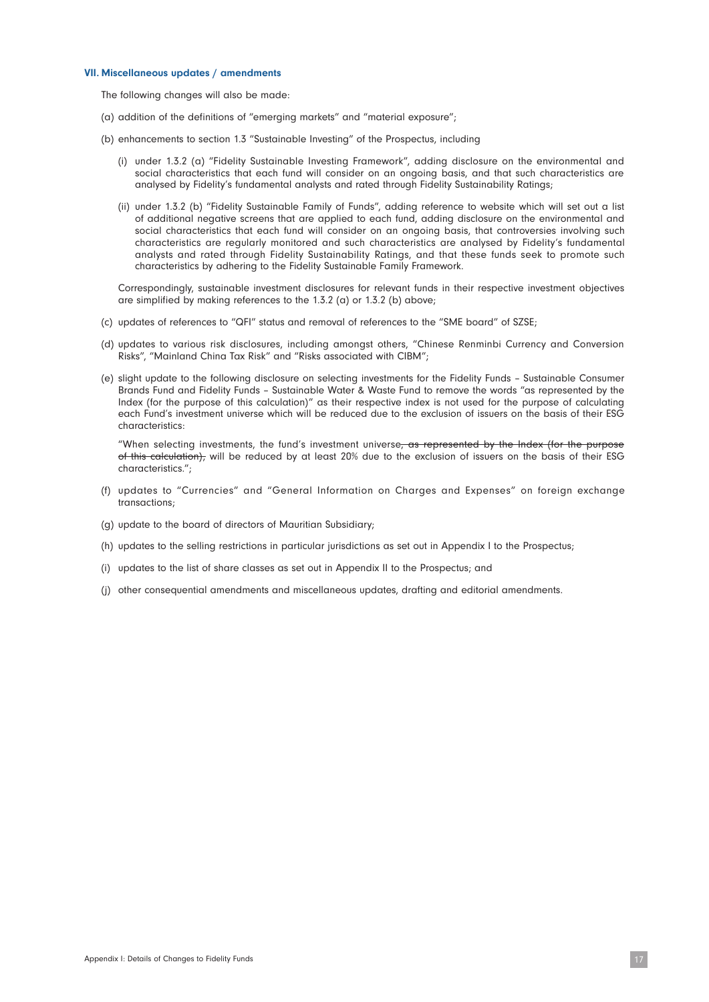#### VII. Miscellaneous updates / amendments

The following changes will also be made:

- (a) addition of the definitions of "emerging markets" and "material exposure";
- (b) enhancements to section 1.3 "Sustainable Investing" of the Prospectus, including
	- (i) under 1.3.2 (a) "Fidelity Sustainable Investing Framework", adding disclosure on the environmental and social characteristics that each fund will consider on an ongoing basis, and that such characteristics are analysed by Fidelity's fundamental analysts and rated through Fidelity Sustainability Ratings;
	- (ii) under 1.3.2 (b) "Fidelity Sustainable Family of Funds", adding reference to website which will set out a list of additional negative screens that are applied to each fund, adding disclosure on the environmental and social characteristics that each fund will consider on an ongoing basis, that controversies involving such characteristics are regularly monitored and such characteristics are analysed by Fidelity's fundamental analysts and rated through Fidelity Sustainability Ratings, and that these funds seek to promote such characteristics by adhering to the Fidelity Sustainable Family Framework.

Correspondingly, sustainable investment disclosures for relevant funds in their respective investment objectives are simplified by making references to the 1.3.2 (a) or 1.3.2 (b) above;

- (c) updates of references to "QFI" status and removal of references to the "SME board" of SZSE;
- (d) updates to various risk disclosures, including amongst others, "Chinese Renminbi Currency and Conversion Risks", "Mainland China Tax Risk" and "Risks associated with CIBM";
- (e) slight update to the following disclosure on selecting investments for the Fidelity Funds Sustainable Consumer Brands Fund and Fidelity Funds – Sustainable Water & Waste Fund to remove the words "as represented by the Index (for the purpose of this calculation)" as their respective index is not used for the purpose of calculating each Fund's investment universe which will be reduced due to the exclusion of issuers on the basis of their ESG characteristics:

"When selecting investments, the fund's investment universe, as represented by the Index (for the purpose of this calculation), will be reduced by at least 20% due to the exclusion of issuers on the basis of their ESG characteristics.";

- (f) updates to "Currencies" and "General Information on Charges and Expenses" on foreign exchange transactions;
- (g) update to the board of directors of Mauritian Subsidiary;
- (h) updates to the selling restrictions in particular jurisdictions as set out in Appendix I to the Prospectus;
- (i) updates to the list of share classes as set out in Appendix II to the Prospectus; and
- (j) other consequential amendments and miscellaneous updates, drafting and editorial amendments.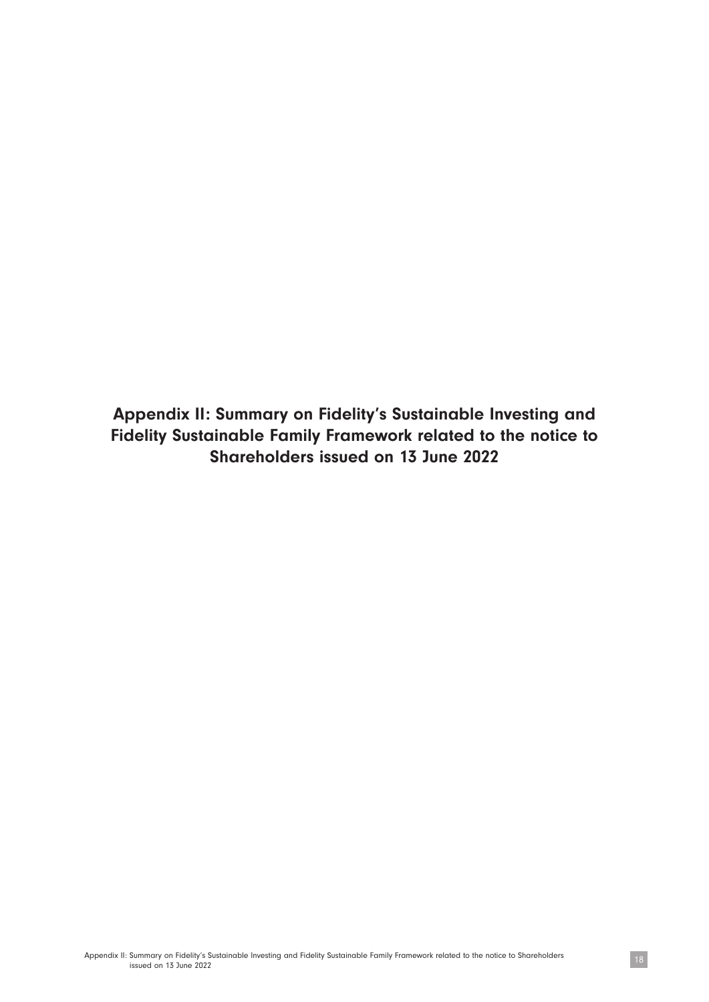Appendix II: Summary on Fidelity's Sustainable Investing and Fidelity Sustainable Family Framework related to the notice to Shareholders issued on 13 June 2022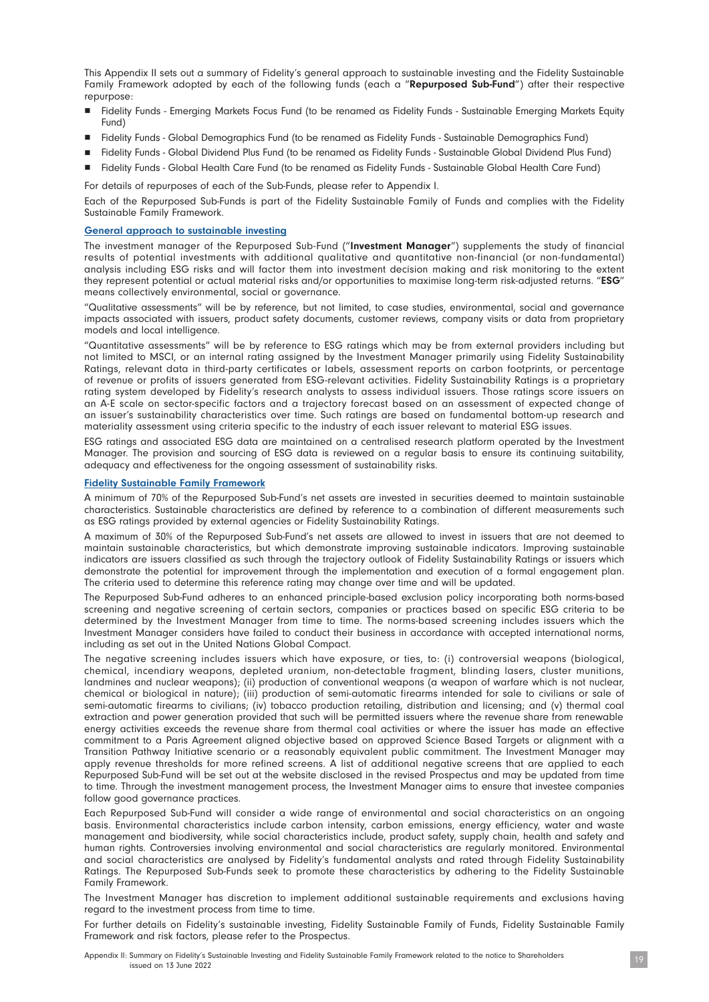This Appendix II sets out a summary of Fidelity's general approach to sustainable investing and the Fidelity Sustainable Family Framework adopted by each of the following funds (each a "Repurposed Sub-Fund") after their respective repurpose:

- n Fidelity Funds Emerging Markets Focus Fund (to be renamed as Fidelity Funds Sustainable Emerging Markets Equity Fund)
- n Fidelity Funds Global Demographics Fund (to be renamed as Fidelity Funds Sustainable Demographics Fund)
- n Fidelity Funds Global Dividend Plus Fund (to be renamed as Fidelity Funds Sustainable Global Dividend Plus Fund)
- n Fidelity Funds Global Health Care Fund (to be renamed as Fidelity Funds Sustainable Global Health Care Fund)

For details of repurposes of each of the Sub-Funds, please refer to Appendix I.

Each of the Repurposed Sub-Funds is part of the Fidelity Sustainable Family of Funds and complies with the Fidelity Sustainable Family Framework.

#### General approach to sustainable investing

The investment manager of the Repurposed Sub-Fund ("Investment Manager") supplements the study of financial results of potential investments with additional qualitative and quantitative non-financial (or non-fundamental) analysis including ESG risks and will factor them into investment decision making and risk monitoring to the extent they represent potential or actual material risks and/or opportunities to maximise long-term risk-adjusted returns. "ESG" means collectively environmental, social or governance.

"Qualitative assessments" will be by reference, but not limited, to case studies, environmental, social and governance impacts associated with issuers, product safety documents, customer reviews, company visits or data from proprietary models and local intelligence.

"Quantitative assessments" will be by reference to ESG ratings which may be from external providers including but not limited to MSCI, or an internal rating assigned by the Investment Manager primarily using Fidelity Sustainability Ratings, relevant data in third-party certificates or labels, assessment reports on carbon footprints, or percentage of revenue or profits of issuers generated from ESG-relevant activities. Fidelity Sustainability Ratings is a proprietary rating system developed by Fidelity's research analysts to assess individual issuers. Those ratings score issuers on an A-E scale on sector-specific factors and a trajectory forecast based on an assessment of expected change of an issuer's sustainability characteristics over time. Such ratings are based on fundamental bottom-up research and materiality assessment using criteria specific to the industry of each issuer relevant to material ESG issues.

ESG ratings and associated ESG data are maintained on a centralised research platform operated by the Investment Manager. The provision and sourcing of ESG data is reviewed on a regular basis to ensure its continuing suitability, adequacy and effectiveness for the ongoing assessment of sustainability risks.

#### Fidelity Sustainable Family Framework

A minimum of 70% of the Repurposed Sub-Fund's net assets are invested in securities deemed to maintain sustainable characteristics. Sustainable characteristics are defined by reference to a combination of different measurements such as ESG ratings provided by external agencies or Fidelity Sustainability Ratings.

A maximum of 30% of the Repurposed Sub-Fund's net assets are allowed to invest in issuers that are not deemed to maintain sustainable characteristics, but which demonstrate improving sustainable indicators. Improving sustainable indicators are issuers classified as such through the trajectory outlook of Fidelity Sustainability Ratings or issuers which demonstrate the potential for improvement through the implementation and execution of a formal engagement plan. The criteria used to determine this reference rating may change over time and will be updated.

The Repurposed Sub-Fund adheres to an enhanced principle-based exclusion policy incorporating both norms-based screening and negative screening of certain sectors, companies or practices based on specific ESG criteria to be determined by the Investment Manager from time to time. The norms-based screening includes issuers which the Investment Manager considers have failed to conduct their business in accordance with accepted international norms, including as set out in the United Nations Global Compact.

The negative screening includes issuers which have exposure, or ties, to: (i) controversial weapons (biological, chemical, incendiary weapons, depleted uranium, non-detectable fragment, blinding lasers, cluster munitions, landmines and nuclear weapons); (ii) production of conventional weapons (a weapon of warfare which is not nuclear, chemical or biological in nature); (iii) production of semi-automatic firearms intended for sale to civilians or sale of semi-automatic firearms to civilians; (iv) tobacco production retailing, distribution and licensing; and (v) thermal coal extraction and power generation provided that such will be permitted issuers where the revenue share from renewable energy activities exceeds the revenue share from thermal coal activities or where the issuer has made an effective commitment to a Paris Agreement aligned objective based on approved Science Based Targets or alignment with a Transition Pathway Initiative scenario or a reasonably equivalent public commitment. The Investment Manager may apply revenue thresholds for more refined screens. A list of additional negative screens that are applied to each Repurposed Sub-Fund will be set out at the website disclosed in the revised Prospectus and may be updated from time to time. Through the investment management process, the Investment Manager aims to ensure that investee companies follow good governance practices.

Each Repurposed Sub-Fund will consider a wide range of environmental and social characteristics on an ongoing basis. Environmental characteristics include carbon intensity, carbon emissions, energy efficiency, water and waste management and biodiversity, while social characteristics include, product safety, supply chain, health and safety and human rights. Controversies involving environmental and social characteristics are regularly monitored. Environmental and social characteristics are analysed by Fidelity's fundamental analysts and rated through Fidelity Sustainability Ratings. The Repurposed Sub-Funds seek to promote these characteristics by adhering to the Fidelity Sustainable Family Framework.

The Investment Manager has discretion to implement additional sustainable requirements and exclusions having regard to the investment process from time to time.

For further details on Fidelity's sustainable investing, Fidelity Sustainable Family of Funds, Fidelity Sustainable Family Framework and risk factors, please refer to the Prospectus.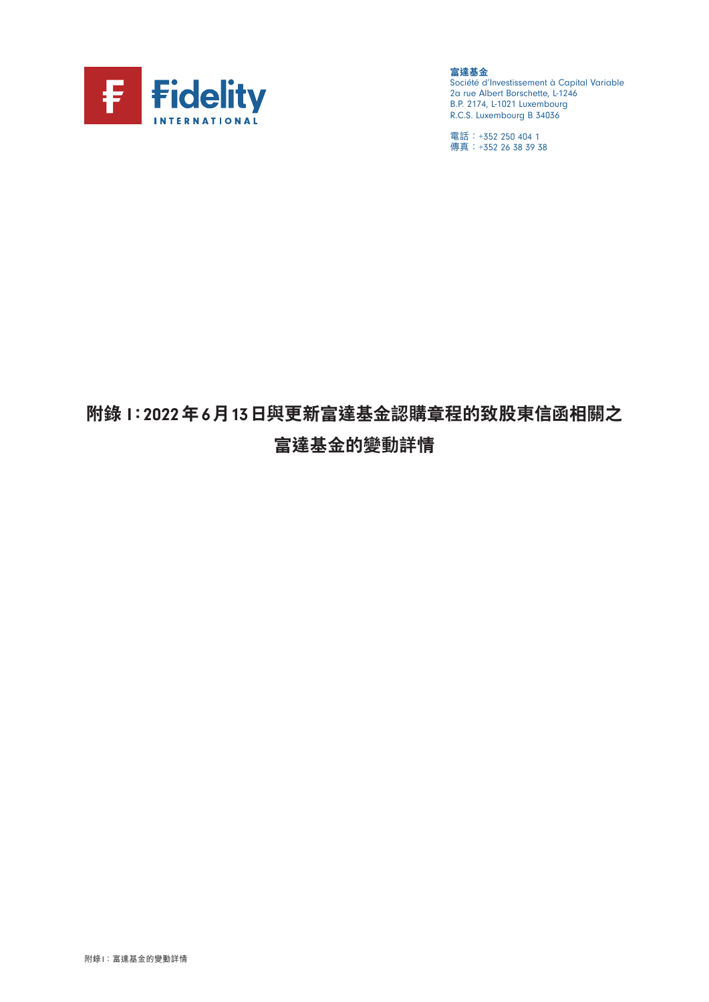

**富達基金** Société d'Investissement à Capital Variable 2a rue Albert Borschette, L-1246 B.P. 2174, L-1021 Luxembourg R.C.S. Luxembourg B 34036

電話:+352 250 404 1 傳真:+352 26 38 39 38

# **附錄** I**:**2022**年**6**月**13**日與更新富達基金認購章程的致股東信函相關之 富達基金的變動詳情**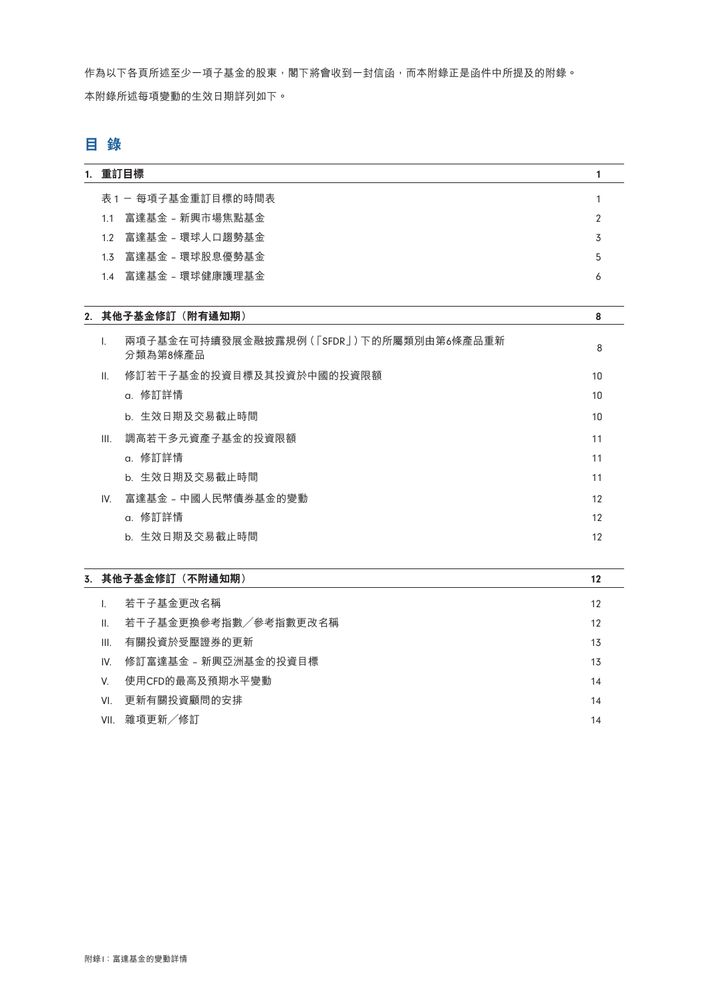作為以下各頁所述至少一項子基金的股東,閣下將會收到一封信函,而本附錄正是函件中所提及的附錄。 本附錄所述每項變動的生效日期詳列如下。

# **目 錄**

| 1. 重訂目標             |   |
|---------------------|---|
| 表1-每項子基金重訂目標的時間表    |   |
| 1.1 富達基金 - 新興市場焦點基金 |   |
| 1.2 富達基金 - 環球人口趨勢基金 | 3 |
| 1.3 富達基金 - 環球股息優勢基金 | 5 |
| 1.4 富達基金 - 環球健康護理基金 | 6 |
|                     |   |
|                     |   |

# 2. **其他子基金修訂(附有通知期)** 8

| $\overline{1}$ . | 兩項子基金在可持續發展金融披露規例 ( [ SFDR ] ) 下的所屬類別由第6條產品重新<br>分類為第8條產品 | 8  |
|------------------|-----------------------------------------------------------|----|
| $\mathbf{II}$ .  | 修訂若干子基金的投資目標及其投資於中國的投資限額                                  | 10 |
|                  | a. 修訂詳情                                                   | 10 |
|                  | b. 生效日期及交易截止時間                                            | 10 |
| III.             | 調高若干多元資產子基金的投資限額                                          | 11 |
|                  | a. 修訂詳情                                                   | 11 |
|                  | b. 生效日期及交易截止時間                                            | 11 |
| IV.              | 富達基金 - 中國人民幣債券基金的變動                                       | 12 |
|                  | a. 修訂詳情                                                   | 12 |
|                  | b. 生效日期及交易截止時間                                            | 12 |

|      | 3.其他子基金修訂(不附通知期)     | 12 |
|------|----------------------|----|
|      | 若干子基金更改名稱            | 12 |
| Ш.   | 若干子基金更換參考指數/參考指數更改名稱 | 12 |
| III. | 有關投資於受壓證券的更新         | 13 |
| IV.  | 修訂富達基金 - 新興亞洲基金的投資目標 | 13 |
| V.   | 使用CFD的最高及預期水平變動      | 14 |
| VI   | 更新有關投資顧問的安排          | 14 |
| VII. | 雜項更新/修訂              | 14 |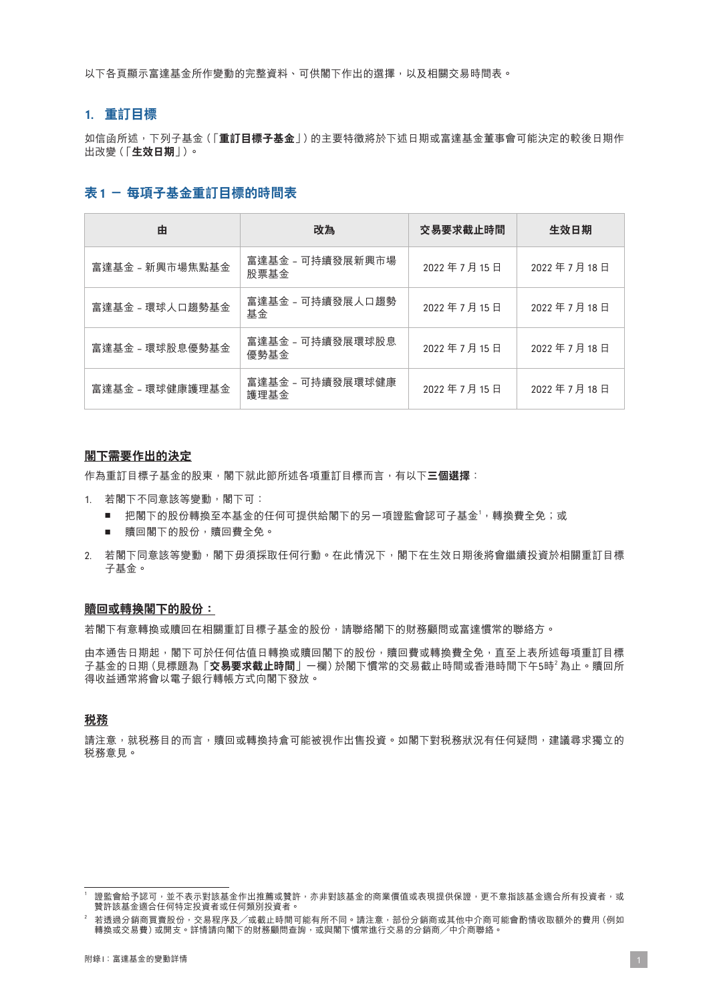以下各頁顯示富達基金所作變動的完整資料、可供閣下作出的選擇,以及相關交易時間表。

# 1. **重訂目標**

如信函所述,下列子基金(「**重訂目標子基金**」)的主要特徵將於下述日期或富達基金董事會可能決定的較後日期作 出改變(「**生效日期**」)。

# **表**1 **- 每項子基金重訂目標的時間表**

| 由               | 改為                       | 交易要求截止時間   | 生效日期       |
|-----------------|--------------------------|------------|------------|
| 富達基金 - 新興市場焦點基金 | 富達基金 - 可持續發展新興市場<br>股票基金 | 2022年7月15日 | 2022年7月18日 |
| 富達基金 - 環球人口趨勢基金 | 富達基金 - 可持續發展人口趨勢<br>基金   | 2022年7月15日 | 2022年7月18日 |
| 富達基金 - 環球股息優勢基金 | 富達基金 - 可持續發展環球股息<br>優勢基金 | 2022年7月15日 | 2022年7月18日 |
| 富達基金 - 環球健康護理基金 | 富達基金 - 可持續發展環球健康<br>護理基金 | 2022年7月15日 | 2022年7月18日 |

#### **閣下需要作出的決定**

作為重訂目標子基金的股東,閣下就此節所述各項重訂目標而言,有以下**三個選擇**:

- 1. 若閣下不同意該等變動,閣下可:
	- 把閣下的股份轉換至本基金的任何可提供給閣下的另一項證監會認可子基金<sup>1,</sup>轉換費全免;或
	- 贖回閣下的股份,贖回費全免。
- 2. 若閣下同意該等變動,閣下毋須採取任何行動。在此情況下,閣下在生效日期後將會繼續投資於相關重訂目標 子基金。

#### **贖回或轉換閣下的股份:**

若閣下有意轉換或贖回在相關重訂目標子基金的股份,請聯絡閣下的財務顧問或富達慣常的聯絡方。

由本通告日期起,閣下可於任何估值日轉換或贖回閣下的股份,贖回費或轉換費全免,直至上表所述每項重訂目標 子基金的日期 (見標題為「**交易要求截止時間**」一欄) 於閣下慣常的交易截止時間或香港時間下午5時<sup>2</sup> 為止。贖回所 得收益通常將會以電子銀行轉帳方式向閣下發放。

# **稅務**

請注意,就税務目的而言,贖回或轉換持倉可能被視作出售投資。如閣下對税務狀況有任何疑問,建議尋求獨立的 稅務意見。

<sup>1</sup> 證監會給予認可,並不表示對該基金作出推薦或贊許,亦非對該基金的商業價值或表現提供保證,更不意指該基金適合所有投資者,或 贊許該基金適合任何特定投資者或任何類別投資者。

 $^2$  若透過分銷商買賣股份,交易程序及/或截止時間可能有所不同。請注意,部份分銷商或其他中介商可能會酌情收取額外的費用(例如 者還是分勤問案受股份, 《汤·住疗》《《啟在·特問·特問·科科》中, "的生態, 出伤分勤問或公問 1,715-3<br>轉換或交易費)或開支。詳情請向閣下的財務顧問查詢,或與閣下慣常進行交易的分銷商/中介商聯絡。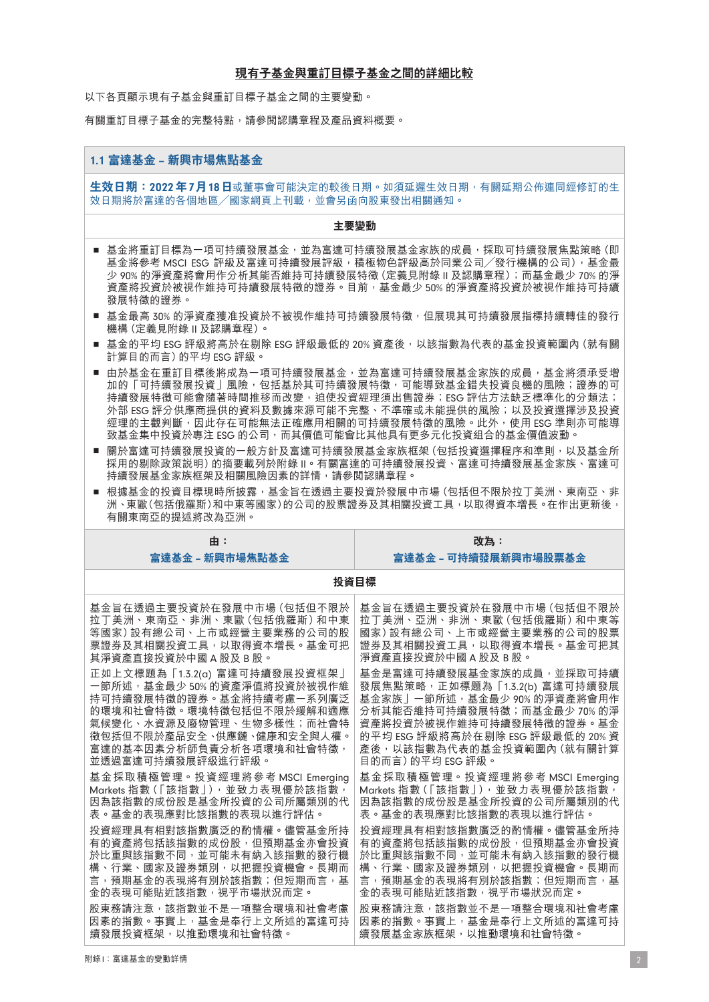以下各頁顯示現有子基金與重訂目標子基金之間的主要變動。

有關重訂目標子基金的完整特點,請參閱認購章程及產品資料概要。

#### 1.1 **富達基金** – **新興市場焦點基金**

**生效日期:**2022**年**7**月**18**日**或董事會可能決定的較後日期。如須延遲生效日期,有關延期公佈連同經修訂的生 效日期將於富達的各個地區/國家網頁上刊載,並會另函向股東發出相關通知。

#### **主要變動**

- 基金將重訂目標為一項可持續發展基金,並為富達可持續發展基金家族的成員,採取可持續發展焦點策略 (即 基金將參考 MSCI ESG 評級及富達可持續發展評級,積極物色評級高於同業公司/發行機構的公司),基金最 少 90% 的淨資產將會用作分析其能否維持可持續發展特徵(定義見附錄 II 及認購章程);而基金最少 70% 的淨 資產將投資於被視作維持可持續發展特徵的證券。目前,基金最少 50% 的淨資產將投資於被視作維持可持續 發展特徵的證券。
- 基金最高 30% 的淨資產獲准投資於不被視作維持可持續發展特徵,但展現其可持續發展指標持續轉佳的發行 機構(定義見附錄 II 及認購章程)。
- 基金的平均 ESG 評級將高於在剔除 ESG 評級最低的 20% 資產後,以該指數為代表的基金投資範圍內 (就有關 計算目的而言)的平均 ESG 評級。
- 由於基金在重訂目標後將成為一項可持續發展基金,並為富達可持續發展基金家族的成員,基金將須承受增 加的「可持續發展投資」風險,包括基於其可持續發展特徵,可能導致基金錯失投資良機的風險;證券的可 持續發展特徵可能會隨著時間推移而改變,迫使投資經理須出售證券;ESG 評估方法缺乏標準化的分類法; 外部 ESG 評分供應商提供的資料及數據來源可能不完整、不準確或未能提供的風險;以及投資選擇涉及投資 經理的主觀判斷,因此存在可能無法正確應用相關的可持續發展特徵的風險。此外,使用 ESG 準則亦可能導 致基金集中投資於專注 ESG 的公司,而其價值可能會比其他具有更多元化投資組合的基金價值波動。
- 關於富達可持續發展投資的一般方針及富達可持續發展基金家族框架(包括投資選擇程序和準則,以及基金所 採用的剔除政策說明)的摘要載列於附錄 II。有關富達的可持續發展投資、富達可持續發展基金家族、富達可 持續發展基金家族框架及相關風險因素的詳情,請參閱認購章程。
- 根據基金的投資目標現時所披露,基金旨在透過主要投資於發展中市場 (包括但不限於拉丁美洲、東南亞、非 洲、東歐(包括俄羅斯)和中東等國家)的公司的股票證券及其相關投資工具,以取得資本增長。在作出更新後, 有關東南亞的提述將改為亞洲。

| 由:                             | 改為:                              |
|--------------------------------|----------------------------------|
| 富達基金 - 新興市場焦點基金                | 富達基金 - 可持續發展新興市場股票基金             |
|                                | 投資目標                             |
| 基金旨在诱過主要投資於在發展中市場 (包括但不限於      | 基金旨在诱過主要投資於在發展中市場 (包括但不限於        |
| 拉丁美洲、東南亞、非洲、東歐 (包括俄羅斯) 和中東     | 拉丁美洲、亞洲、非洲、東歐 (包括俄羅斯) 和中東等       |
| 等國家) 設有總公司、上市或經營主要業務的公司的股      | 國家)設有總公司、上市或經營主要業務的公司的股票         |
| 票證券及其相關投資工具,以取得資本增長。基金可把       | 證券及其相關投資工具,以取得資本增長。基金可把其         |
| 其淨資產直接投資於中國A股及B股。              | 淨資產直接投資於中國A股及B股。                 |
| 正如上文標題為「1.3.2(a) 富達可持續發展投資框架」  | 基金是富達可持續發展基金家族的成員,並採取可持續         |
| 一節所述,基金最少 50% 的資產淨值將投資於被視作維    | 發展焦點策略, 正如標題為 「1.3.2(b) 富達可持續發展  |
| 持可持續發展特徵的證券。基金將持續考慮一系列廣泛       | 基金家族丨一節所述,基金最少 90% 的淨資產將會用作      |
| 的環境和社會特徵。環境特徵包括但不限於緩解和適應       | 分析其能否維持可持續發展特徵;而基金最少70%的淨        |
| 氣候變化、水資源及廢物管理、生物多樣性;而社會特       | 資產將投資於被視作維持可持續發展特徵的證券。基金         |
| 徵包括但不限於產品安全、供應鏈、健康和安全與人權。      | 的平均 ESG 評級將高於在剔除 ESG 評級最低的 20% 資 |
| 富達的基本因素分析師負責分析各項環境和社會特徵,       | 產後,以該指數為代表的基金投資範圍內 (就有關計算        |
| 並诱渦富達可持續發展評級推行評級。              | 目的而言) 的平均 FSG 評級。                |
| 基金採取積極管理。投資經理將參考 MSCI Emerging | 基金採取積極管理。投資經理將參考 MSCI Emerging   |
| Markets 指數(「該指數」),並致力表現優於該指數,  | Markets 指數(「該指數」), 並致力表現優於該指數,   |
| 因為該指數的成份股是基金所投資的公司所屬類別的代       | 因為該指數的成份股是基金所投資的公司所屬類別的代         |
| 表。基金的表現應對比該指數的表現以進行評估。         | 表。基金的表現應對比該指數的表現以進行評估。           |
| 投資經理具有相對該指數廣泛的酌情權。儘管基金所持       | 投資經理具有相對該指數廣泛的酌情權。儘管基金所持         |
| 有的資產將包括該指數的成份股,但預期基金亦會投資       | 有的資產將包括該指數的成份股,但預期基金亦會投資         |
| 於比重與該指數不同,並可能未有納入該指數的發行機       | 於比重與該指數不同,並可能未有納入該指數的發行機         |
| 構、行業、國家及證券類別,以把握投資機會。長期而       | 構、行業、國家及證券類別,以把握投資機會。長期而         |
| 言,預期基金的表現將有別於該指數;但短期而言,基       | 言,預期基金的表現將有別於該指數;但短期而言,基         |
| 金的表現可能貼近該指數,視乎市場狀況而定。          | 金的表現可能貼近該指數,視平市場狀況而定。            |
| 股東務請注意,該指數並不是一項整合環境和社會考慮       | 股東務請注意,該指數並不是一項整合環境和社會考慮         |
| 因素的指數。事實上,基金是奉行上文所述的富達可持       | 因素的指數。事實上,基金是奉行上文所述的富達可持         |
| 續發展投資框架,以推動環境和社會特徵。            | 續發展基金家族框架,以推動環境和社會特徵。            |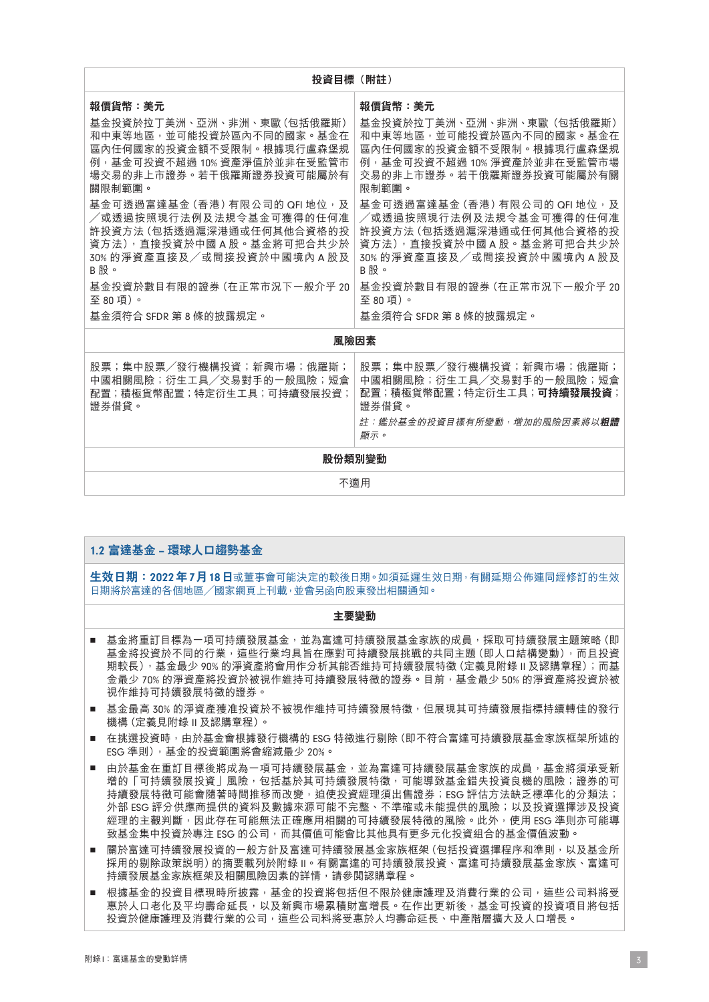| 投資目標(附註)                                                                                                                                                                                                                                                                                                                                                                                           |                                                                                                                                                                                                                                                                                                                                                                                                 |  |
|----------------------------------------------------------------------------------------------------------------------------------------------------------------------------------------------------------------------------------------------------------------------------------------------------------------------------------------------------------------------------------------------------|-------------------------------------------------------------------------------------------------------------------------------------------------------------------------------------------------------------------------------------------------------------------------------------------------------------------------------------------------------------------------------------------------|--|
| 報價貨幣:美元<br>基金投資於拉丁美洲、亞洲、非洲、東歐 (包括俄羅斯)<br>和中東等地區,並可能投資於區內不同的國家。基金在<br>區內任何國家的投資金額不受限制。根據現行盧森堡規<br>例,基金可投資不超過 10% 資產淨值於並非在受監管市<br>場交易的非上市證券。若干俄羅斯證券投資可能屬於有<br>關限制範圍。<br>基金可透過富達基金 (香港) 有限公司的 QFI 地位, 及<br>/或透過按照現行法例及法規令基金可獲得的任何准<br>許投資方法 (包括透過滬深港通或任何其他合資格的投<br>資方法),直接投資於中國 A 股。基金將可把合共少於<br>30%的淨資產直接及/或間接投資於中國境內 A 股及<br>B股。<br>基金投資於數目有限的證券 (在正常市況下一般介乎 20<br>至80項)。<br>基金須符合 SFDR 第 8 條的披露規定。 | 報價貨幣:美元<br>基金投資於拉丁美洲、亞洲、非洲、東歐(包括俄羅斯)<br>和中東等地區,並可能投資於區內不同的國家。基金在<br>區內任何國家的投資金額不受限制。根據現行盧森堡規<br>例,基金可投資不超過 10% 淨資產於並非在受監管市場<br>交易的非上市證券。若干俄羅斯證券投資可能屬於有關<br>限制範圍。<br>基金可透過富達基金 (香港) 有限公司的 QFI 地位,及<br>/或透過按照現行法例及法規令基金可獲得的任何准<br>許投資方法 (包括透過滬深港通或任何其他合資格的投<br>資方法),直接投資於中國 A 股。基金將可把合共少於<br>30%的淨資產直接及/或間接投資於中國境內 A 股及<br>B股。<br>基金投資於數目有限的證券 (在正常市況下一般介乎 20<br>至80項)。<br>基金須符合 SFDR 第 8 條的披露規定。 |  |
| 風險因素                                                                                                                                                                                                                                                                                                                                                                                               |                                                                                                                                                                                                                                                                                                                                                                                                 |  |
| 股票;集中股票/發行機構投資;新興市場;俄羅斯;<br>中國相關風險;衍生工具/交易對手的一般風險;短倉<br>配置;積極貨幣配置;特定衍生工具;可持續發展投資;<br>證券借貸。                                                                                                                                                                                                                                                                                                         | 股票;集中股票/發行機構投資;新興市場;俄羅斯;<br>中國相關風險;衍生工具/交易對手的一般風險;短倉<br>配置;積極貨幣配置;特定衍生工具; <b>可持續發展投資</b> ;<br>證券借貸。<br><u> 註:鑑於基金的投資目標有所變動,增加的風險因素將以<b>粗體</b></u><br>顯示。                                                                                                                                                                                                                                        |  |
| 股份類別變動                                                                                                                                                                                                                                                                                                                                                                                             |                                                                                                                                                                                                                                                                                                                                                                                                 |  |
| 不適用                                                                                                                                                                                                                                                                                                                                                                                                |                                                                                                                                                                                                                                                                                                                                                                                                 |  |

| 生效日期:2022年7月18日或董事會可能決定的較後日期。如須延遲生效日期,有關延期公佈連同經修訂的生效<br>日期將於富達的各個地區/國家網頁上刊載,並會另函向股東發出相關通知。<br>主要變動<br>基金將重訂目標為一項可持續發展基金,並為富達可持續發展基金家族的成員,採取可持續發展主題策略(即<br>ш<br>基金將投資於不同的行業,狺些行業均具旨在應對可持續發展挑戰的共同主題(即人口結構變動),而且投資<br>期較長),基金最少 90% 的淨資產將會用作分析其能否維持可持續發展特徵 (定義見附錄Ⅱ及認購章程);而基<br>金最少 70% 的淨資產將投資於被視作維持可持續發展特徵的證券。目前,基金最少 50% 的淨資產將投資於被<br>視作維持可持續發展特徵的證券。<br>基金最高 30% 的淨資產獲准投資於不被視作維持可持續發展特徵,但展現其可持續發展指標持續轉佳的發行<br>ш<br>機構 (定義見附錄Ⅱ及認購章程) 。<br>在挑選投資時,由於基金會根據發行機構的 ESG 特徵谁行剔除 (即不符合富達可持續發展基金家族框架所述的<br>п<br>ESG 準則), 基金的投資範圍將會縮減最少 20%。<br>由於基金在重訂目標後將成為一項可持續發展基金,並為富達可持續發展基金家族的成員,基金將須承受新<br>$\blacksquare$<br>增的「可持續發展投資」風險,包括基於其可持續發展特徵,可能導致基金錯失投資良機的風險;證券的可<br>持續發展特徵可能會隨著時間推移而改變,迫使投資經理須出售證券;ESG 評估方法缺乏標準化的分類法;<br>外部 ESG 評分供應商提供的資料及數據來源可能不完整、不準確或未能提供的風險;以及投資選擇涉及投資<br>經理的主觀判斷,因此存在可能無法正確應用相關的可持續發展特徵的風險。此外,使用 ESG 準則亦可能導<br>致基金集中投資於專注 ESG 的公司,而其價值可能會比其他具有更多元化投資組合的基金價值波動。 |
|-------------------------------------------------------------------------------------------------------------------------------------------------------------------------------------------------------------------------------------------------------------------------------------------------------------------------------------------------------------------------------------------------------------------------------------------------------------------------------------------------------------------------------------------------------------------------------------------------------------------------------------------------------------------------------------------------------------------------------------------------------------------------------------------------------------------------------------------------------------------------------|
|                                                                                                                                                                                                                                                                                                                                                                                                                                                                                                                                                                                                                                                                                                                                                                                                                                                                               |
|                                                                                                                                                                                                                                                                                                                                                                                                                                                                                                                                                                                                                                                                                                                                                                                                                                                                               |
|                                                                                                                                                                                                                                                                                                                                                                                                                                                                                                                                                                                                                                                                                                                                                                                                                                                                               |
|                                                                                                                                                                                                                                                                                                                                                                                                                                                                                                                                                                                                                                                                                                                                                                                                                                                                               |
|                                                                                                                                                                                                                                                                                                                                                                                                                                                                                                                                                                                                                                                                                                                                                                                                                                                                               |
|                                                                                                                                                                                                                                                                                                                                                                                                                                                                                                                                                                                                                                                                                                                                                                                                                                                                               |
| 關於富達可持續發展投資的一般方針及富達可持續發展基金家族框架 (包括投資選擇程序和準則,以及基金所<br>ш<br>採用的剔除政策説明〕的摘要載列於附錄Ⅱ。有關富達的可持續發展投資、富達可持續發展基金家族、富達可<br>持續發展基金家族框架及相關風險因素的詳情,請參閲認購章程。                                                                                                                                                                                                                                                                                                                                                                                                                                                                                                                                                                                                                                                                                                                                   |
| 根據基金的投資目標現時所披露,基金的投資將包括但不限於健康護理及消費行業的公司,狺些公司料將受<br>ш<br>惠於人口老化及平均壽命延長,以及新興市場累積財富增長。在作出更新後,基金可投資的投資項目將包括<br>投資於健康護理及消費行業的公司,狺些公司料將受惠於人均壽命延長、中產階層攜大及人口增長。                                                                                                                                                                                                                                                                                                                                                                                                                                                                                                                                                                                                                                                                                                                       |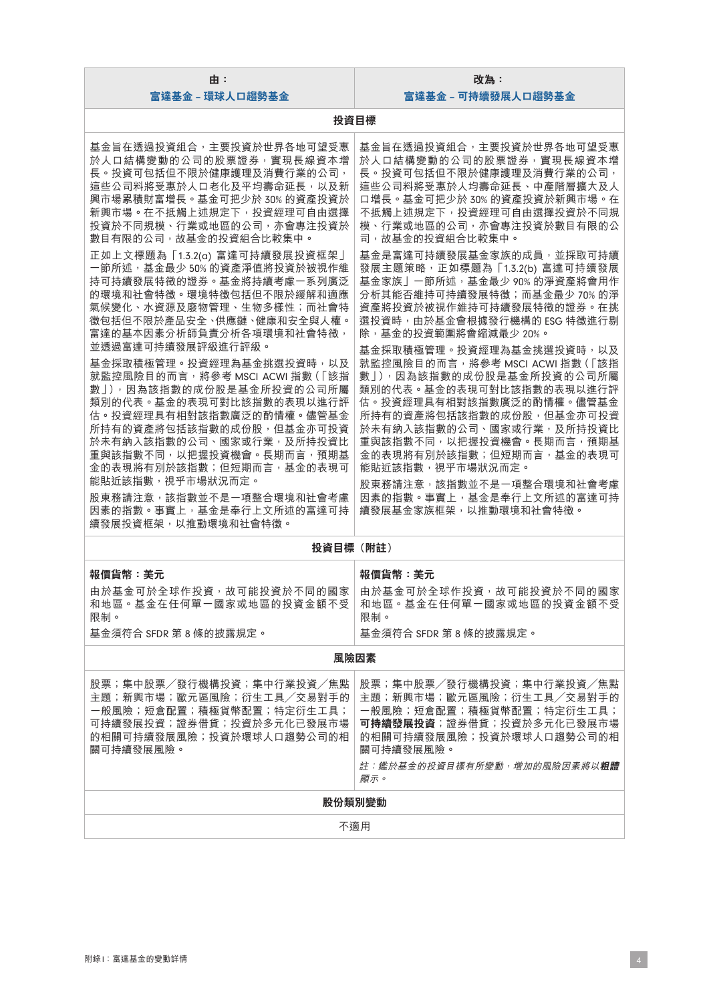| 由:<br>富達基金 - 環球人口趨勢基金                                                                                                                                                                                                                                                                                                                                                                                                                                                                                                                                                                                                                                                                                                                                                                                                             | 改為:<br>富達基金 - 可持續發展人口趨勢基金                                                                                                                                                                                                                                                                                                                                                                                                                                                                                                                                                                                                                                                                                                                                                                                   |  |
|-----------------------------------------------------------------------------------------------------------------------------------------------------------------------------------------------------------------------------------------------------------------------------------------------------------------------------------------------------------------------------------------------------------------------------------------------------------------------------------------------------------------------------------------------------------------------------------------------------------------------------------------------------------------------------------------------------------------------------------------------------------------------------------------------------------------------------------|-------------------------------------------------------------------------------------------------------------------------------------------------------------------------------------------------------------------------------------------------------------------------------------------------------------------------------------------------------------------------------------------------------------------------------------------------------------------------------------------------------------------------------------------------------------------------------------------------------------------------------------------------------------------------------------------------------------------------------------------------------------------------------------------------------------|--|
| 投資目標                                                                                                                                                                                                                                                                                                                                                                                                                                                                                                                                                                                                                                                                                                                                                                                                                              |                                                                                                                                                                                                                                                                                                                                                                                                                                                                                                                                                                                                                                                                                                                                                                                                             |  |
| 基金旨在透過投資組合,主要投資於世界各地可望受惠<br>於人口結構變動的公司的股票證券,實現長線資本增<br>長。投資可包括但不限於健康護理及消費行業的公司,<br>這些公司料將受惠於人口老化及平均壽命延長,以及新<br>興市場累積財富增長。基金可把少於 30% 的資產投資於<br>新興市場。在不抵觸上述規定下,投資經理可自由選擇<br>投資於不同規模、行業或地區的公司,亦會專注投資於<br>數目有限的公司,故基金的投資組合比較集中。<br>正如上文標題為「1.3.2(a)富達可持續發展投資框架」<br>一節所述,基金最少50%的資產淨值將投資於被視作維<br>持可持續發展特徵的證券。基金將持續考慮一系列廣泛<br>的環境和社會特徵。環境特徵包括但不限於緩解和適應<br>氣候變化、水資源及廢物管理、生物多樣性;而社會特<br>徵包括但不限於產品安全、供應鏈、健康和安全與人權。<br>富達的基本因素分析師負責分析各項環境和社會特徵,<br>並透過富達可持續發展評級進行評級。<br>基金採取積極管理。投資經理為基金挑選投資時,以及<br>就監控風險目的而言,將參考 MSCI ACWI 指數(「該指<br>數」),因為該指數的成份股是基金所投資的公司所屬<br>類別的代表。基金的表現可對比該指數的表現以進行評<br>估。投資經理具有相對該指數廣泛的酌情權。儘管基金<br>所持有的資產將包括該指數的成份股, 但基金亦可投資<br>於未有納入該指數的公司、國家或行業,及所持投資比<br>重與該指數不同,以把握投資機會。長期而言,預期基<br>金的表現將有別於該指數;但短期而言,基金的表現可<br>能貼近該指數,視乎市場狀況而定。<br>股東務請注意,該指數並不是一項整合環境和社會考慮<br>因素的指數。事實上, 基金是奉行上文所述的富達可持<br>續發展投資框架,以推動環境和社會特徵。 | 基金旨在透過投資組合,主要投資於世界各地可望受惠<br>於人口結構變動的公司的股票證券,實現長線資本增<br>長。投資可包括但不限於健康護理及消費行業的公司,<br>這些公司料將受惠於人均壽命延長、中產階層擴大及人<br>口增長。基金可把少於30%的資產投資於新興市場。在<br>不抵觸上述規定下,投資經理可自由選擇投資於不同規<br>模、行業或地區的公司,亦會專注投資於數目有限的公<br>司,故基金的投資組合比較集中。<br>基金是富達可持續發展基金家族的成員,並採取可持續<br>發展主題策略, 正如標題為 「1.3.2(b) 富達可持續發展<br>基金家族」一節所述,基金最少 90% 的淨資產將會用作<br>分析其能否維持可持續發展特徵;而基金最少70%的淨<br>資產將投資於被視作維持可持續發展特徵的證券。在挑<br>選投資時,由於基金會根據發行機構的 ESG 特徵進行剔<br>除,基金的投資範圍將會縮減最少 20%。<br>基金採取積極管理。投資經理為基金挑選投資時,以及<br>就監控風險目的而言, 將參考 MSCI ACWI 指數(「該指<br>數」),因為該指數的成份股是基金所投資的公司所屬<br>類別的代表。基金的表現可對比該指數的表現以進行評<br>估。投資經理具有相對該指數廣泛的酌情權。儘管基金<br>所持有的資產將包括該指數的成份股,但基金亦可投資<br>於未有納入該指數的公司、國家或行業,及所持投資比<br>重與該指數不同, 以把握投資機會。長期而言, 預期基<br>金的表現將有別於該指數;但短期而言,基金的表現可<br>能貼近該指數,視乎市場狀況而定。<br>股東務請注意,該指數並不是一項整合環境和社會考慮<br>因素的指數。事實上,基金是奉行上文所述的富達可持<br>續發展基金家族框架,以推動環境和社會特徵。 |  |
| 投資目標(附註)                                                                                                                                                                                                                                                                                                                                                                                                                                                                                                                                                                                                                                                                                                                                                                                                                          |                                                                                                                                                                                                                                                                                                                                                                                                                                                                                                                                                                                                                                                                                                                                                                                                             |  |
| 報價貨幣:美元<br>由於基金可於全球作投資,故可能投資於不同的國家<br>和地區。基金在任何單一國家或地區的投資金額不受<br>限制。<br>基金須符合 SFDR 第8條的披露規定。                                                                                                                                                                                                                                                                                                                                                                                                                                                                                                                                                                                                                                                                                                                                      | 報價貨幣:美元<br>由於基金可於全球作投資,故可能投資於不同的國家<br>和地區。基金在任何單一國家或地區的投資金額不受<br>限制。<br>基金須符合 SFDR 第8條的披露規定。                                                                                                                                                                                                                                                                                                                                                                                                                                                                                                                                                                                                                                                                                                                |  |
| 風險因素                                                                                                                                                                                                                                                                                                                                                                                                                                                                                                                                                                                                                                                                                                                                                                                                                              |                                                                                                                                                                                                                                                                                                                                                                                                                                                                                                                                                                                                                                                                                                                                                                                                             |  |
| 股票;集中股票/發行機構投資;集中行業投資/焦點<br>主題;新興市場;歐元區風險;衍生工具/交易對手的<br>一般風險;短倉配置;積極貨幣配置;特定衍生工具;<br>可持續發展投資;證券借貸;投資於多元化已發展市場<br>的相關可持續發展風險;投資於環球人口趨勢公司的相<br>關可持續發展風險。                                                                                                                                                                                                                                                                                                                                                                                                                                                                                                                                                                                                                                                                             | 股票;集中股票/發行機構投資;集中行業投資/焦點<br>主題;新興市場;歐元區風險;衍生工具/交易對手的<br>一般風險;短倉配置;積極貨幣配置;特定衍生工具;<br>可持續發展投資;證券借貸;投資於多元化已發展市場<br>的相關可持續發展風險;投資於環球人口趨勢公司的相<br>關可持續發展風險。<br>註:鑑於基金的投資目標有所變動,增加的風險因素將以粗體<br>顯示。                                                                                                                                                                                                                                                                                                                                                                                                                                                                                                                                                                                                                 |  |
| 股份類別變動                                                                                                                                                                                                                                                                                                                                                                                                                                                                                                                                                                                                                                                                                                                                                                                                                            |                                                                                                                                                                                                                                                                                                                                                                                                                                                                                                                                                                                                                                                                                                                                                                                                             |  |
| 不適用                                                                                                                                                                                                                                                                                                                                                                                                                                                                                                                                                                                                                                                                                                                                                                                                                               |                                                                                                                                                                                                                                                                                                                                                                                                                                                                                                                                                                                                                                                                                                                                                                                                             |  |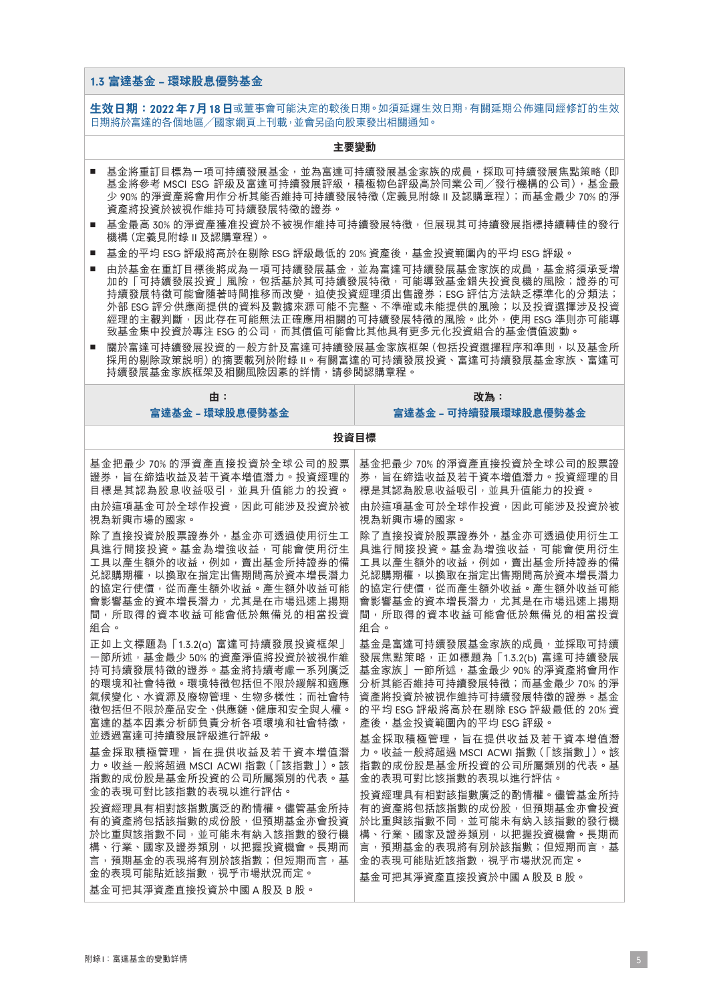#### 1.3 **富達基金** – **環球股息優勢基金**

**生效日期:**2022**年**7**月**18**日**或董事會可能決定的較後日期。如須延遲生效日期,有關延期公佈連同經修訂的生效 日期將於富達的各個地區/國家網頁上刊載,並會另函向股東發出相關通知。

- 基金將重訂目標為一項可持續發展基金,並為富達可持續發展基金家族的成員,採取可持續發展焦點策略 (即 基金將參考 MSCI ESG 評級及富達可持續發展評級,積極物色評級高於同業公司/發行機構的公司),基金最 少 90% 的淨資產將會用作分析其能否維持可持續發展特徵(定義見附錄 II 及認購章程);而基金最少 70% 的淨 資產將投資於被視作維持可持續發展特徵的證券。
- 基金最高 30% 的淨資產獲准投資於不被視作維持可持續發展特徵,但展現其可持續發展指標持續轉佳的發行 機構(定義見附錄 II 及認購章程)。
- 基金的平均 ESG 評級將高於在剔除 ESG 評級最低的 20% 資產後,基金投資範圍內的平均 ESG 評級。
- 由於基金在重訂目標後將成為一項可持續發展基金,並為富達可持續發展基金家族的成員,基金將須承受增 加的「可持續發展投資」風險,包括基於其可持續發展特徵,可能導致基金錯失投資良機的風險;證券的可 持續發展特徵可能會隨著時間推移而改變,迫使投資經理須出售證券;ESG 評估方法缺乏標準化的分類法; 外部 ESG 評分供應商提供的資料及數據來源可能不完整、不準確或未能提供的風險;以及投資選擇涉及投資 經理的主觀判斷,因此存在可能無法正確應用相關的可持續發展特徵的風險。此外,使用 ESG 準則亦可能導 致基金集中投資於專注 ESG 的公司,而其價值可能會比其他具有更多元化投資組合的基金價值波動。
- 關於富達可持續發展投資的一般方針及富達可持續發展基金家族框架(包括投資選擇程序和準則,以及基金所 採用的剔除政策說明)的摘要載列於附錄 II。有關富達的可持續發展投資、富達可持續發展基金家族、富達可 持續發展基金家族框架及相關風險因素的詳情,請參閱認購章程。

**投資目標**

# **由: 富達基金** – **環球股息優勢基金**

**改為: 富達基金** – **可持續發展環球股息優勢基金**

| 基金把最少 70% 的淨資產直接投資於全球公司的股票                         | 基金把最少 70% 的淨資產直接投資於全球公司的股票證      |  |
|----------------------------------------------------|----------------------------------|--|
| 證券,旨在締造收益及若干資本增值潛力。投資經理的                           | 券,旨在締造收益及若干資本增值潛力。投資經理的目         |  |
| 目標是其認為股息收益吸引,並具升值能力的投資。                            | 標是其認為股息收益吸引,並具升值能力的投資。           |  |
| 由於狺項基金可於全球作投資,因此可能涉及投資於被                           | 由於狺項基金可於全球作投資,因此可能涉及投資於被         |  |
| 視為新興市場的國家。                                         | 視為新興市場的國家。                       |  |
| 除了直接投資於股票證券外,基金亦可透過使用衍生工                           | 除了直接投資於股票證券外,基金亦可透過使用衍生工         |  |
| 具進行間接投資。基金為增強收益,可能會使用衍生                            | 具進行間接投資。基金為增強收益,可能會使用衍生          |  |
| 工具以產生額外的收益,例如,賣出基金所持證券的備                           | 工具以產生額外的收益,例如,賣出基金所持證券的備         |  |
| 兑認購期權,以換取在指定出售期間高於資本增長潛力                           | 兑認購期權,以換取在指定出售期間高於資本增長潛力         |  |
| 的協定行使價,從而產生額外收益。產生額外收益可能                           | 的協定行使價,從而產生額外收益。產生額外收益可能         |  |
| 會影響基金的資本增長潛力,尤其是在市場迅速上揚期                           | 會影響基金的資本增長潛力,尤其是在市場迅速上揚期         |  |
| 間,所取得的資本收益可能會低於無備兑的相當投資                            | 間,所取得的資本收益可能會低於無備兑的相當投資          |  |
| 組合。                                                | 組合。                              |  |
| 正如上文標題為「1.3.2(a)富達可持續發展投資框架」                       | 基金是富達可持續發展基金家族的成員,並採取可持續         |  |
| 一節所述,基金最少50%的資產淨值將投資於被視作維                          | 發展焦點策略, 正如標題為 「1.3.2(b) 富達可持續發展  |  |
| 持可持續發展特徵的證券。基金將持續考慮一系列廣泛                           | 基金家族」一節所述,基金最少 90% 的淨資產將會用作      |  |
| 的環境和社會特徵。環境特徵包括但不限於緩解和適應                           | 分析其能否維持可持續發展特徵;而基金最少 70% 的淨      |  |
| 氣候變化、水資源及廢物管理、生物多樣性;而社會特                           | 資產將投資於被視作維持可持續發展特徵的證券。基金         |  |
| 徵包括但不限於產品安全、供應鏈、健康和安全與人權。                          | 的平均 ESG 評級將高於在剔除 ESG 評級最低的 20% 資 |  |
| 富達的基本因素分析師負責分析各項環境和社會特徵,                           | 產後,基金投資範圍內的平均 FSG 評級。            |  |
| 並透過富達可持續發展評級進行評級。                                  | 基金採取積極管理,旨在提供收益及若干資本增值潛          |  |
| 基 金 採 取 積 極 管 理 , 旨 在 提 供 收 益 及 若 干 資 本 增 值 潛      | 力。收益一般將超過 MSCI ACWI 指數 (「該指數」)。該 |  |
| 力。收益一般將超過 MSCI ACWI 指數 (「該指數丨)。該                   | 指數的成份股是基金所投資的公司所屬類別的代表。基         |  |
| 指數的成份股是基金所投資的公司所屬類別的代表。基                           | 金的表現可對比該指數的表現以進行評估。              |  |
| 金的表現可對比該指數的表現以進行評估。                                | 投資經理具有相對該指數廣泛的酌情權。儘管基金所持         |  |
| 投資經理具有相對該指數廣泛的酌情權。儘管基金所持                           | 有的資產將包括該指數的成份股,但預期基金亦會投資         |  |
| 有的資產將包括該指數的成份股,但預期基金亦會投資                           | 於比重與該指數不同,並可能未有納入該指數的發行機         |  |
| 於比重與該指數不同,並可能未有納入該指數的發行機                           | 構、行業、國家及證券類別,以把握投資機會。長期而         |  |
| 構、行業、國家及證券類別,以把握投資機會。長期而                           | 言,預期基金的表現將有別於該指數;但短期而言,基         |  |
| 言,預期基金的表現將有別於該指數;但短期而言,基                           | 金的表現可能貼近該指數,視平市場狀況而定。            |  |
| 金的表現可能貼近該指數,視平市場狀況而定。<br>基金可把其淨資產直接投資於中國 A 股及 B 股。 | 基金可把其淨資產直接投資於中國 A 股及 B 股。        |  |
|                                                    |                                  |  |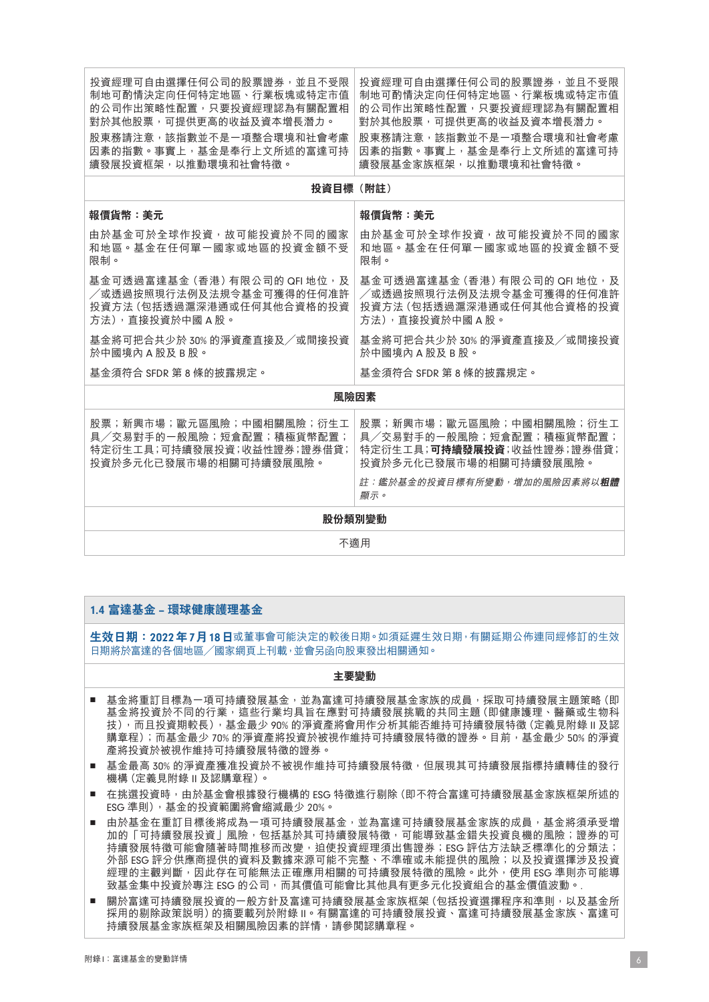| 投資經理可自由選擇任何公司的股票證券,並且不受限<br>制地可酌情決定向任何特定地區、行業板塊或特定市值<br>的公司作出策略性配置,只要投資經理認為有關配置相<br>對於其他股票,可提供更高的收益及資本增長潛力。<br>股東務請注意,該指數並不是一項整合環境和社會考慮<br>因素的指數。事實上,基金是奉行上文所述的富達可持<br>續發展投資框架,以推動環境和社會特徵。 | 投資經理可自由選擇任何公司的股票證券,並日不受限<br>制地可酌情決定向任何特定地區、行業板塊或特定市值<br>的公司作出策略性配置,只要投資經理認為有關配置相<br>對於其他股票,可提供更高的收益及資本增長潛力。<br>股東務請注意,該指數並不是一項整合環境和社會考慮<br>因素的指數。事實上,基金是奉行上文所述的富達可持<br>續發展基金家族框架,以推動環境和社會特徵。 |  |
|--------------------------------------------------------------------------------------------------------------------------------------------------------------------------------------------|----------------------------------------------------------------------------------------------------------------------------------------------------------------------------------------------|--|
| 投資目標(附註)                                                                                                                                                                                   |                                                                                                                                                                                              |  |
| 報價貨幣:美元                                                                                                                                                                                    | 報價貨幣:美元                                                                                                                                                                                      |  |
| 由於基金可於全球作投資,故可能投資於不同的國家<br>和地區。基金在任何單一國家或地區的投資金額不受<br>限制。                                                                                                                                  | 由於基金可於全球作投資,故可能投資於不同的國家<br>和地區。基金在任何單一國家或地區的投資金額不受<br>限制。                                                                                                                                    |  |
| 基金可透過富達基金 (香港) 有限公司的 QFI 地位, 及<br>/或诱過按照現行法例及法規今基金可獲得的任何准許<br>投資方法 (包括透過滬深港通或任何其他合資格的投資<br>方法),直接投資於中國A股。                                                                                  | 基金可透過富達基金 (香港) 有限公司的 QFI 地位,及<br>/或透過按照現行法例及法規令基金可獲得的任何准許<br>投資方法 (包括透過滬深港通或任何其他合資格的投資<br>方法), 直接投資於中國 A 股。                                                                                  |  |
| 基金將可把合共少於 30% 的淨資產直接及/或間接投資<br>於中國境內 A 股及 B 股。                                                                                                                                             | 基金將可把合共少於 30% 的淨資產直接及/或間接投資<br>於中國境內 A 股及 B 股。                                                                                                                                               |  |
| 基金須符合 SFDR 第 8 條的披露規定。                                                                                                                                                                     | 基金須符合 SFDR 第 8 條的披露規定。                                                                                                                                                                       |  |
| 風險因素                                                                                                                                                                                       |                                                                                                                                                                                              |  |
| 股票;新興市場;歐元區風險;中國相關風險;衍生工<br>具/交易對手的一般風險;短倉配置;積極貨幣配置;<br>特定衍生工具;可持續發展投資;收益性證券;證券借貸;<br>投資於多元化已發展市場的相關可持續發展風險。                                                                               | 股票;新興市場;歐元區風險;中國相關風險;衍生工<br>具/交易對手的一般風險;短倉配置;積極貨幣配置;<br>特定衍生工具;可持續發展投資;收益性證券;證券借貸;<br>投資於多元化已發展市場的相關可持續發展風險。<br>註:鑑於基金的投資目標有所變動,增加的風險因素將以 <b>粗體</b><br>顯示。                                   |  |
| 股份類別變動                                                                                                                                                                                     |                                                                                                                                                                                              |  |
| 不適用                                                                                                                                                                                        |                                                                                                                                                                                              |  |

# 1.4 **富達基金** – **環球健康護理基金**

**生效日期:**2022**年**7**月**18**日**或董事會可能決定的較後日期。如須延遲生效日期,有關延期公佈連同經修訂的生效 日期將於富達的各個地區/國家網頁上刊載,並會另函向股東發出相關通知。

#### **主要變動**

- 基金將重訂目標為一項可持續發展基金,並為富達可持續發展基金家族的成員,採取可持續發展主題策略 (即 基金將投資於不同的行業,這些行業均具旨在應對可持續發展挑戰的共同主題(即健康護理、醫藥或生物科 技),而且投資期較長),基金最少 90% 的淨資產將會用作分析其能否維持可持續發展特徵(定義見附錄 II 及認 購章程);而基金最少 70% 的淨資產將投資於被視作維持可持續發展特徵的證券。目前,基金最少 50% 的淨資 產將投資於被視作維持可持續發展特徵的證券。
- 基金最高 30% 的淨資產獲准投資於不被視作維持可持續發展特徵,但展現其可持續發展指標持續轉佳的發行 機構(定義見附錄 II 及認購章程)。
- 在挑選投資時,由於基金會根據發行機構的 ESG 特徵進行剔除 (即不符合富達可持續發展基金家族框架所述的 ESG 準則),基金的投資範圍將會縮減最少 20%。
- 由於基金在重訂目標後將成為一項可持續發展基金,並為富達可持續發展基金家族的成員,基金將須承受增 加的「可持續發展投資」風險,包括基於其可持續發展特徵,可能導致基金錯失投資良機的風險;證券的可 持續發展特徵可能會隨著時間推移而改變,迫使投資經理須出售證券;ESG 評估方法缺乏標準化的分類法; 外部 ESG 評分供應商提供的資料及數據來源可能不完整、不準確或未能提供的風險;以及投資選擇涉及投資 經理的主觀判斷,因此存在可能無法正確應用相關的可持續發展特徵的風險。此外,使用 ESG 準則亦可能導 致基金集中投資於專注 ESG 的公司,而其價值可能會比其他具有更多元化投資組合的基金價值波動。.
- 關於富達可持續發展投資的一般方針及富達可持續發展基金家族框架 (包括投資選擇程序和準則,以及基金所 採用的剔除政策說明)的摘要載列於附錄 II。有關富達的可持續發展投資、富達可持續發展基金家族、富達可 持續發展基金家族框架及相關風險因素的詳情,請參閱認購章程。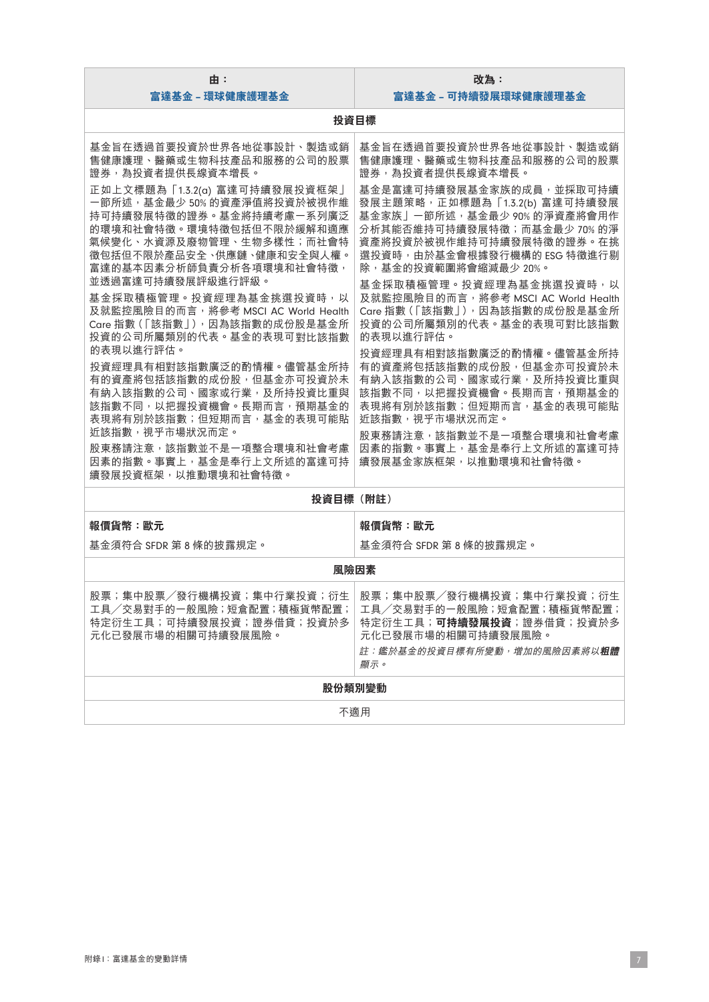| 由:                                                                                                                                                                                                                                                                                                                                                                                                                                                                                                                                                                                              | 改為:                                                                                                                                                                                                                                                                                                                                                                                                                                                                                                                                                                                                  |  |
|-------------------------------------------------------------------------------------------------------------------------------------------------------------------------------------------------------------------------------------------------------------------------------------------------------------------------------------------------------------------------------------------------------------------------------------------------------------------------------------------------------------------------------------------------------------------------------------------------|------------------------------------------------------------------------------------------------------------------------------------------------------------------------------------------------------------------------------------------------------------------------------------------------------------------------------------------------------------------------------------------------------------------------------------------------------------------------------------------------------------------------------------------------------------------------------------------------------|--|
| 富達基金 – 環球健康護理基金                                                                                                                                                                                                                                                                                                                                                                                                                                                                                                                                                                                 | 富達基金 - 可持續發展環球健康護理基金                                                                                                                                                                                                                                                                                                                                                                                                                                                                                                                                                                                 |  |
|                                                                                                                                                                                                                                                                                                                                                                                                                                                                                                                                                                                                 | 投資目標                                                                                                                                                                                                                                                                                                                                                                                                                                                                                                                                                                                                 |  |
| 基金旨在透過首要投資於世界各地從事設計、製造或銷<br>售健康護理、醫藥或生物科技產品和服務的公司的股票<br>證券,為投資者提供長線資本增長。                                                                                                                                                                                                                                                                                                                                                                                                                                                                                                                        | 基金旨在透過首要投資於世界各地從事設計、製造或銷<br>售健康護理、醫藥或生物科技產品和服務的公司的股票<br>證券,為投資者提供長線資本增長。                                                                                                                                                                                                                                                                                                                                                                                                                                                                                                                             |  |
| 正如上文標題為「1.3.2(a) 富達可持續發展投資框架」<br>一節所述,基金最少50%的資產淨值將投資於被視作維<br>持可持續發展特徵的證券。基金將持續考慮一系列廣泛<br>的環境和社會特徵。環境特徵包括但不限於緩解和適應<br>氣候變化、水資源及廢物管理、生物多樣性;而社會特<br>徵包括但不限於產品安全、供應鏈、健康和安全與人權。<br>富達的基本因素分析師負責分析各項環境和社會特徵,<br>並透過富達可持續發展評級進行評級。<br>基金採取積極管理。投資經理為基金挑選投資時,以<br>及就監控風險目的而言,將參考 MSCI AC World Health<br>Care 指數(「該指數」), 因為該指數的成份股是基金所<br>投資的公司所屬類別的代表。基金的表現可對比該指數<br>的表現以進行評估。<br>投資經理具有相對該指數廣泛的酌情權。儘管基金所持<br>有的資產將包括該指數的成份股,但基金亦可投資於未<br>有納入該指數的公司、國家或行業,及所持投資比重與<br>該指數不同,以把握投資機會。長期而言,預期基金的<br>表現將有別於該指數;但短期而言,基金的表現可能貼<br>近該指數,視乎市場狀況而定。<br>股東務請注意,該指數並不是一項整合環境和社會考慮<br>因素的指數。事實上, 基金是奉行上文所述的富達可持 | 基金是富達可持續發展基金家族的成員,並採取可持續<br>發展主題策略, 正如標題為 「1.3.2(b) 富達可持續發展<br>基金家族」一節所述,基金最少90%的淨資產將會用作<br>分析其能否維持可持續發展特徵;而基金最少70%的淨<br>資產將投資於被視作維持可持續發展特徵的證券。在挑<br>選投資時,由於基金會根據發行機構的 ESG 特徵進行剔<br>除,基金的投資範圍將會縮減最少 20%。<br>基金採取積極管理。投資經理為基金挑選投資時,以<br>及就監控風險目的而言, 將參考 MSCI AC World Health<br>Care 指數(「該指數」), 因為該指數的成份股是基金所<br>投資的公司所屬類別的代表。基金的表現可對比該指數<br>的表現以進行評估。<br>投資經理具有相對該指數廣泛的酌情權。儘管基金所持<br>有的資產將包括該指數的成份股,但基金亦可投資於未<br>有納入該指數的公司、國家或行業,及所持投資比重與<br>該指數不同,以把握投資機會。長期而言,預期基金的<br>表現將有別於該指數;但短期而言,基金的表現可能貼<br>近該指數,視乎市場狀況而定。<br>股東務請注意,該指數並不是一項整合環境和社會考慮<br>因素的指數。事實上,基金是奉行上文所述的富達可持<br>續發展基金家族框架,以推動環境和社會特徵。 |  |
| 續發展投資框架,以推動環境和社會特徵。                                                                                                                                                                                                                                                                                                                                                                                                                                                                                                                                                                             |                                                                                                                                                                                                                                                                                                                                                                                                                                                                                                                                                                                                      |  |
| 投資目標(附註)                                                                                                                                                                                                                                                                                                                                                                                                                                                                                                                                                                                        |                                                                                                                                                                                                                                                                                                                                                                                                                                                                                                                                                                                                      |  |
| 報價貨幣:歐元                                                                                                                                                                                                                                                                                                                                                                                                                                                                                                                                                                                         | 報價貨幣:歐元                                                                                                                                                                                                                                                                                                                                                                                                                                                                                                                                                                                              |  |
| 基金須符合 SFDR 第8條的披露規定。                                                                                                                                                                                                                                                                                                                                                                                                                                                                                                                                                                            | 基金須符合 SFDR 第8條的披露規定。                                                                                                                                                                                                                                                                                                                                                                                                                                                                                                                                                                                 |  |
| 風險因素                                                                                                                                                                                                                                                                                                                                                                                                                                                                                                                                                                                            |                                                                                                                                                                                                                                                                                                                                                                                                                                                                                                                                                                                                      |  |
| 工具/交易對手的一般風險;短倉配置;積極貨幣配置;<br>特定衍生工具;可持續發展投資;證券借貸;投資於多<br>元化已發展市場的相關可持續發展風險。                                                                                                                                                                                                                                                                                                                                                                                                                                                                                                                     | 股票;集中股票/發行機構投資;集中行業投資;衍生 股票;集中股票/發行機構投資;集中行業投資;衍生<br>工具/交易對手的一般風險;短倉配置;積極貨幣配置;<br>特定衍生工具;可持續發展投資;證券借貸;投資於多<br>元化已發展市場的相關可持續發展風險。<br>註:鑑於基金的投資目標有所變動,增加的風險因素將以 <b>粗體</b><br>顯示。                                                                                                                                                                                                                                                                                                                                                                                                                       |  |
|                                                                                                                                                                                                                                                                                                                                                                                                                                                                                                                                                                                                 | 股份類別變動                                                                                                                                                                                                                                                                                                                                                                                                                                                                                                                                                                                               |  |
| 不適用                                                                                                                                                                                                                                                                                                                                                                                                                                                                                                                                                                                             |                                                                                                                                                                                                                                                                                                                                                                                                                                                                                                                                                                                                      |  |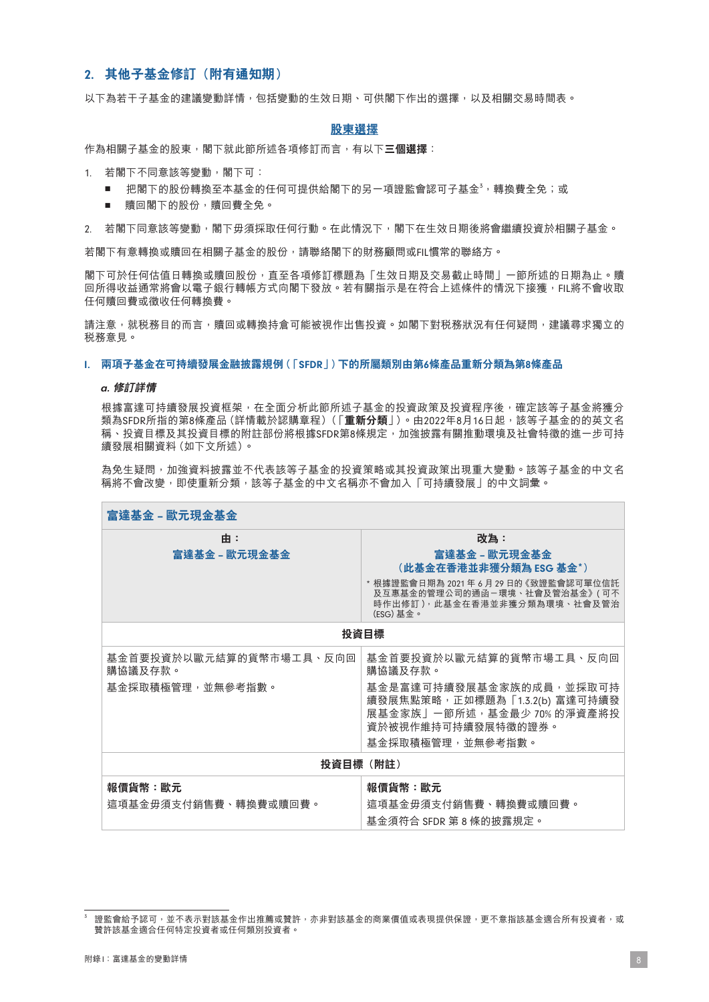# 2. **其他子基金修訂(附有通知期)**

以下為若干子基金的建議變動詳情,包括變動的生效日期、可供閣下作出的選擇,以及相關交易時間表。

#### **股東選擇**

作為相關子基金的股東,閣下就此節所述各項修訂而言,有以下**三個選擇**:

- 1. 若閣下不同意該等變動,閣下可:
	- 把閣下的股份轉換至本基金的任何可提供給閣下的另一項證監會認可子基金<sup>3,</sup>轉換費全免;或
	- 贖回閣下的股份,贖回費全免。

2. 若閣下同意該等變動,閣下毋須採取任何行動。在此情況下,閣下在生效日期後將會繼續投資於相關子基金。

若閣下有意轉換或贖回在相關子基金的股份,請聯絡閣下的財務顧問或FIL慣常的聯絡方。

閣下可於任何估值日轉換或贖回股份,直至各項修訂標題為「生效日期及交易截止時間」一節所述的日期為止。贖 回所得收益通常將會以電子銀行轉帳方式向閣下發放。若有關指示是在符合上述條件的情況下接獲,FIL將不會收取 任何贖回費或徵收任何轉換費。

請注意,就税務目的而言,贖回或轉換持倉可能被視作出售投資。如閣下對税務狀況有任何疑問,建議尋求獨立的 稅務意見。

#### I. **兩項子基金在可持續發展金融披露規例(「**SFDR**」)下的所屬類別由第**6**條產品重新分類為第**8**條產品**

#### a. **修訂詳情**

根據富達可持續發展投資框架,在全面分析此節所述子基金的投資政策及投資程序後,確定該等子基金將獲分 類為SFDR所指的第8條產品(詳情載於認購章程)(「**重新分類**」)。由2022年8月16日起,該等子基金的的英文名 稱、投資目標及其投資目標的附註部份將根據SFDR第8條規定,加強披露有關推動環境及社會特徵的進一步可持 續發展相關資料(如下文所述)。

為免生疑問,加強資料披露並不代表該等子基金的投資策略或其投資政策出現重大變動。該等子基金的中文名 稱將不會改變,即使重新分類,該等子基金的中文名稱亦不會加入「可持續發展」的中文詞彙。

| 富達基金 – 歐元現金基金                      |                                                                                                                    |  |
|------------------------------------|--------------------------------------------------------------------------------------------------------------------|--|
| 由:                                 | 改為:                                                                                                                |  |
| 富達基金 - 歐元現金基金                      | 富達基金 – 歐元現金基金<br>(此基金在香港並非獲分類為 ESG 基金*)                                                                            |  |
|                                    | * 根據證監會日期為 2021 年 6 月 29 日的《致證監會認可單位信託<br>及互惠基金的管理公司的通函-環境、社會及管治基金》(可不<br>時作出修訂),此基金在香港並非獲分類為環境、社會及管治<br>(ESG) 基金。 |  |
| 投資目標                               |                                                                                                                    |  |
| 基金首要投資於以歐元結算的貨幣市場工具、反向回<br>購協議及存款。 | 基金首要投資於以歐元結算的貨幣市場工具、反向回<br>購協議及存款。                                                                                 |  |
| 基金採取積極管理,並無參考指數。                   | 基金是富達可持續發展基金家族的成員,並採取可持<br>續發展焦點策略, 正如標題為「1.3.2(b) 富達可持續發<br>展基金家族」一節所述,基金最少 70% 的淨資產將投<br>資於被視作維持可持續發展特徵的證券。      |  |
|                                    | 基金採取積極管理,並無參考指數。                                                                                                   |  |
| 投資目標(附註)                           |                                                                                                                    |  |
| 報價貨幣:歐元<br>這項基金毋須支付銷售費、轉換費或贖回費。    | 報價貨幣:歐元<br>這項基金毋須支付銷售費、轉換費或贖回費。<br>基金須符合 SFDR 第 8 條的披露規定。                                                          |  |

 $^3$  證監會給予認可,並不表示對該基金作出推薦或贊許,亦非對該基金的商業價值或表現提供保證,更不意指該基金適合所有投資者,或 贊許該基金適合任何特定投資者或任何類別投資者。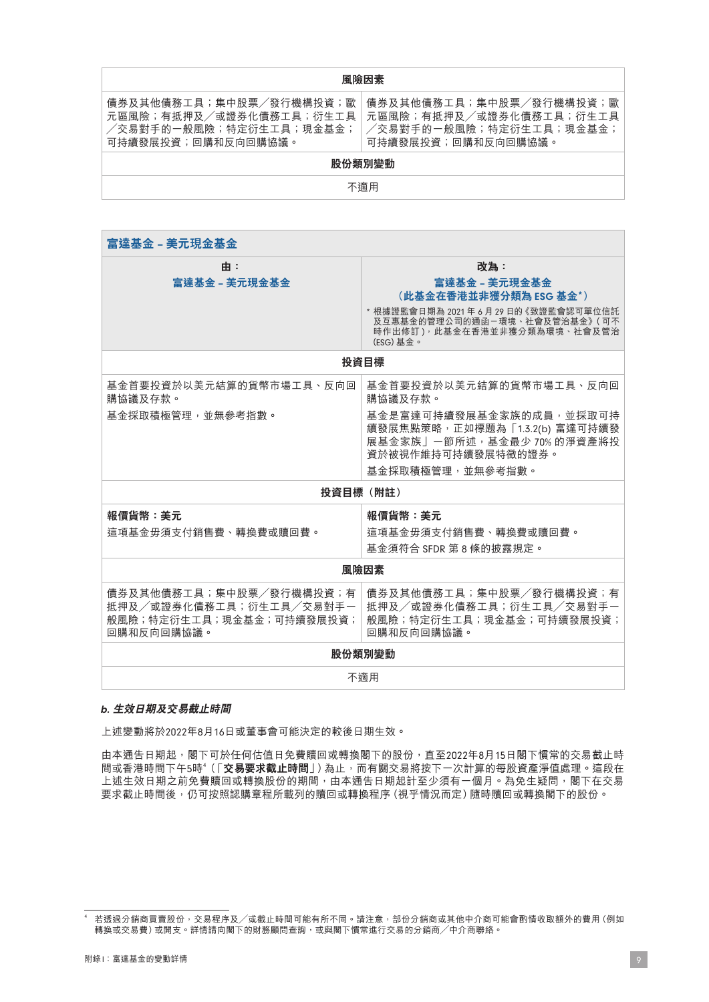#### **風險因素**

債券及其他債務工具;集中股票/發行機構投資;歐 元區風險;有抵押及/或證券化債務工具;衍生工具 /交易對手的一般風險;特定衍生工具;現金基金; 可持續發展投資;回購和反向回購協議。

債券及其他債務工具;集中股票/發行機構投資;歐 元區風險;有抵押及/或證券化債務工具;衍生工具 /交易對手的一般風險;特定衍生工具;現金基金; 可持續發展投資;回購和反向回購協議。

# **股份類別變動**

不適用

| 富達基金 - 美元現金基金                                                                                |                                                                                                                                                                      |  |
|----------------------------------------------------------------------------------------------|----------------------------------------------------------------------------------------------------------------------------------------------------------------------|--|
| 由:<br>富達基金 – 美元現金基金                                                                          | 改為:<br>富達基金 - 美元現金基金<br>(此基金在香港並非獲分類為 ESG 基金*)<br>* 根據證監會日期為 2021年6月 29日的《致證監會認可單位信託<br>及互惠基金的管理公司的通函-環境、社會及管治基金》(可不<br>時作出修訂),此基金在香港並非獲分類為環境、社會及管治<br>(ESG) 基金。     |  |
|                                                                                              | 投資目標                                                                                                                                                                 |  |
| 基金首要投資於以美元結算的貨幣市場工具、反向回<br>購協議及存款。<br>基金採取積極管理,並無參考指數。                                       | 基金首要投資於以美元結算的貨幣市場工具、反向回<br>購協議及存款。<br>基金是富達可持續發展基金家族的成員,並採取可持<br>續發展焦點策略,正如標題為「1.3.2(b) 富達可持續發<br>展基金家族」一節所述,基金最少70%的淨資產將投<br>資於被視作維持可持續發展特徵的證券。<br>基金採取積極管理,並無參考指數。 |  |
| 投資目標 (附註)                                                                                    |                                                                                                                                                                      |  |
| <b>報價貨幣:美元</b><br>這項基金毋須支付銷售費、轉換費或贖回費。                                                       | <b>報價貨幣:美元</b><br>這項基金毋須支付銷售費、轉換費或贖回費。<br>基金須符合 SFDR 第8條的披露規定。                                                                                                       |  |
| 風險因素                                                                                         |                                                                                                                                                                      |  |
| 債券及其他債務工具;集中股票/發行機構投資;有<br>抵押及/或證券化債務工具;衍生工具/交易對手一<br>般風險;特定衍生工具;現金基金;可持續發展投資;<br>回購和反向回購協議。 | 債券及其他債務工具;集中股票/發行機構投資;有<br>抵押及/或證券化債務工具;衍生工具/交易對手一<br>般風險;特定衍生工具;現金基金;可持續發展投資;<br>回購和反向回購協議。                                                                         |  |
| 股份類別變動                                                                                       |                                                                                                                                                                      |  |
| 不滴用                                                                                          |                                                                                                                                                                      |  |

#### b. **生效日期及交易截止時間**

上述變動將於2022年8月16日或董事會可能決定的較後日期生效。

由本通告日期起,閣下可於任何估值日免費贖回或轉換閣下的股份,直至2022年8月15日閣下慣常的交易截止時 間或香港時間下午5時<sup>4</sup>(「**交易要求截止時間**」)為止,而有關交易將按下一次計算的每股資產淨值處理。這段在 上述生效日期之前免費贖回或轉換股份的期間,由本通告日期起計至少須有一個月。為免生疑問,閣下在交易 要求截止時間後,仍可按照認購章程所載列的贖回或轉換程序(視乎情況而定)隨時贖回或轉換閣下的股份。

<sup>4</sup> 若透過分銷商買賣股份,交易程序及/或截止時間可能有所不同。請注意,部份分銷商或其他中介商可能會酌情收取額外的費用(例如 者是是分别的交叉版協 (大汤出力数/或做正称同:1,8,17,7,11, 1,7,2,6、作份分别的数(10-7,11。)<br>轉換或交易費)或開支。詳情請向閣下的財務顧問查詢,或與閣下慣常進行交易的分銷商/中介商聯絡。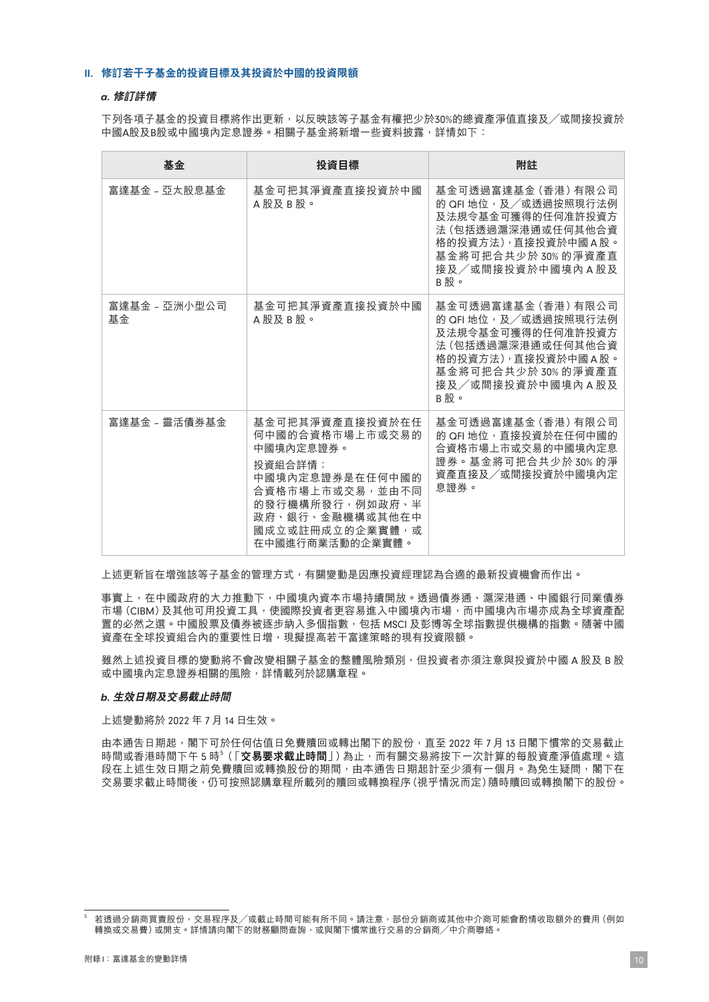#### II. **修訂若干子基金的投資目標及其投資於中國的投資限額**

#### a. **修訂詳情**

下列各項子基金的投資目標將作出更新,以反映該等子基金有權把少於30%的總資產淨值直接及/或間接投資於 中國A股及B股或中國境內定息證券。相關子基金將新增一些資料披露,詳情如下:

| 基金                  | 投資目標                                                                                                                                                                                  | 附註                                                                                                                                                              |
|---------------------|---------------------------------------------------------------------------------------------------------------------------------------------------------------------------------------|-----------------------------------------------------------------------------------------------------------------------------------------------------------------|
| 富達基金 - 亞太股息基金       | 基金可把其淨資產直接投資於中國<br>A 股及 B 股。                                                                                                                                                          | 基金可透過富達基金 (香港) 有限公司<br>的 QFI 地位, 及/或透過按照現行法例<br>及法規令基金可獲得的任何准許投資方<br>法 (包括透過滬深港通或任何其他合資<br>格的投資方法),直接投資於中國A股。<br>基金將可把合共少於 30% 的淨資產直<br>接及/或間接投資於中國境內A股及<br>B股。 |
| 富達基金 - 亞洲小型公司<br>基金 | 基金可把其淨資產直接投資於中國<br>A 股及 B 股。                                                                                                                                                          | 基金可透過富達基金 (香港) 有限公司<br>的 QFI 地位,及/或透過按照現行法例<br>及法規令基金可獲得的任何准許投資方<br>法 (包括透過滬深港通或任何其他合資<br>格的投資方法),直接投資於中國A股。<br>基金將可把合共少於30%的淨資產直<br>接及/或間接投資於中國境內 A 股及<br>B股。  |
| 富達基金 – 靈活債券基金       | 基金可把其淨資產直接投資於在任<br>何中國的合資格市場上市或交易的<br>中國境內定息證券。<br>投資組合詳情:<br>中國境內定息證券是在任何中國的<br>合資格市場上市或交易,並由不同<br>的發行機構所發行, 例如政府、 <b>半</b><br>政府、銀行、金融機構或其他在中<br>國成立或註冊成立的企業實體,或<br>在中國進行商業活動的企業實體。 | 基金可透過富達基金 (香港) 有限公司<br>的 QFI 地位, 直接投資於在任何中國的<br>合資格市場上市或交易的中國境內定息<br>證券。基金將可把合共少於30%的淨<br>資產直接及/或間接投資於中國境內定<br>息證券。                                             |

上述更新旨在增強該等子基金的管理方式,有關變動是因應投資經理認為合適的最新投資機會而作出。

事實上,在中國政府的大力推動下,中國境內資本市場持續開放。透過債券通、滬深港通、中國銀行同業債券 市場(CIBM)及其他可用投資工具,使國際投資者更容易進入中國境內市場,而中國境內市場亦成為全球資產配 置的必然之選。中國股票及債券被逐步納入多個指數,包括 MSCI 及彭博等全球指數提供機構的指數。隨著中國 資產在全球投資組合內的重要性日增,現擬提高若干富達策略的現有投資限額。

雖然上述投資目標的變動將不會改變相關子基金的整體風險類別, 但投資者亦須注意與投資於中國 A 股及 B 股 或中國境內定息證券相關的風險,詳情載列於認購章程。

#### b. **生效日期及交易截止時間**

上述變動將於 2022 年 7月14 日生效。

由本通告日期起,閣下可於任何估值日免費贖回或轉出閣下的股份,直至 2022 年 7 月 13 日閣下慣常的交易截止 時間或香港時間下午5時<sup>5</sup>(「**交易要求截止時間**」 ) 為止,而有關交易將按下一次計算的每股資產淨值處理。這 段在上述生效日期之前免費贖回或轉換股份的期間,由本通告日期起計至少須有一個月。為免生疑問,閣下在 交易要求截止時間後,仍可按照認購章程所載列的贖回或轉換程序(視乎情況而定)隨時贖回或轉換閣下的股份。

<sup>5</sup> 若透過分銷商買賣股份,交易程序及/或截止時間可能有所不同。請注意,部份分銷商或其他中介商可能會酌情收取額外的費用(例如 轉換或交易費)或開支。詳情請向閣下的財務顧問查詢,或與閣下慣常進行交易的分銷商/中介商聯絡。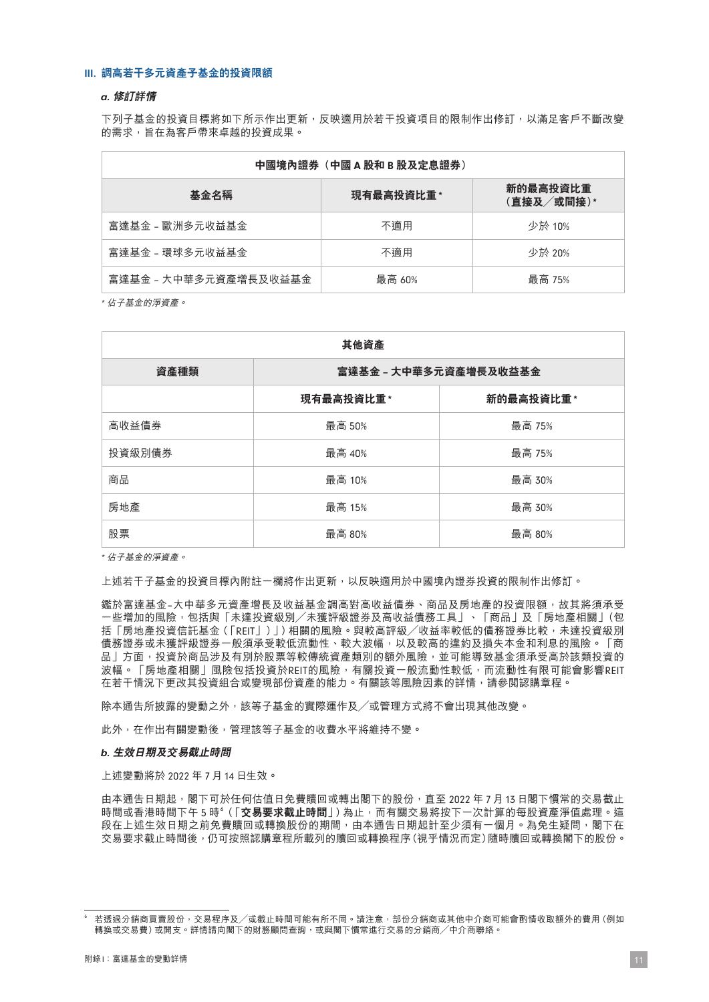#### III. **調高若干多元資產子基金的投資限額**

#### a. **修訂詳情**

下列子基金的投資目標將如下所示作出更新,反映適用於若干投資項目的限制作出修訂,以滿足客戶不斷改變 的需求,旨在為客戶帶來卓越的投資成果。

| 中國境內證券(中國 A 股和 B 股及定息證券) |            |                        |
|--------------------------|------------|------------------------|
| 基金名稱                     | 現有最高投資比重 * | 新的最高投資比重<br>(直接及/或間接)* |
| 富達基金 - 歐洲多元收益基金          | 不滴用        | 少於 10%                 |
| 富達基金 - 環球多元收益基金          | 不滴用        | 少於 20%                 |
| 富達基金 - 大中華多元資產增長及收益基金    | 最高 60%     | 最高 75%                 |

\* 佔子基金的淨資產。

| 其他資產   |                       |           |
|--------|-----------------------|-----------|
| 資產種類   | 富達基金 – 大中華多元資產增長及收益基金 |           |
|        | 現有最高投資比重 *            | 新的最高投資比重* |
| 高收益債券  | 最高 50%                | 最高 75%    |
| 投資級別債券 | 最高 40%                | 最高 75%    |
| 商品     | 最高 10%                | 最高 30%    |
| 房地產    | 最高 15%                | 最高 30%    |
| 股票     | 最高 80%                | 最高 80%    |

\* 佔子基金的淨資產。

上述若干子基金的投資目標內附註一欄將作出更新,以反映適用於中國境內證券投資的限制作出修訂。

鑑於富達基金–大中華多元資產增長及收益基金調高對高收益債券、商品及房地產的投資限額,故其將須承受 一些增加的風險,包括與「未達投資級別/未獲評級證券及高收益債務工具」、「商品」及「房地產相關」(包 括「房地產投資信託基金(「REIT」)」)相關的風險。與較高評級/收益率較低的債務證券比較,未達投資級別 債務證券或未獲評級證券一般須承受較低流動性、較大波幅,以及較高的違約及損失本金和利息的風險。「商 品」方面,投資於商品涉及有別於股票等較傳統資產類別的額外風險,並可能導致基金須承受高於該類投資的 波幅。「房地產相關」風險包括投資於REIT的風險,有關投資一般流動性較低,而流動性有限可能會影響REIT 在若干情況下更改其投資組合或變現部份資產的能力。有關該等風險因素的詳情,請參閱認購章程。

除本通告所披露的變動之外,該等子基金的實際運作及/或管理方式將不會出現其他改變。

此外,在作出有關變動後,管理該等子基金的收費水平將維持不變。

#### b. **生效日期及交易截止時間**

上述變動將於 2022 年 7月14 日生效。

由本通告日期起,閣下可於任何估值日免費贖回或轉出閣下的股份,直至 2022 年 7 月 13 日閣下慣常的交易截止 時間或香港時間下午5時<sup>6</sup>(「**交易要求截止時間**」 ) 為止,而有關交易將按下一次計算的每股資產淨值處理。這 段在上述生效日期之前免費贖回或轉換股份的期間,由本通告日期起計至少須有一個月。為免生疑問,閣下在 交易要求截止時間後,仍可按照認購章程所載列的贖回或轉換程序(視乎情況而定)隨時贖回或轉換閣下的股份。

<sup>6</sup> 若透過分銷商買賣股份,交易程序及/或截止時間可能有所不同。請注意,部份分銷商或其他中介商可能會酌情收取額外的費用(例如 轉換或交易費)或開支。詳情請向閣下的財務顧問查詢,或與閣下慣常進行交易的分銷商/中介商聯絡。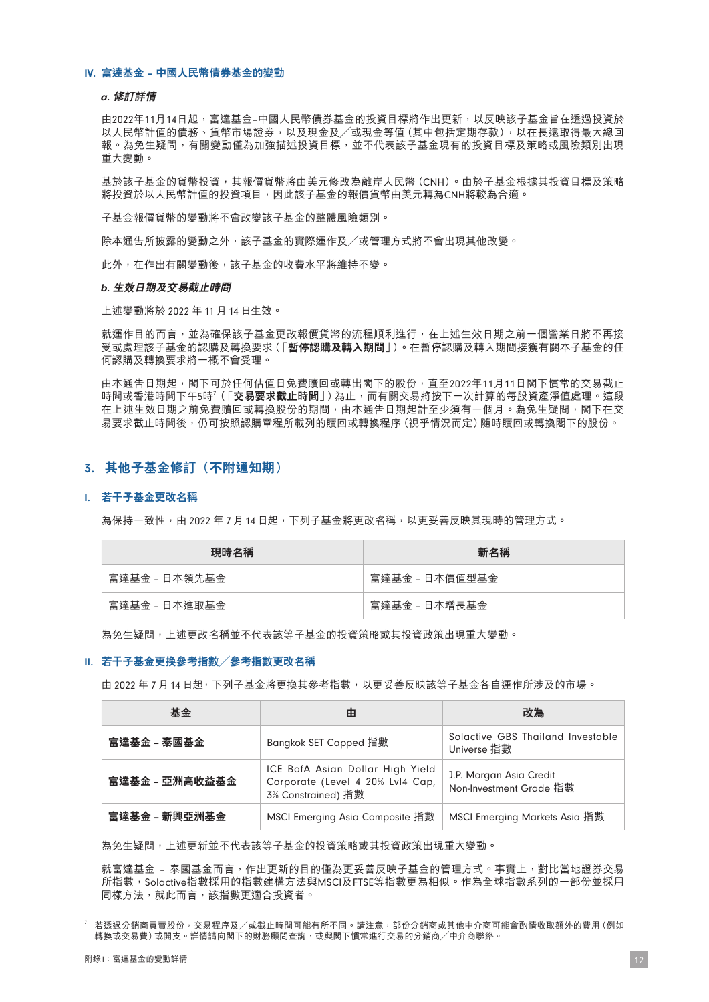#### IV. **富達基金** – **中國人民幣債券基金的變動**

#### a. **修訂詳情**

由2022年11月14日起,富達基金–中國人民幣債券基金的投資目標將作出更新,以反映該子基金旨在透過投資於 以人民幣計值的債務、貨幣市場證券,以及現金及/或現金等值(其中包括定期存款),以在長遠取得最大總回 報。為免生疑問,有關變動僅為加強描述投資目標,並不代表該子基金現有的投資目標及策略或風險類別出現 重大變動。

基於該子基金的貨幣投資,其報價貨幣將由美元修改為離岸人民幣(CNH)。由於子基金根據其投資目標及策略 將投資於以人民幣計值的投資項目,因此該子基金的報價貨幣由美元轉為CNH將較為合適。

子基金報價貨幣的變動將不會改變該子基金的整體風險類別。

除本通告所披露的變動之外,該子基金的實際運作及/或管理方式將不會出現其他改變。

此外,在作出有關變動後,該子基金的收費水平將維持不變。

#### b. **生效日期及交易截止時間**

上述變動將於 2022 年11 月14 日生效。

就運作目的而言,並為確保該子基金更改報價貨幣的流程順利進行,在上述生效日期之前一個營業日將不再接 受或處理該子基金的認購及轉換要求(「**暫停認購及轉入期間**」)。在暫停認購及轉入期間接獲有關本子基金的任 何認購及轉換要求將一概不會受理。

由本通告日期起,閣下可於任何估值日免費贖回或轉出閣下的股份,直至2022年11月11日閣下慣常的交易截止 時間或香港時間下午5時<sup>7</sup>(「**交易要求截止時間**」 ) 為止,而有關交易將按下一次計算的每股資產淨值處理。這段 在上述生效日期之前免費贖回或轉換股份的期間,由本通告日期起計至少須有一個月。為免生疑問,閣下在交 易要求截止時間後,仍可按照認購章程所載列的贖回或轉換程序(視乎情況而定)隨時贖回或轉換閣下的股份。

#### 3. **其他子基金修訂(不附通知期)**

#### I. **若干子基金更改名稱**

為保持一致性,由 2022 年 7 月 14 日起,下列子基金將更改名稱,以更妥善反映其現時的管理方式。

| 現時名稱          | 新名稱            |
|---------------|----------------|
| 富達基金 - 日本領先基金 | 富達基金 - 日本價值型基金 |
| 富達基金 - 日本進取基金 | 富達基金 - 日本增長基金  |

為免生疑問,上述更改名稱並不代表該等子基金的投資策略或其投資政策出現重大變動。

#### II. **若干子基金更換參考指數/參考指數更改名稱**

由 2022 年 7月14 日起,下列子基金將更換其參考指數,以更妥善反映該等子基金各自運作所涉及的市場。

| 基金             | 由                                                                                          | 改為                                                 |  |
|----------------|--------------------------------------------------------------------------------------------|----------------------------------------------------|--|
| 富達基金 – 泰國基金    | Bangkok SET Capped 指數                                                                      | Solactive GBS Thailand Investable<br>Universe 指數   |  |
| 富達基金 - 亞洲高收益基金 | ICE BofA Asian Dollar High Yield<br>Corporate (Level 4 20% Lvl4 Cap,<br>3% Constrained) 指數 | J.P. Morgan Asia Credit<br>Non-Investment Grade 指數 |  |
| 富達基金 – 新興亞洲基金  | MSCI Emerging Asia Composite 指數                                                            | MSCI Emerging Markets Asia 指數                      |  |

為免生疑問,上述更新並不代表該等子基金的投資策略或其投資政策出現重大變動。

就富達基金 – 泰國基金而言,作出更新的目的僅為更妥善反映子基金的管理方式。事實上,對比當地證券交易 所指數, Solactive指數採用的指數建構方法與MSCI及FTSF等指數更為相似。作為全球指數系列的一部份並採用 同樣方法,就此而言,該指數更適合投資者。

<sup>7</sup> 若透過分銷商買賣股份,交易程序及/或截止時間可能有所不同。請注意,部份分銷商或其他中介商可能會酌情收取額外的費用(例如 轉換或交易費)或開支。詳情請向閣下的財務顧問查詢,或與閣下慣常進行交易的分銷商/中介商聯絡。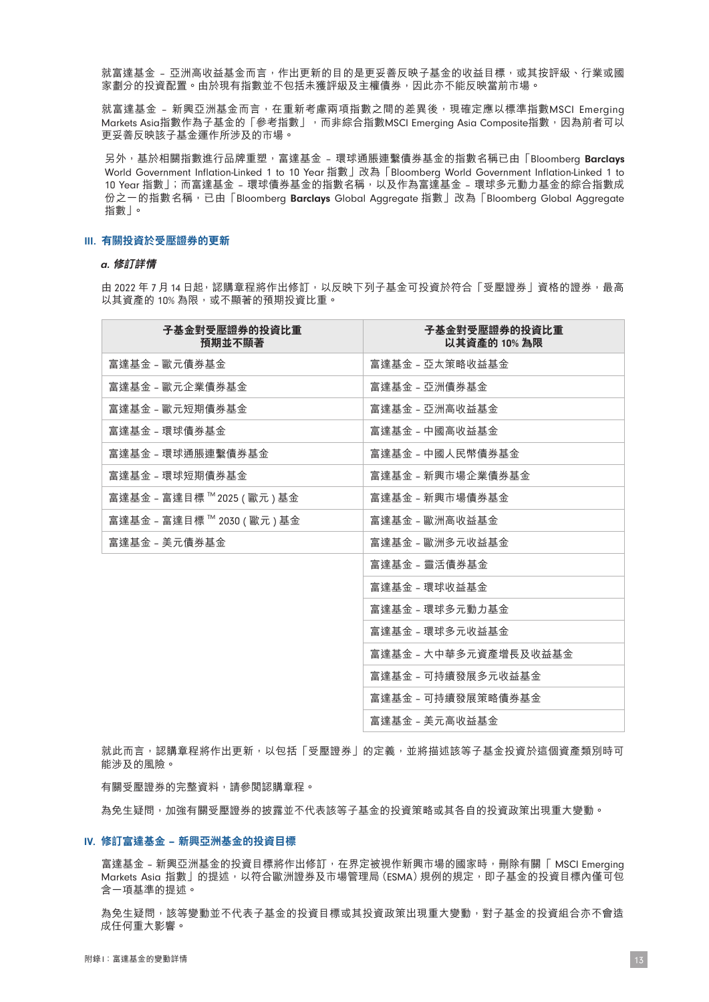就富達基金 – 亞洲高收益基金而言,作出更新的目的是更妥善反映子基金的收益目標,或其按評級、行業或國 家劃分的投資配置。由於現有指數並不包括未獲評級及主權債券,因此亦不能反映當前市場。

就富達基金 - 新興亞洲基金而言,在重新考慮兩項指數之間的差異後,現確定應以標準指數MSCI Emerging Markets Asia指數作為子基金的「參考指數」,而非綜合指數MSCI Emerging Asia Composite指數,因為前者可以 更妥善反映該子基金運作所涉及的市場。

另外,基於相關指數進行品牌重塑,富達基金 - 環球通脹連繫債券基金的指數名稱已由「Bloomberg Barclays World Government Inflation-Linked 1 to 10 Year 指數」改為「Bloomberg World Government Inflation-Linked 1 to 10 Year 指數」;而富達基金 - 環球債券基金的指數名稱,以及作為富達基金 - 環球多元動力基金的綜合指數成 份之一的指數名稱,已由「Bloomberg Barclays Global Aggregate 指數」改為「Bloomberg Global Aggregate 指數」。

#### III. **有關投資於受壓證券的更新**

#### a. **修訂詳情**

由 2022 年 7 月 14 日起,認購章程將作出修訂,以反映下列子基金可投資於符合「受壓證券」資格的證券,最高 以其資產的 10% 為限,或不顯著的預期投資比重。

| 子基金對受壓證券的投資比重<br>預期並不顯著      | 子基金對受壓證券的投資比重<br>以其資產的 10% 為限 |
|------------------------------|-------------------------------|
| 富達基金 - 歐元債券基金                | 富達基金 - 亞太策略收益基金               |
| 富達基金 - 歐元企業債券基金              | 富達基金 - 亞洲倩券基金                 |
| 富達基金 - 歐元短期倩券基金              | 富達基金 - 亞洲高收益基金                |
| 富達基金 - 環球債券基金                | 富達基金 - 中國高收益基金                |
| 富達基金 - 環球通脹連繫倩券基金            | 富達基金 - 中國人民幣債券基金              |
| 富達基金 - 環球短期債券基金              | 富達基金 - 新興市場企業倩券基金             |
| 富達基金 - 富達目標 ™ 2025 ( 歐元 ) 基金 | 富達基金 - 新興市場倩券基金               |
| 富達基金 - 富達目標 ™ 2030 ( 歐元 ) 基金 | 富達基金 – 歐洲高收益基金                |
| 富達基金 - 美元債券基金                | 富達基金 - 歐洲多元收益基金               |
|                              | 富達基金 - 靈活債券基金                 |
|                              | 富達基金 - 環球收益基金                 |
|                              | 富達基金 - 環球多元動力基金               |
|                              | 富達基金 - 環球多元收益基金               |
|                              | 富達基金 - 大中華多元資產增長及收益基金         |
|                              | 富達基金 - 可持續發展多元收益基金            |
|                              | 富達基金 - 可持續發展策略債券基金            |
|                              | 富達基金 - 美元高收益基金                |

就此而言,認購章程將作出更新,以包括「受壓證券」的定義,並將描述該等子基金投資於這個資產類別時可 能涉及的風險。

有關受壓證券的完整資料,請參閱認購章程。

為免生疑問,加強有關受壓證券的披露並不代表該等子基金的投資策略或其各自的投資政策出現重大變動。

#### IV. **修訂富達基金** – **新興亞洲基金的投資目標**

富達基金 - 新興亞洲基金的投資目標將作出修訂,在界定被視作新興市場的國家時,刪除有關「 MSCI Emerging Markets Asia 指數」的提述,以符合歐洲證券及市場管理局 (ESMA) 規例的規定,即子基金的投資目標內僅可包 含一項基準的提述。

為免生疑問,該等變動並不代表子基金的投資目標或其投資政策出現重大變動,對手基金的投資組合亦不會造 成任何重大影響。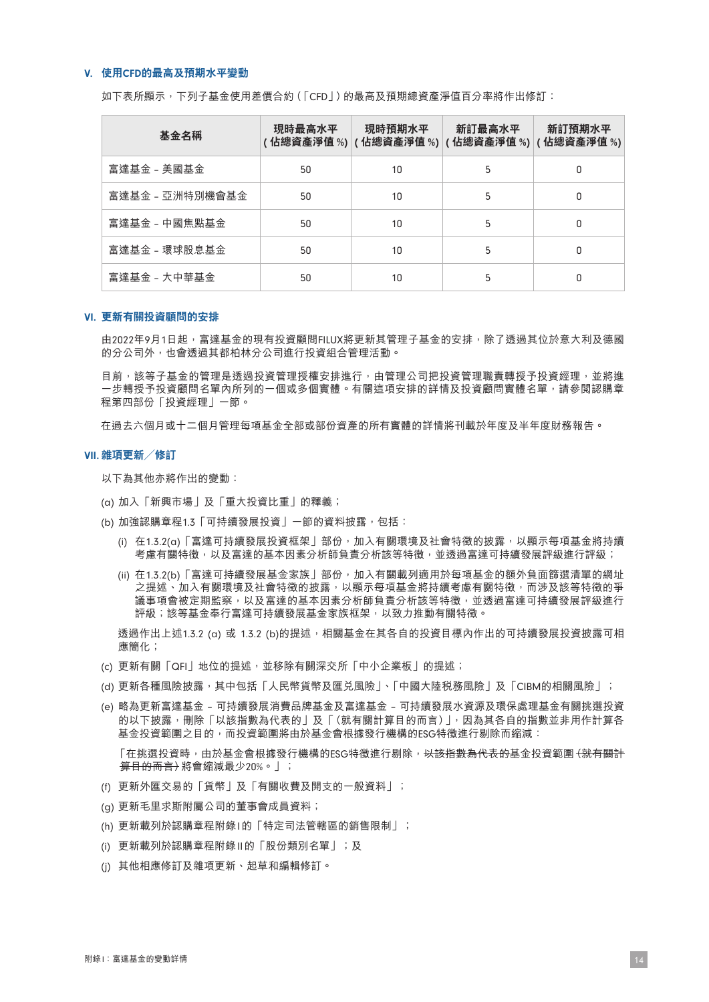#### V. **使用**CFD**的最高及預期水平變動**

如下表所顯示,下列子基金使用差價合約(「CFD」)的最高及預期總資產淨值百分率將作出修訂:

| 基金名稱            | 現時最高水平 | 現時預期水平<br>( 佔總資產淨值 %)  ( 佔總資產淨值 %)  ( 佔總資產淨值 %)  ( 佔總資產淨值 %) | 新訂最高水平 | 新訂預期水平 |
|-----------------|--------|--------------------------------------------------------------|--------|--------|
| 富達基金 - 美國基金     | 50     | 10                                                           | 5      | ۵      |
| 富達基金 - 亞洲特別機會基金 | 50     | 10                                                           | 5      | 0      |
| 富達基金 - 中國焦點基金   | 50     | 10                                                           | 5      | 0      |
| 富達基金 - 環球股息基金   | 50     | 10                                                           | 5      | 0      |
| 富達基金 - 大中華基金    | 50     | 10                                                           | 5      | ۵      |

#### VI. **更新有關投資顧問的安排**

由2022年9月1日起,富達基金的現有投資顧問FILUX將更新其管理子基金的安排,除了透過其位於意大利及德國 的分公司外,也會透過其都柏林分公司進行投資組合管理活動。

目前,該等子基金的管理是透過投資管理授權安排進行,由管理公司把投資管理職責轉授予投資經理,並將進 一步轉授予投資顧問名單內所列的一個或多個實體。有關這項安排的詳情及投資顧問實體名單,請參閱認購章 程第四部份「投資經理」一節。

在過去六個月或十二個月管理每項基金全部或部份資產的所有實體的詳情將刊載於年度及半年度財務報告。

#### VII. **雜項更新/修訂**

以下為其他亦將作出的變動:

- (a) 加入「新興市場」及「重大投資比重」的釋義;
- (b) 加強認購章程1.3「可持續發展投資」一節的資料披露,包括:
	- (i) 在1.3.2(a)「富達可持續發展投資框架」部份,加入有關環境及社會特徵的披露,以顯示每項基金將持續 考慮有關特徵,以及富達的基本因素分析師負責分析該等特徵,述透過富達可持續發展評級進行評級;
	- (ii) 在1.3.2(b)「富達可持續發展基金家族」部份,加入有關載列適用於每項基金的額外負面篩選清單的網址 之提述、加入有關環境及社會特徵的披露,以顯示每項基金將持續考慮有關特徵,而涉及該等特徵的爭 議事項會被定期監察,以及富達的基本因素分析師負責分析該等特徵,並透過富達可持續發展評級進行 評級;該等基金奉行富達可持續發展基金家族框架,以致力推動有關特徵。

透過作出上述1.3.2 (α) 或 1.3.2 (b)的提述,相關基金在其各自的投資目標內作出的可持續發展投資披露可相 應簡化;

- (c) 更新有關「QFI」地位的提述,並移除有關深交所「中小企業板」的提述;
- (d) 更新各種風險披露,其中包括「人民幣貨幣及匯兌風險」、「中國大陸稅務風險」及「CIBM的相關風險」;
- (e) 略為更新富達基金 可持續發展消費品牌基金及富達基金 可持續發展水資源及環保處理基金有關挑選投資 的以下披露,刪除「以該指數為代表的」及「(就有關計算目的而言)」,因為其各自的指數並非用作計算各 基金投資範圍之目的,而投資範圍將由於基金會根據發行機構的ESG特徵進行剔除而縮減: 「在挑選投資時,由於基金會根據發行機構的ESG特徵進行剔除,<del>以該指數為代表的</del>基金投資範圍<del>(就有關計</del>

<del>算目的而言)</del>將會縮減最少20%。」;

- (f) 更新外匯交易的「貨幣」及「有關收費及開支的一般資料」;
- (g) 更新毛里求斯附屬公司的董事會成員資料;
- (h) 更新載列於認購章程附錄I的「特定司法管轄區的銷售限制」;
- (i) 更新載列於認購章程附錄II的「股份類別名單」;及
- (j) 其他相應修訂及雜項更新、起草和編輯修訂。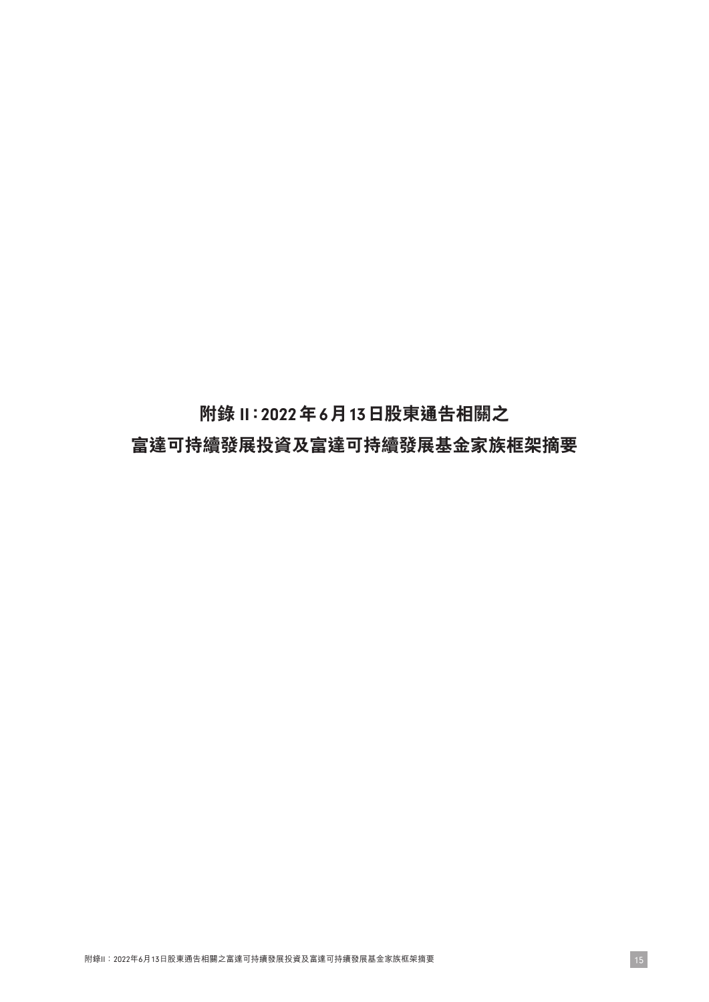**附錄** II**:**2022**年**6**月**13**日股東通告相關之 富達可持續發展投資及富達可持續發展基金家族框架摘要**